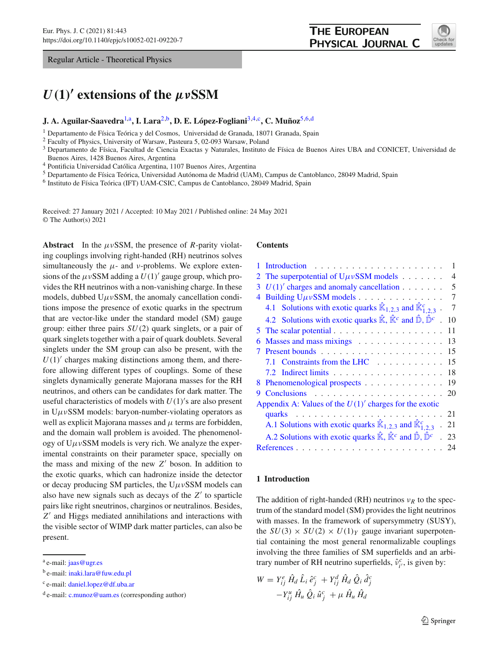Regular Article - Theoretical Physics

# *U(***1***)***- extensions of the** *μν***SSM**

# **J. A. Aguilar-Saavedra**[1,](#page-0-0)a**, I. Lara**[2,](#page-0-0)b**, D. E. López-Fogliani**[3](#page-0-1)[,4,](#page-0-2)c**, C. Muñoz**[5](#page-0-3)[,6,](#page-0-4)d

<sup>1</sup> Departamento de Física Teórica y del Cosmos, Universidad de Granada, 18071 Granada, Spain

<sup>2</sup> Faculty of Physics, University of Warsaw, Pasteura 5, 02-093 Warsaw, Poland

<sup>3</sup> Departamento de Física, Facultad de Ciencia Exactas y Naturales, Instituto de Física de Buenos Aires UBA and CONICET, Universidad de Buenos Aires, 1428 Buenos Aires, Argentina

<sup>4</sup> Pontificia Universidad Católica Argentina, 1107 Buenos Aires, Argentina

<sup>5</sup> Departamento de Física Teórica, Universidad Autónoma de Madrid (UAM), Campus de Cantoblanco, 28049 Madrid, Spain

<sup>6</sup> Instituto de Física Teórica (IFT) UAM-CSIC, Campus de Cantoblanco, 28049 Madrid, Spain

Received: 27 January 2021 / Accepted: 10 May 2021 / Published online: 24 May 2021 © The Author(s) 2021

**Abstract** In the  $\mu \nu$ SSM, the presence of *R*-parity violating couplings involving right-handed (RH) neutrinos solves simultaneously the  $\mu$ - and *v*-problems. We explore extensions of the  $\mu \nu$ SSM adding a  $U(1)'$  gauge group, which provides the RH neutrinos with a non-vanishing charge. In these models, dubbed  $U\mu\nu$ SSM, the anomaly cancellation conditions impose the presence of exotic quarks in the spectrum that are vector-like under the standard model (SM) gauge group: either three pairs *SU*(2) quark singlets, or a pair of quark singlets together with a pair of quark doublets. Several singlets under the SM group can also be present, with the  $U(1)'$  charges making distinctions among them, and therefore allowing different types of couplings. Some of these singlets dynamically generate Majorana masses for the RH neutrinos, and others can be candidates for dark matter. The useful characteristics of models with  $U(1)$ 's are also present in  $U\mu\nu$ SSM models: baryon-number-violating operators as well as explicit Majorana masses and  $\mu$  terms are forbidden, and the domain wall problem is avoided. The phenomenology of  $U\mu\nu$ SSM models is very rich. We analyze the experimental constraints on their parameter space, specially on the mass and mixing of the new Z' boson. In addition to the exotic quarks, which can hadronize inside the detector or decay producing SM particles, the  $U\mu\nu$ SSM models can also have new signals such as decays of the  $Z'$  to sparticle pairs like right sneutrinos, charginos or neutralinos. Besides, *Z*- and Higgs mediated annihilations and interactions with the visible sector of WIMP dark matter particles, can also be present.

#### <span id="page-0-3"></span><span id="page-0-2"></span><span id="page-0-1"></span><span id="page-0-0"></span>**Contents**

| Introduction<br>.                                                                                                        | 1  |
|--------------------------------------------------------------------------------------------------------------------------|----|
| The superpotential of $U\mu\nu$ SSM models<br>2                                                                          | 4  |
| $U(1)$ ' charges and anomaly cancellation $\ldots \ldots$<br>3                                                           | 5  |
| Building $U\mu v$ SSM models<br>4                                                                                        | 7  |
| 4.1 Solutions with exotic quarks $\hat{\mathbb{K}}_{1,2,3}$ and $\hat{\mathbb{K}}_{1,2,3}^c$ .                           | 7  |
| 4.2 Solutions with exotic quarks $\hat{\mathbb{K}}, \hat{\mathbb{K}}^c$ and $\hat{\mathbb{D}}, \hat{\mathbb{D}}^c$ .     | 10 |
|                                                                                                                          | 11 |
| Masses and mass mixings<br>6                                                                                             | 13 |
|                                                                                                                          | 15 |
| 7.1 Constraints from the LHC                                                                                             | 15 |
|                                                                                                                          | 18 |
| 8 Phenomenological prospects                                                                                             | 19 |
| 9                                                                                                                        |    |
| Appendix A: Values of the $U(1)$ ' charges for the exotic                                                                |    |
|                                                                                                                          |    |
| A.1 Solutions with exotic quarks $\mathbb{K}_{1,2,3}$ and $\mathbb{K}_{1,2,3}^c$ . 21                                    |    |
| A.2 Solutions with exotic quarks $\hat{\mathbb{K}}$ , $\hat{\mathbb{K}}^c$ and $\hat{\mathbb{D}}$ , $\hat{\mathbb{D}}^c$ | 23 |
| References                                                                                                               | 24 |
|                                                                                                                          |    |

## <span id="page-0-5"></span>**1 Introduction**

The addition of right-handed (RH) neutrinos  $v_R$  to the spectrum of the standard model (SM) provides the light neutrinos with masses. In the framework of supersymmetry (SUSY), the  $SU(3) \times SU(2) \times U(1)_Y$  gauge invariant superpotential containing the most general renormalizable couplings involving the three families of SM superfields and an arbitrary number of RH neutrino superfields,  $\hat{v}_{i'}^c$ , is given by:

<span id="page-0-6"></span>
$$
W = Y_{ij}^{e} \hat{H}_{d} \hat{L}_{i} \hat{e}_{j}^{c} + Y_{ij}^{d} \hat{H}_{d} \hat{Q}_{i} \hat{d}_{j}^{c} -Y_{ij}^{u} \hat{H}_{u} \hat{Q}_{i} \hat{u}_{j}^{c} + \mu \hat{H}_{u} \hat{H}_{d}
$$

<span id="page-0-4"></span>

<sup>a</sup> e-mail: [jaas@ugr.es](mailto:jaas@ugr.es)

<sup>b</sup> e-mail: [inaki.lara@fuw.edu.pl](mailto:inaki.lara@fuw.edu.pl)

<sup>c</sup> e-mail: [daniel.lopez@df.uba.ar](mailto:daniel.lopez@df.uba.ar)

 $d$  e-mail: [c.munoz@uam.es](mailto:c.munoz@uam.es) (corresponding author)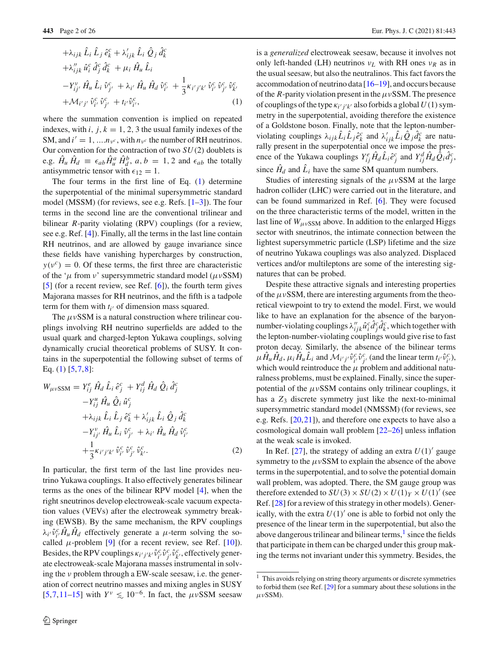$$
+ \lambda_{ijk} \hat{L}_i \hat{L}_j \hat{e}_k^c + \lambda'_{ijk} \hat{L}_i \hat{Q}_j \hat{d}_k^c + \lambda''_{ijk} \hat{u}_i^c \hat{d}_j^c \hat{d}_k^c + \mu_i \hat{H}_u \hat{L}_i - Y_{ij'}^{\nu} \hat{H}_u \hat{L}_i \hat{v}_{j'}^c + \lambda_{i'} \hat{H}_u \hat{H}_d \hat{v}_{i'}^c + \frac{1}{3} \kappa_{i'j'k'} \hat{v}_{i'}^c \hat{v}_{j'}^c \hat{v}_{k'}^c + \mathcal{M}_{i'j'} \hat{v}_{i'}^c \hat{v}_{j'}^c + t_{i'} \hat{v}_{i'}^c,
$$
(1)

where the summation convention is implied on repeated indexes, with  $i$ ,  $j, k = 1, 2, 3$  the usual family indexes of the SM, and  $i' = 1, ..., n_{\nu^c}$ , with  $n_{\nu^c}$  the number of RH neutrinos. Our convention for the contraction of two *SU*(2) doublets is e.g.  $\hat{H}_u \hat{H}_d \equiv \epsilon_{ab} \hat{H}_u^a \hat{H}_d^b$ ,  $a, b = 1, 2$  and  $\epsilon_{ab}$  the totally antisymmetric tensor with  $\epsilon_{12} = 1$ .

The four terms in the first line of Eq.  $(1)$  determine the superpotential of the minimal supersymmetric standard model (MSSM) (for reviews, see e.g. Refs. [\[1](#page-23-1)[–3\]](#page-23-2)). The four terms in the second line are the conventional trilinear and bilinear *R*-parity violating (RPV) couplings (for a review, see e.g. Ref. [\[4](#page-23-3)]). Finally, all the terms in the last line contain RH neutrinos, and are allowed by gauge invariance since these fields have vanishing hypercharges by construction,  $y(v^c) = 0$ . Of these terms, the first three are characteristic of the ' $\mu$  from  $\nu$ ' supersymmetric standard model ( $\mu \nu$ SSM) [\[5](#page-23-4)] (for a recent review, see Ref. [\[6](#page-23-5)]), the fourth term gives Majorana masses for RH neutrinos, and the fifth is a tadpole term for them with  $t_{i'}$  of dimension mass squared.

The  $\mu \nu$ SSM is a natural construction where trilinear couplings involving RH neutrino superfields are added to the usual quark and charged-lepton Yukawa couplings, solving dynamically crucial theoretical problems of SUSY. It contains in the superpotential the following subset of terms of Eq. [\(1\)](#page-0-6) [\[5](#page-23-4),[7,](#page-23-6)[8\]](#page-23-7):

<span id="page-1-1"></span>
$$
W_{\mu\nu}SSM = Y_{ij}^{e} \hat{H}_{d} \hat{L}_{i} \hat{e}_{j}^{c} + Y_{ij}^{d} \hat{H}_{d} \hat{Q}_{i} \hat{d}_{j}^{c} -Y_{ij}^{u} \hat{H}_{u} \hat{Q}_{i} \hat{u}_{j}^{c} + \lambda_{ijk} \hat{L}_{i} \hat{L}_{j} \hat{e}_{k}^{c} + \lambda'_{ijk} \hat{L}_{i} \hat{Q}_{j} \hat{d}_{k}^{c} -Y_{ij}^{\nu} \hat{H}_{u} \hat{L}_{i} \hat{v}_{j'}^{c} + \lambda_{i'} \hat{H}_{u} \hat{H}_{d} \hat{v}_{i'}^{c} + \frac{1}{3} \kappa_{i'j'k'} \hat{v}_{i'}^{c} \hat{v}_{j'}^{c} \hat{v}_{k'}^{c}.
$$
 (2)

In particular, the first term of the last line provides neutrino Yukawa couplings. It also effectively generates bilinear terms as the ones of the bilinear RPV model [\[4](#page-23-3)], when the right sneutrinos develop electroweak-scale vacuum expectation values (VEVs) after the electroweak symmetry breaking (EWSB). By the same mechanism, the RPV couplings  $\lambda_{i'} \hat{v}_{i'}^c \hat{H}_u \hat{H}_d$  effectively generate a  $\mu$ -term solving the socalled  $\mu$ -problem [\[9](#page-23-8)] (for a recent review, see Ref. [\[10](#page-23-9)]). Besides, the RPV couplings  $\kappa_{i'j'k'} \hat{v}_{i'}^c \hat{v}_{j'}^c \hat{v}_{k'}^c$ , effectively generate electroweak-scale Majorana masses instrumental in solving the ν problem through a EW-scale seesaw, i.e. the generation of correct neutrino masses and mixing angles in SUSY [\[5](#page-23-4),[7,](#page-23-6)[11](#page-23-10)[–15\]](#page-23-11) with  $Y^{\nu} \le 10^{-6}$ . In fact, the  $\mu \nu$ SSM seesaw

is a *generalized* electroweak seesaw, because it involves not only left-handed (LH) neutrinos ν*L* with RH ones ν*R* as in the usual seesaw, but also the neutralinos. This fact favors the accommodation of neutrino data [\[16](#page-23-12)[–19](#page-23-13)], and occurs because of the *R*-parity violation present in the  $\mu \nu$ SSM. The presence of couplings of the type  $\kappa_{i'j'k'}$  also forbids a global  $U(1)$  symmetry in the superpotential, avoiding therefore the existence of a Goldstone boson. Finally, note that the lepton-numberviolating couplings  $\lambda_{ijk}\hat{L}_i\hat{L}_j\hat{e}_k^c$  and  $\lambda'_{ijk}\hat{L}_i\hat{Q}_j\hat{d}_k^c$  are naturally present in the superpotential once we impose the presence of the Yukawa couplings  $Y_{ij}^e \hat{H}_d \hat{L}_i \hat{e}_j^c$  and  $Y_{ij}^d \hat{H}_d \hat{Q}_i \hat{d}_j^c$ , since  $\hat{H}_d$  and  $\hat{L}_i$  have the same SM quantum numbers.

Studies of interesting signals of the  $\mu \nu$ SSM at the large hadron collider (LHC) were carried out in the literature, and can be found summarized in Ref. [\[6\]](#page-23-5). They were focused on the three characteristic terms of the model, written in the last line of  $W_{\mu\nu SSM}$  above. In addition to the enlarged Higgs sector with sneutrinos, the intimate connection between the lightest supersymmetric particle (LSP) lifetime and the size of neutrino Yukawa couplings was also analyzed. Displaced vertices and/or multileptons are some of the interesting signatures that can be probed.

Despite these attractive signals and interesting properties of the  $\mu \nu$ SSM, there are interesting arguments from the theoretical viewpoint to try to extend the model. First, we would like to have an explanation for the absence of the baryonnumber-violating couplings  $\lambda''_{ijk}\hat{u}^c_i\hat{d}^c_j\hat{d}^c_k$ , which together with the lepton-number-violating couplings would give rise to fast proton decay. Similarly, the absence of the bilinear terms  $\mu \hat{H}_u \hat{H}_d$ ,  $\mu_i \hat{H}_u \hat{L}_i$  and  $\mathcal{M}_{i'j'} \hat{v}_{i'}^c \hat{v}_{j'}^c$  (and the linear term  $t_{i'} \hat{v}_{i'}^c$ ), which would reintroduce the  $\mu$  problem and additional naturalness problems, must be explained. Finally, since the superpotential of the  $\mu \nu$ SSM contains only trilinear couplings, it has a  $Z_3$  discrete symmetry just like the next-to-minimal supersymmetric standard model (NMSSM) (for reviews, see e.g. Refs. [\[20](#page-23-14)[,21](#page-23-15)]), and therefore one expects to have also a cosmological domain wall problem [\[22](#page-23-16)[–26\]](#page-24-0) unless inflation at the weak scale is invoked.

In Ref. [\[27](#page-24-1)], the strategy of adding an extra  $U(1)$ <sup>'</sup> gauge symmetry to the  $\mu \nu$ SSM to explain the absence of the above terms in the superpotential, and to solve the potential domain wall problem, was adopted. There, the SM gauge group was therefore extended to  $SU(3) \times SU(2) \times U(1)_Y \times U(1)'$  (see Ref. [\[28\]](#page-24-2) for a review of this strategy in other models). Generically, with the extra  $U(1)'$  one is able to forbid not only the presence of the linear term in the superpotential, but also the above dangerous trilinear and bilinear terms, $<sup>1</sup>$  $<sup>1</sup>$  $<sup>1</sup>$  since the fields</sup> that participate in them can be charged under this group making the terms not invariant under this symmetry. Besides, the

<span id="page-1-0"></span><sup>&</sup>lt;sup>1</sup> This avoids relying on string theory arguments or discrete symmetries to forbid them (see Ref. [\[29](#page-24-3)] for a summary about these solutions in the  $\mu\nu$ SSM).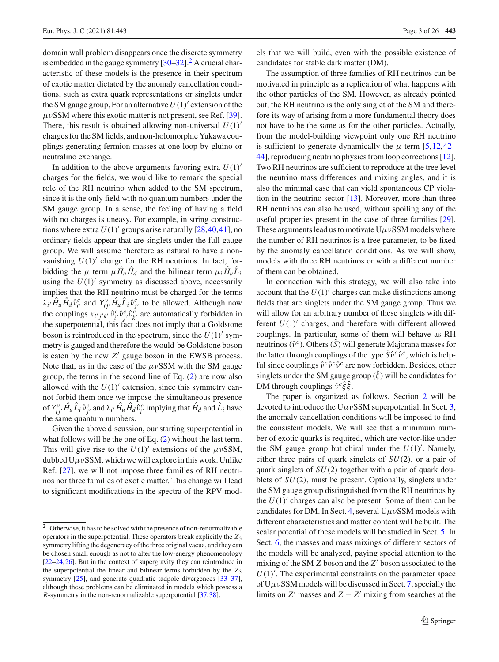domain wall problem disappears once the discrete symmetry is embedded in the gauge symmetry  $[30-32]$  $[30-32]$  $[30-32]$  $[30-32]$ .<sup>2</sup> A crucial characteristic of these models is the presence in their spectrum of exotic matter dictated by the anomaly cancellation conditions, such as extra quark representations or singlets under the SM gauge group, For an alternative  $U(1)$ <sup>'</sup> extension of the  $\mu$ νSSM where this exotic matter is not present, see Ref. [\[39](#page-24-6)]. There, this result is obtained allowing non-universal  $U(1)$ <sup>'</sup> charges for the SM fields, and non-holomorphic Yukawa couplings generating fermion masses at one loop by gluino or neutralino exchange.

In addition to the above arguments favoring extra  $U(1)$ <sup> $\prime$ </sup> charges for the fields, we would like to remark the special role of the RH neutrino when added to the SM spectrum, since it is the only field with no quantum numbers under the SM gauge group. In a sense, the feeling of having a field with no charges is uneasy. For example, in string constructions where extra  $U(1)$ <sup>'</sup> groups arise naturally [\[28](#page-24-2)[,40](#page-24-7),[41\]](#page-24-8), no ordinary fields appear that are singlets under the full gauge group. We will assume therefore as natural to have a nonvanishing  $U(1)$ <sup>'</sup> charge for the RH neutrinos. In fact, forbidding the  $\mu$  term  $\mu \hat{H}_u \hat{H}_d$  and the bilinear term  $\mu_i \hat{H}_u \hat{L}_i$ using the  $U(1)$ <sup>'</sup> symmetry as discussed above, necessarily implies that the RH neutrino must be charged for the terms  $\lambda_{i'} \hat{H}_u \hat{H}_d \hat{v}_{i'}^c$  and  $Y_{ij'}^{\nu} \hat{H}_u \hat{L}_i \hat{v}_{j'}^c$  to be allowed. Although now the couplings  $\kappa_{i'j'k'} \hat{v}_{i'}^c \hat{v}_{j'}^c \hat{v}_{k'}^c$  are automatically forbidden in the superpotential, this fact does not imply that a Goldstone boson is reintroduced in the spectrum, since the  $U(1)'$  symmetry is gauged and therefore the would-be Goldstone boson is eaten by the new Z' gauge boson in the EWSB process. Note that, as in the case of the  $\mu \nu$ SSM with the SM gauge group, the terms in the second line of Eq. [\(2\)](#page-1-1) are now also allowed with the  $U(1)$ <sup>'</sup> extension, since this symmetry cannot forbid them once we impose the simultaneous presence of  $Y_{ij'}^{\nu}$   $\hat{H}_u \hat{L}_i \hat{v}_{j'}^c$  and  $\lambda_{i'} \hat{H}_u \hat{H}_d \hat{v}_{i'}^c$  implying that  $\hat{H}_d$  and  $\hat{L}_i$  have the same quantum numbers.

Given the above discussion, our starting superpotential in what follows will be the one of Eq. [\(2\)](#page-1-1) without the last term. This will give rise to the  $U(1)$ <sup>'</sup> extensions of the  $\mu \nu$ SSM, dubbed  $U\mu vSSM$ , which we will explore in this work. Unlike Ref. [\[27](#page-24-1)], we will not impose three families of RH neutrinos nor three families of exotic matter. This change will lead to significant modifications in the spectra of the RPV models that we will build, even with the possible existence of candidates for stable dark matter (DM).

The assumption of three families of RH neutrinos can be motivated in principle as a replication of what happens with the other particles of the SM. However, as already pointed out, the RH neutrino is the only singlet of the SM and therefore its way of arising from a more fundamental theory does not have to be the same as for the other particles. Actually, from the model-building viewpoint only one RH neutrino is sufficient to generate dynamically the  $\mu$  term [\[5](#page-23-4)[,12](#page-23-19)[,42](#page-24-12)– [44](#page-24-13)], reproducing neutrino physics from loop corrections [\[12](#page-23-19)]. Two RH neutrinos are sufficient to reproduce at the tree level the neutrino mass differences and mixing angles, and it is also the minimal case that can yield spontaneous CP violation in the neutrino sector  $[13]$  $[13]$ . Moreover, more than three RH neutrinos can also be used, without spoiling any of the useful properties present in the case of three families [\[29](#page-24-3)]. These arguments lead us to motivate  $U\mu vSSM$  models where the number of RH neutrinos is a free parameter, to be fixed by the anomaly cancellation conditions. As we will show, models with three RH neutrinos or with a different number of them can be obtained.

In connection with this strategy, we will also take into account that the  $U(1)$ <sup>'</sup> charges can make distinctions among fields that are singlets under the SM gauge group. Thus we will allow for an arbitrary number of these singlets with different  $U(1)$ <sup>'</sup> charges, and therefore with different allowed couplings. In particular, some of them will behave as RH neutrinos ( $\hat{v}^c$ ). Others ( $\hat{S}$ ) will generate Majorana masses for the latter through couplings of the type  $\hat{S} \hat{v}^c \hat{v}^c$ , which is helpful since couplings  $\hat{v}^c \hat{v}^c \hat{v}^c$  are now forbidden. Besides, other singlets under the SM gauge group  $(\hat{\xi})$  will be candidates for DM through couplings  $\hat{v}^c \hat{\xi} \hat{\xi}$ .

The paper is organized as follows. Section [2](#page-3-0) will be devoted to introduce the  $U\mu vSSM$  superpotential. In Sect. [3,](#page-4-0) the anomaly cancellation conditions will be imposed to find the consistent models. We will see that a minimum number of exotic quarks is required, which are vector-like under the SM gauge group but chiral under the  $U(1)'$ . Namely, either three pairs of quark singlets of *SU*(2), or a pair of quark singlets of *SU*(2) together with a pair of quark doublets of *SU*(2), must be present. Optionally, singlets under the SM gauge group distinguished from the RH neutrinos by the  $U(1)'$  charges can also be present. Some of them can be candidates for DM. In Sect. [4,](#page-6-0) several  $U\mu vSSM$  models with different characteristics and matter content will be built. The scalar potential of these models will be studied in Sect. [5.](#page-10-0) In Sect. [6,](#page-12-0) the masses and mass mixings of different sectors of the models will be analyzed, paying special attention to the mixing of the SM *Z* boson and the *Z*<sup> $\prime$ </sup> boson associated to the  $U(1)'$ . The experimental constraints on the parameter space of  $U\mu v$ SSM models will be discussed in Sect. [7,](#page-14-0) specially the limits on *Z*<sup> $\prime$ </sup> masses and *Z* − *Z*<sup> $\prime$ </sup> mixing from searches at the

<span id="page-2-0"></span><sup>2</sup> Otherwise, it has to be solved with the presence of non-renormalizable operators in the superpotential. These operators break explicitly the *Z*<sup>3</sup> symmetry lifting the degeneracy of the three original vacua, and they can be chosen small enough as not to alter the low-energy phenomenology [\[22](#page-23-16)[–24](#page-23-17)[,26](#page-24-0)]. But in the context of supergravity they can reintroduce in the superpotential the linear and bilinear terms forbidden by the *Z*<sup>3</sup> symmetry [\[25](#page-23-18)], and generate quadratic tadpole divergences [\[33](#page-24-9)[–37](#page-24-10)], although these problems can be eliminated in models which possess a *R*-symmetry in the non-renormalizable superpotential [\[37](#page-24-10)[,38](#page-24-11)].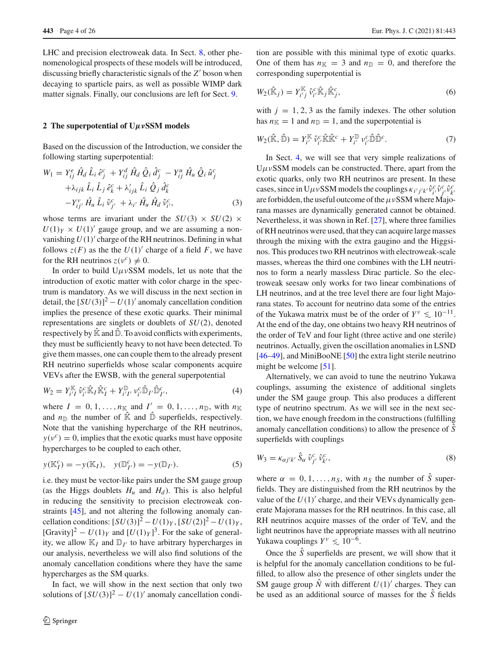LHC and precision electroweak data. In Sect. [8,](#page-18-0) other phenomenological prospects of these models will be introduced, discussing briefly characteristic signals of the *Z*- boson when decaying to sparticle pairs, as well as possible WIMP dark matter signals. Finally, our conclusions are left for Sect. [9.](#page-19-0)

#### <span id="page-3-0"></span>**2 The superpotential of U***μν***SSM models**

Based on the discussion of the Introduction, we consider the following starting superpotential:

$$
W_{1} = Y_{ij}^{e} \hat{H}_{d} \hat{L}_{i} \hat{e}_{j}^{c} + Y_{ij}^{d} \hat{H}_{d} \hat{Q}_{i} \hat{d}_{j}^{c} - Y_{ij}^{u} \hat{H}_{u} \hat{Q}_{i} \hat{u}_{j}^{c} + \lambda_{ijk} \hat{L}_{i} \hat{L}_{j} \hat{e}_{k}^{c} + \lambda'_{ijk} \hat{L}_{i} \hat{Q}_{j} \hat{d}_{k}^{c} - Y_{ij'}^{v} \hat{H}_{u} \hat{L}_{i} \hat{v}_{j'}^{c} + \lambda_{i'} \hat{H}_{u} \hat{H}_{d} \hat{v}_{i'}^{c},
$$
(3)

whose terms are invariant under the  $SU(3) \times SU(2) \times$  $U(1)_Y \times U(1)'$  gauge group, and we are assuming a nonvanishing  $U(1)$ <sup>'</sup> charge of the RH neutrinos. Defining in what follows  $z(F)$  as the the  $U(1)'$  charge of a field F, we have for the RH neutrinos  $z(v^c) \neq 0$ .

In order to build  $U\mu\nu$ SSM models, let us note that the introduction of exotic matter with color charge in the spectrum is mandatory. As we will discuss in the next section in detail, the  $[SU(3)]^2 - U(1)'$  anomaly cancellation condition implies the presence of these exotic quarks. Their minimal representations are singlets or doublets of *SU*(2), denoted respectively by  $\hat{\mathbb{K}}$  and  $\hat{\mathbb{D}}$ . To avoid conflicts with experiments, they must be sufficiently heavy to not have been detected. To give them masses, one can couple them to the already present RH neutrino superfields whose scalar components acquire VEVs after the EWSB, with the general superpotential

<span id="page-3-4"></span>
$$
W_2 = Y_{i'I}^{\mathbb{K}} \hat{\nu}_{i'}^c \hat{\mathbb{K}}_I \hat{\mathbb{K}}_I^c + Y_{i'I'}^{\mathbb{D}} \nu_{i'}^c \hat{\mathbb{D}}_{I'} \hat{\mathbb{D}}_{I'}^c, \tag{4}
$$

where  $I = 0, 1, \ldots, n_{\mathbb{K}}$  and  $I' = 0, 1, \ldots, n_{\mathbb{D}}$ , with  $n_{\mathbb{K}}$ and  $n_{\mathbb{D}}$  the number of  $\hat{\mathbb{K}}$  and  $\hat{\mathbb{D}}$  superfields, respectively. Note that the vanishing hypercharge of the RH neutrinos,  $y(v^c) = 0$ , implies that the exotic quarks must have opposite hypercharges to be coupled to each other,

<span id="page-3-3"></span>
$$
y(K_I^c) = -y(K_I), \quad y(\mathbb{D}_{I'}^c) = -y(\mathbb{D}_{I'}).
$$
 (5)

i.e. they must be vector-like pairs under the SM gauge group (as the Higgs doublets  $H_u$  and  $H_d$ ). This is also helpful in reducing the sensitivity to precision electroweak constraints [\[45\]](#page-24-14), and not altering the following anomaly cancellation conditions:  $[SU(3)]^2 - U(1)_Y$ ,  $[SU(2)]^2 - U(1)_Y$ , [Gravity]<sup>2</sup> –  $U(1)_Y$  and  $[U(1)_Y]^3$ . For the sake of generality, we allow  $\mathbb{K}_I$  and  $\mathbb{D}_{I'}$  to have arbitrary hypercharges in our analysis, nevertheless we will also find solutions of the anomaly cancellation conditions where they have the same hypercharges as the SM quarks.

In fact, we will show in the next section that only two solutions of  $[SU(3)]^2 - U(1)'$  anomaly cancellation condi-

tion are possible with this minimal type of exotic quarks. One of them has  $n_k = 3$  and  $n_{\mathbb{D}} = 0$ , and therefore the corresponding superpotential is

<span id="page-3-1"></span>
$$
W_2(\hat{\mathbb{K}}_j) = Y_{i'j}^{\mathbb{K}} \hat{\nu}_{i'}^c \hat{\mathbb{K}}_j \hat{\mathbb{K}}_j^c,
$$
\n(6)

with  $j = 1, 2, 3$  as the family indexes. The other solution has  $n_k = 1$  and  $n_{\mathbb{D}} = 1$ , and the superpotential is

<span id="page-3-2"></span>
$$
W_2(\hat{\mathbb{K}}, \hat{\mathbb{D}}) = Y_{i'}^{\mathbb{K}} \hat{\nu}_{i'}^c \hat{\mathbb{K}} \hat{\mathbb{K}}^c + Y_{i'}^{\mathbb{D}} \nu_{i'}^c \hat{\mathbb{D}} \hat{\mathbb{D}}^c.
$$
 (7)

In Sect. [4,](#page-6-0) we will see that very simple realizations of  $U\mu\nu$ SSM models can be constructed. There, apart from the exotic quarks, only two RH neutrinos are present. In these cases, since in  $U\mu vSSM$  models the couplings  $\kappa_{i'j'k'}\hat{v}_{i'}^c\hat{v}_{j'}^c\hat{v}_{k'}^c$ are forbidden, the useful outcome of the  $\mu v$ SSM where Majorana masses are dynamically generated cannot be obtained. Nevertheless, it was shown in Ref. [\[27](#page-24-1)], where three families of RH neutrinos were used, that they can acquire large masses through the mixing with the extra gaugino and the Higgsinos. This produces two RH neutrinos with electroweak-scale masses, whereas the third one combines with the LH neutrinos to form a nearly massless Dirac particle. So the electroweak seesaw only works for two linear combinations of LH neutrinos, and at the tree level there are four light Majorana states. To account for neutrino data some of the entries of the Yukawa matrix must be of the order of  $Y^{\nu} \leq 10^{-11}$ . At the end of the day, one obtains two heavy RH neutrinos of the order of TeV and four light (three active and one sterile) neutrinos. Actually, given the oscillation anomalies in LSND [\[46](#page-24-15)[–49](#page-24-16)], and MiniBooNE [\[50](#page-24-17)] the extra light sterile neutrino might be welcome [\[51\]](#page-24-18).

Alternatively, we can avoid to tune the neutrino Yukawa couplings, assuming the existence of additional singlets under the SM gauge group. This also produces a different type of neutrino spectrum. As we will see in the next section, we have enough freedom in the constructions (fulfilling anomaly cancellation conditions) to allow the presence of *S*ˆ superfields with couplings

<span id="page-3-5"></span>
$$
W_3 = \kappa_{\alpha j' k'} \hat{S}_{\alpha} \hat{\nu}_{j'}^c \hat{\nu}_{k'}^c, \qquad (8)
$$

where  $\alpha = 0, 1, \ldots, n_S$ , with  $n_S$  the number of  $\hat{S}$  superfields. They are distinguished from the RH neutrinos by the value of the  $U(1)$ <sup>'</sup> charge, and their VEVs dynamically generate Majorana masses for the RH neutrinos. In this case, all RH neutrinos acquire masses of the order of TeV, and the light neutrinos have the appropriate masses with all neutrino Yukawa couplings  $Y^{\nu} \leq 10^{-6}$ .

Once the  $\hat{S}$  superfields are present, we will show that it is helpful for the anomaly cancellation conditions to be fulfilled, to allow also the presence of other singlets under the SM gauge group  $\hat{N}$  with different  $U(1)'$  charges. They can be used as an additional source of masses for the *S*ˆ fields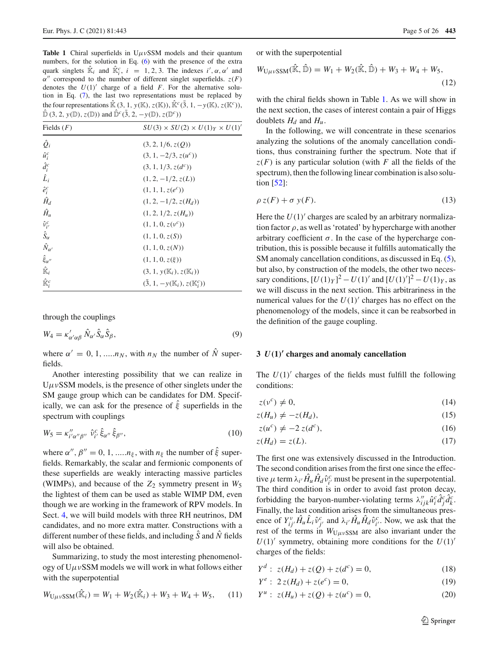<span id="page-4-1"></span>**Table 1** Chiral superfields in  $U \mu v$ SSM models and their quantum numbers, for the solution in Eq. [\(6\)](#page-3-1) with the presence of the extra quark singlets  $\hat{\mathbb{K}}_i$  and  $\hat{\mathbb{K}}_i^c$ ,  $i = 1, 2, 3$ . The indexes  $i', \alpha, \alpha'$  and  $\alpha''$  correspond to the number of different singlet superfields.  $z(F)$ denotes the  $U(1)'$  charge of a field *F*. For the alternative solution in Eq. [\(7\)](#page-3-2), the last two representations must be replaced by the four representations  $\hat{\mathbb{K}}$  (3, 1, *y*(K), *z*(K)),  $\hat{\mathbb{K}}^{c}$ ( $\overline{3}$ , 1, −*y*(K), *z*(K<sup>*c*</sup>)),  $\hat{\mathbb{D}}$  (3, 2, *y*( $\mathbb{D}$ ), *z*( $\mathbb{D}$ )) and  $\hat{\mathbb{D}}^c$ ( $\overline{3}$ , 2, -*y*( $\mathbb{D}$ ), *z*( $\mathbb{D}^c$ ))

| $\left( \begin{array}{c} 0 & -1 \\ 1 & -1 \end{array} \right)$ , $\left( \begin{array}{c} -1 \\ -1 \end{array} \right)$ , $\left( \begin{array}{c} 0 & -1 \\ -1 & -1 \end{array} \right)$ |                                                 |
|-------------------------------------------------------------------------------------------------------------------------------------------------------------------------------------------|-------------------------------------------------|
| Fields $(F)$                                                                                                                                                                              | $SU(3) \times SU(2) \times U(1)_Y \times U(1)'$ |
| $\hat{Q}_i$                                                                                                                                                                               | (3, 2, 1/6, z(Q))                               |
| $\hat{u}_i^c$                                                                                                                                                                             | $(3, 1, -2/3, z(u^c))$                          |
| $\hat{d}_i^c$                                                                                                                                                                             | $(3, 1, 1/3, z(d^c))$                           |
| $\hat{L}_i$                                                                                                                                                                               | $(1, 2, -1/2, z(L))$                            |
| $\hat{e}_i^c$                                                                                                                                                                             | $(1, 1, 1, z(e^c))$                             |
| $\hat{H}_d$                                                                                                                                                                               | $(1, 2, -1/2, z(H_d))$                          |
| $\hat{H}_u$                                                                                                                                                                               | $(1, 2, 1/2, z(H_u))$                           |
| $\hat{v}_{i'}^c$                                                                                                                                                                          | $(1, 1, 0, z(v^c))$                             |
| $\hat{S}_{\alpha}$                                                                                                                                                                        | (1, 1, 0, z(S))                                 |
| $\hat{N}_{\alpha'}$                                                                                                                                                                       | (1, 1, 0, z(N))                                 |
| $\hat{\xi}_{\alpha''}$                                                                                                                                                                    | $(1, 1, 0, z(\xi))$                             |
| $\mathbb{\hat{K}}_i$                                                                                                                                                                      | $(3, 1, y(K_i), z(K_i))$                        |
| $\mathbb{\hat{K}}_i^c$                                                                                                                                                                    | $(\bar{3}, 1, -y(K_i), z(K_i^c))$               |

through the couplings

$$
W_4 = \kappa'_{\alpha'\alpha\beta} \hat{N}_{\alpha'} \hat{S}_{\alpha} \hat{S}_{\beta},\tag{9}
$$

where  $\alpha' = 0, 1, \dots, n_N$ , with  $n_N$  the number of  $\dot{N}$  superfields.

Another interesting possibility that we can realize in  $U\mu\nu$ SSM models, is the presence of other singlets under the SM gauge group which can be candidates for DM. Specifically, we can ask for the presence of  $\hat{\xi}$  superfields in the spectrum with couplings

<span id="page-4-4"></span>
$$
W_5 = \kappa_{i'\alpha''\beta''}^{\prime\prime} \hat{\nu}_{i'}^c \hat{\xi}_{\alpha''} \hat{\xi}_{\beta''},\tag{10}
$$

where  $\alpha''$ ,  $\beta'' = 0, 1, \dots n_{\xi}$ , with  $n_{\xi}$  the number of  $\xi$  superfields. Remarkably, the scalar and fermionic components of these superfields are weakly interacting massive particles (WIMPs), and because of the *Z*<sup>2</sup> symmetry present in *W*<sup>5</sup> the lightest of them can be used as stable WIMP DM, even though we are working in the framework of RPV models. In Sect. [4,](#page-6-0) we will build models with three RH neutrinos, DM candidates, and no more extra matter. Constructions with a different number of these fields, and including *S*ˆ and *N*ˆ fields will also be obtained.

Summarizing, to study the most interesting phenomenology of  $U \mu \nu$ SSM models we will work in what follows either with the superpotential

<span id="page-4-6"></span>
$$
W_{U\mu\nu\text{SSM}}(\hat{\mathbb{K}}_i) = W_1 + W_2(\hat{\mathbb{K}}_i) + W_3 + W_4 + W_5, \quad (11)
$$

or with the superpotential

<span id="page-4-5"></span>
$$
W_{\text{U}\mu\nu\text{SSM}}(\hat{\mathbb{K}}, \hat{\mathbb{D}}) = W_1 + W_2(\hat{\mathbb{K}}, \hat{\mathbb{D}}) + W_3 + W_4 + W_5,
$$
\n(12)

with the chiral fields shown in Table [1.](#page-4-1) As we will show in the next section, the cases of interest contain a pair of Higgs doublets  $H_d$  and  $H_u$ .

In the following, we will concentrate in these scenarios analyzing the solutions of the anomaly cancellation conditions, thus constraining further the spectrum. Note that if  $z(F)$  is any particular solution (with *F* all the fields of the spectrum), then the following linear combination is also solution [\[52](#page-24-19)]:

$$
\rho z(F) + \sigma y(F). \tag{13}
$$

Here the  $U(1)$ <sup>'</sup> charges are scaled by an arbitrary normalization factor  $\rho$ , as well as 'rotated' by hypercharge with another arbitrary coefficient  $\sigma$ . In the case of the hypercharge contribution, this is possible because it fulfills automatically the SM anomaly cancellation conditions, as discussed in Eq. [\(5\)](#page-3-3), but also, by construction of the models, the other two necessary conditions,  $[U(1)_Y]^2 - U(1)'$  and  $[U(1)']^2 - U(1)_Y$ , as we will discuss in the next section. This arbitrariness in the numerical values for the  $U(1)'$  charges has no effect on the phenomenology of the models, since it can be reabsorbed in the definition of the gauge coupling.

#### <span id="page-4-0"></span>**3** *U(***1***)***- charges and anomaly cancellation**

The  $U(1)'$  charges of the fields must fulfill the following conditions:

<span id="page-4-3"></span>
$$
z(v^c) \neq 0,\tag{14}
$$

$$
z(H_u) \neq -z(H_d), \tag{15}
$$

$$
z(u^c) \neq -2 z(d^c), \tag{16}
$$

$$
z(H_d) = z(L). \tag{17}
$$

The first one was extensively discussed in the Introduction. The second condition arises from the first one since the effective  $\mu$  term  $\lambda_i$  *i*  $\hat{H}_u \hat{H}_d \hat{v}_i^c$  must be present in the superpotential. The third condition is in order to avoid fast proton decay, forbidding the baryon-number-violating terms  $\lambda''_{ijk}\hat{u}^c_i\hat{d}^c_j\hat{d}^c_k$ . Finally, the last condition arises from the simultaneous presence of  $Y_{ij}^{\nu}$ ,  $\hat{H}_u \hat{L}_i \hat{v}_{j'}^c$  and  $\lambda_{i'} \hat{H}_u \hat{H}_d \hat{v}_{i'}^c$ . Now, we ask that the rest of the terms in  $W_{U\mu\nu}$ <sub>SSM</sub> are also invariant under the  $U(1)'$  symmetry, obtaining more conditions for the  $U(1)'$ charges of the fields:

<span id="page-4-2"></span>
$$
Y^d: z(H_d) + z(Q) + z(d^c) = 0,
$$
\n(18)

$$
Y^{e}: 2z(H_{d}) + z(e^{c}) = 0,
$$
\n(19)

$$
Y^{u}: z(H_{u}) + z(Q) + z(u^{c}) = 0,
$$
\n(20)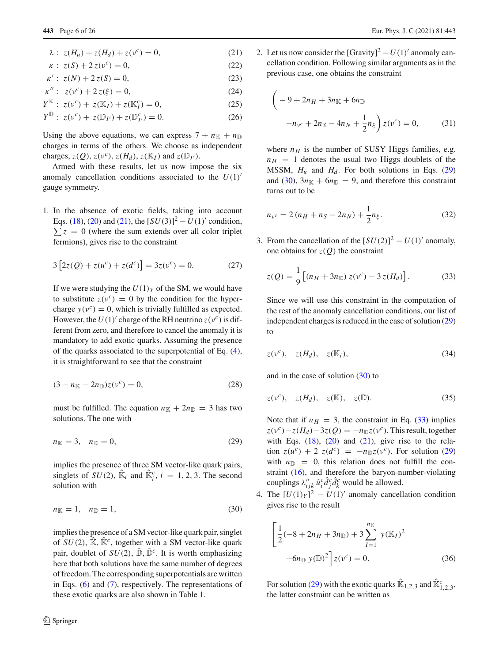$$
\lambda: z(H_u) + z(H_d) + z(v^c) = 0,
$$
\n(21)

$$
\kappa: z(S) + 2 z(v^c) = 0,
$$
 (22)

$$
\kappa' : z(N) + 2z(S) = 0,\t(23)
$$

$$
\kappa'' : z(\nu^c) + 2 z(\xi) = 0, \tag{24}
$$

$$
Y^{\mathbb{K}}: z(\nu^{c}) + z(\mathbb{K}_{I}) + z(\mathbb{K}_{I}^{c}) = 0,
$$
 (25)

$$
Y^{\mathbb{D}}: z(v^c) + z(\mathbb{D}_{I'}) + z(\mathbb{D}_{I'}^c) = 0.
$$
 (26)

Using the above equations, we can express  $7 + n\mathbb{R} + n\mathbb{D}$ charges in terms of the others. We choose as independent charges,  $z(Q)$ ,  $z(v^c)$ ,  $z(H_d)$ ,  $z(\mathbb{K}_I)$  and  $z(\mathbb{D}_{I'})$ .

Armed with these results, let us now impose the six anomaly cancellation conditions associated to the  $U(1)$ <sup>'</sup> gauge symmetry.

1. In the absence of exotic fields, taking into account Eqs. [\(18\)](#page-4-2), [\(20\)](#page-4-2) and [\(21\)](#page-4-2), the  $[SU(3)]^2 - U(1)'$  condition,  $\sum z = 0$  (where the sum extends over all color triplet fermions), gives rise to the constraint

$$
3[2z(Q) + z(uc) + z(dc)] = 3z(vc) = 0.
$$
 (27)

If we were studying the  $U(1)_Y$  of the SM, we would have to substitute  $z(v^c) = 0$  by the condition for the hypercharge  $y(v^c) = 0$ , which is trivially fulfilled as expected. However, the  $U(1)$ <sup>'</sup> charge of the RH neutrino  $z(v^c)$  is different from zero, and therefore to cancel the anomaly it is mandatory to add exotic quarks. Assuming the presence of the quarks associated to the superpotential of Eq. [\(4\)](#page-3-4), it is straightforward to see that the constraint

$$
(3 - nK - 2nD)z(vc) = 0,
$$
\n(28)

must be fulfilled. The equation  $n_{\mathbb{K}} + 2n_{\mathbb{D}} = 3$  has two solutions. The one with

<span id="page-5-0"></span>
$$
n_{\mathbb{K}} = 3, \quad n_{\mathbb{D}} = 0,\tag{29}
$$

implies the presence of three SM vector-like quark pairs, singlets of  $SU(2)$ ,  $\hat{\mathbb{K}}_i$  and  $\hat{\mathbb{K}}_i^c$ ,  $i = 1, 2, 3$ . The second solution with

<span id="page-5-1"></span>
$$
n_{\mathbb{K}} = 1, \quad n_{\mathbb{D}} = 1,\tag{30}
$$

implies the presence of a SM vector-like quark pair, singlet of  $SU(2)$ ,  $\hat{\mathbb{K}}$ ,  $\hat{\mathbb{K}}^c$ , together with a SM vector-like quark pair, doublet of  $SU(2)$ ,  $\hat{\mathbb{D}}$ ,  $\hat{\mathbb{D}}^c$ . It is worth emphasizing here that both solutions have the same number of degrees of freedom. The corresponding superpotentials are written in Eqs. [\(6\)](#page-3-1) and [\(7\)](#page-3-2), respectively. The representations of these exotic quarks are also shown in Table [1.](#page-4-1)

2. Let us now consider the  $[Gravity]<sup>2</sup> – U(1)'$  anomaly cancellation condition. Following similar arguments as in the previous case, one obtains the constraint

$$
\left(-9 + 2n_H + 3n_{\mathbb{K}} + 6n_{\mathbb{D}}\right)
$$

$$
-n_{\nu^c} + 2n_S - 4n_N + \frac{1}{2}n_{\xi}\right)z(\nu^c) = 0,
$$
 (31)

where  $n_H$  is the number of SUSY Higgs families, e.g.  $n_H$  = 1 denotes the usual two Higgs doublets of the MSSM,  $H_u$  and  $H_d$ . For both solutions in Eqs. [\(29\)](#page-5-0) and [\(30\)](#page-5-1),  $3n_{\mathbb{K}} + 6n_{\mathbb{D}} = 9$ , and therefore this constraint turns out to be

<span id="page-5-4"></span>
$$
n_{v^c} = 2(n_H + n_S - 2n_N) + \frac{1}{2}n_{\xi}.
$$
 (32)

3. From the cancellation of the  $[SU(2)]^2 - U(1)'$  anomaly, one obtains for  $z(Q)$  the constraint

<span id="page-5-2"></span>
$$
z(Q) = \frac{1}{9} [(n_H + 3n_{\mathbb{D}}) z(v^c) - 3 z(H_d)].
$$
 (33)

Since we will use this constraint in the computation of the rest of the anomaly cancellation conditions, our list of independent charges is reduced in the case of solution [\(29\)](#page-5-0) to

<span id="page-5-5"></span>
$$
z(\nu^c), \quad z(H_d), \quad z(\mathbb{K}_i), \tag{34}
$$

and in the case of solution [\(30\)](#page-5-1) to

$$
z(\nu^c), \quad z(H_d), \quad z(\mathbb{K}), \quad z(\mathbb{D}). \tag{35}
$$

Note that if  $n_H = 3$ , the constraint in Eq. [\(33\)](#page-5-2) implies  $z(v^c) - z(H_d) - 3z(Q) = -n_D z(v^c)$ . This result, together with Eqs.  $(18)$ ,  $(20)$  and  $(21)$ , give rise to the relation  $z(u^c) + 2 z(d^c) = -n_D z(v^c)$ . For solution [\(29\)](#page-5-0) with  $n_{\mathbb{D}} = 0$ , this relation does not fulfill the constraint [\(16\)](#page-4-3), and therefore the baryon-number-violating couplings  $\lambda''_{ijk} \hat{u}^c_i \hat{d}^c_j \hat{d}^c_k$  would be allowed.

4. The  $[U(1)_Y]^2 - U(1)'$  anomaly cancellation condition gives rise to the result

<span id="page-5-3"></span>
$$
\left[\frac{1}{2}(-8+2n_{H}+3n_{\mathbb{D}})+3\sum_{I=1}^{n_{\mathbb{K}}}y(\mathbb{K}_{I})^{2} +6n_{\mathbb{D}}y(\mathbb{D})^{2}\right]z(v^{c})=0.
$$
 (36)

For solution [\(29\)](#page-5-0) with the exotic quarks  $\hat{\mathbb{K}}_{1,2,3}$  and  $\hat{\mathbb{K}}_{1,2,3}^c$ , the latter constraint can be written as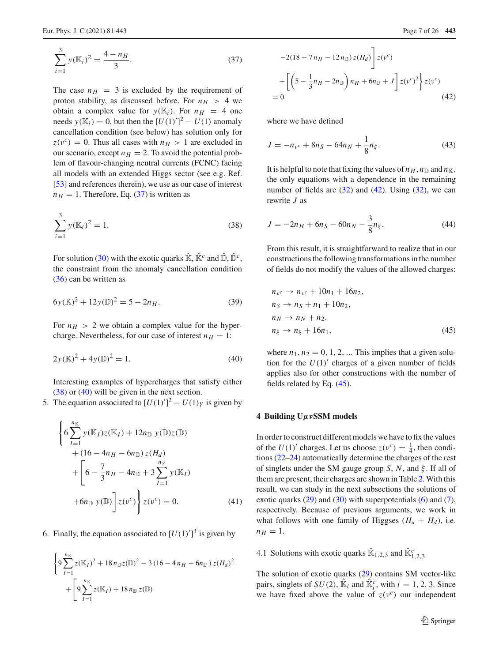<span id="page-6-2"></span>
$$
\sum_{i=1}^{3} y(K_i)^2 = \frac{4 - n_H}{3}.
$$
 (37)

The case  $n_H$  = 3 is excluded by the requirement of proton stability, as discussed before. For  $n_H > 4$  we obtain a complex value for  $y(K_i)$ . For  $n_H = 4$  one needs  $y(K_i) = 0$ , but then the  $[U(1)]^2 - U(1)$  anomaly cancellation condition (see below) has solution only for  $z(v^c) = 0$ . Thus all cases with  $n_H > 1$  are excluded in our scenario, except  $n_H = 2$ . To avoid the potential problem of flavour-changing neutral currents (FCNC) facing all models with an extended Higgs sector (see e.g. Ref. [\[53\]](#page-24-20) and references therein), we use as our case of interest  $n_H = 1$ . Therefore, Eq. [\(37\)](#page-6-2) is written as

<span id="page-6-3"></span>
$$
\sum_{i=1}^{3} y(K_i)^2 = 1.
$$
 (38)

For solution [\(30\)](#page-5-1) with the exotic quarks  $\hat{\mathbb{K}}$ ,  $\hat{\mathbb{K}}^c$  and  $\hat{\mathbb{D}}$ ,  $\hat{\mathbb{D}}^c$ , the constraint from the anomaly cancellation condition [\(36\)](#page-5-3) can be written as

$$
6y(\mathbb{K})^2 + 12y(\mathbb{D})^2 = 5 - 2n_H.
$$
 (39)

For  $n_H > 2$  we obtain a complex value for the hypercharge. Nevertheless, for our case of interest  $n_H = 1$ :

<span id="page-6-4"></span>
$$
2y(\mathbb{K})^2 + 4y(\mathbb{D})^2 = 1.
$$
 (40)

Interesting examples of hypercharges that satisfy either [\(38\)](#page-6-3) or [\(40\)](#page-6-4) will be given in the next section.

5. The equation associated to  $[U(1)']^2 - U(1)_Y$  is given by

<span id="page-6-7"></span>
$$
\left\{6\sum_{I=1}^{n_{\mathbb{K}}} y(\mathbb{K}_{I})z(\mathbb{K}_{I}) + 12n_{\mathbb{D}} y(\mathbb{D})z(\mathbb{D}) + (16 - 4n_{H} - 6n_{\mathbb{D}})z(H_{d}) + \left[6 - \frac{7}{3}n_{H} - 4n_{\mathbb{D}} + 3\sum_{I=1}^{n_{\mathbb{K}}} y(\mathbb{K}_{I}) + 6n_{\mathbb{D}} y(\mathbb{D})\right]z(\nu^{c})\right\}z(\nu^{c}) = 0.
$$
 (41)

6. Finally, the equation associated to  $[U(1)']^3$  is given by

<span id="page-6-5"></span>
$$
\begin{cases}\n9 \sum_{I=1}^{n_{\mathbb{K}}} z(\mathbb{K}_{I})^{2} + 18 n_{\mathbb{D}} z(\mathbb{D})^{2} - 3 (16 - 4 n_{H} - 6 n_{\mathbb{D}}) z(H_{d})^{2} \\
+ \left[ 9 \sum_{I=1}^{n_{\mathbb{K}}} z(\mathbb{K}_{I}) + 18 n_{\mathbb{D}} z(\mathbb{D})\right]\n\end{cases}
$$

$$
-2(18 - 7n_{H} - 12n_{D}) z(H_{d}) \left[ z(v^{c}) + \left[ \left( 5 - \frac{1}{3}n_{H} - 2n_{D} \right) n_{H} + 6n_{D} + J \right] z(v^{c})^{2} \right] z(v^{c}) = 0,
$$
\n(42)

where we have defined

$$
J = -n_{\nu^c} + 8n_S - 64n_N + \frac{1}{8}n_{\xi}.
$$
 (43)

It is helpful to note that fixing the values of  $n_H$ ,  $n_D$  and  $n_K$ , the only equations with a dependence in the remaining number of fields are  $(32)$  and  $(42)$ . Using  $(32)$ , we can rewrite *J* as

$$
J = -2n_H + 6n_S - 60n_N - \frac{3}{8}n_{\xi}.
$$
 (44)

From this result, it is straightforward to realize that in our constructions the following transformations in the number of fields do not modify the values of the allowed charges:

<span id="page-6-6"></span>
$$
n_{\nu^c} \rightarrow n_{\nu^c} + 10n_1 + 16n_2,
$$
  
\n
$$
n_S \rightarrow n_S + n_1 + 10n_2,
$$
  
\n
$$
n_N \rightarrow n_N + n_2,
$$
  
\n
$$
n_{\xi} \rightarrow n_{\xi} + 16n_1,
$$
\n(45)

where  $n_1$ ,  $n_2 = 0, 1, 2, \dots$  This implies that a given solution for the  $U(1)'$  charges of a given number of fields applies also for other constructions with the number of fields related by Eq. [\(45\)](#page-6-6).

#### <span id="page-6-0"></span>**4 Building U***μν***SSM models**

In order to construct different models we have to fix the values of the  $U(1)'$  charges. Let us choose  $z(v^c) = \frac{1}{4}$ , then conditions [\(22–24\)](#page-4-2) automatically determine the charges of the rest of singlets under the SM gauge group *S*, *N*, and ξ . If all of them are present, their charges are shown in Table [2.](#page-7-0) With this result, we can study in the next subsections the solutions of exotic quarks  $(29)$  and  $(30)$  with superpotentials  $(6)$  and  $(7)$ , respectively. Because of previous arguments, we work in what follows with one family of Higgses  $(H_u + H_d)$ , i.e.  $n_H = 1$ .

<span id="page-6-1"></span>4.1 Solutions with exotic quarks  $\hat{\mathbb{K}}_{1,2,3}$  and  $\hat{\mathbb{K}}_{1,2,3}^c$ 

The solution of exotic quarks [\(29\)](#page-5-0) contains SM vector-like pairs, singlets of  $SU(2)$ ,  $\hat{\mathbb{K}}_i$  and  $\hat{\mathbb{K}}_i^c$ , with  $i = 1, 2, 3$ . Since we have fixed above the value of  $z(v^c)$  our independent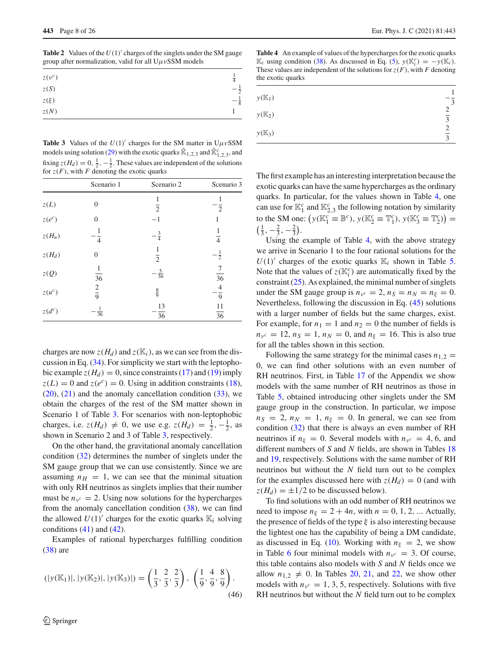<span id="page-7-0"></span>**Table 2** Values of the  $U(1)$  charges of the singlets under the SM gauge group after normalization, valid for all  $U \mu v$ SSM models

| $z(v^c)$ | $\overline{4}$ |
|----------|----------------|
| z(S)     | $\overline{2}$ |
| $z(\xi)$ | $-\frac{5}{8}$ |
| z(N)     |                |

<span id="page-7-1"></span>**Table 3** Values of the  $U(1)$ <sup>'</sup> charges for the SM matter in  $U\mu vSSM$ models using solution [\(29\)](#page-5-0) with the exotic quarks  $\mathbb{R}_{1,2,3}$  and  $\mathbb{R}_{1,2,3}^c$ , and fixing  $z(H_d) = 0, \frac{1}{2}, -\frac{1}{2}$ . These values are independent of the solutions for  $z(F)$ , with *F* denoting the exotic quarks

|                       | Scenario 1      | Scenario 2      | Scenario 3                        |
|-----------------------|-----------------|-----------------|-----------------------------------|
| z(L)                  | $\overline{0}$  | $\overline{2}$  | $\overline{2}$                    |
| $z(e^c)$              | $\overline{0}$  | $-1$            | 1                                 |
| $z(H_u)$              | $\overline{4}$  | $\frac{3}{4}$   | $\overline{4}$                    |
| $z(H_d)$              | $\overline{0}$  | $\overline{2}$  | $-\frac{1}{2}$                    |
| $z(Q)$                | $\overline{36}$ | $-\frac{5}{36}$ | $\overline{7}$<br>$\overline{36}$ |
| $z(u^c)$              | $rac{2}{9}$     | $\frac{8}{9}$   | 4<br>9                            |
| $\boldsymbol{z}(d^c)$ | $rac{1}{36}$    | 13<br>36        | 11<br>$\overline{36}$             |

charges are now  $z(H_d)$  and  $z(K_i)$ , as we can see from the discussion in Eq. [\(34\)](#page-5-5). For simplicity we start with the leptophobic example  $z(H_d) = 0$ , since constraints [\(17\)](#page-4-3) and [\(19\)](#page-4-2) imply  $z(L) = 0$  and  $z(e^c) = 0$ . Using in addition constraints [\(18\)](#page-4-2),  $(20)$ ,  $(21)$  and the anomaly cancellation condition  $(33)$ , we obtain the charges of the rest of the SM matter shown in Scenario 1 of Table [3.](#page-7-1) For scenarios with non-leptophobic charges, i.e.  $z(H_d) \neq 0$ , we use e.g.  $z(H_d) = \frac{1}{2}, -\frac{1}{2}$ , as shown in Scenario 2 and 3 of Table [3,](#page-7-1) respectively.

On the other hand, the gravitational anomaly cancellation condition [\(32\)](#page-5-4) determines the number of singlets under the SM gauge group that we can use consistently. Since we are assuming  $n_H = 1$ , we can see that the minimal situation with only RH neutrinos as singlets implies that their number must be  $n_{\nu^c} = 2$ . Using now solutions for the hypercharges from the anomaly cancellation condition  $(38)$ , we can find the allowed  $U(1)'$  charges for the exotic quarks  $\mathbb{K}_i$  solving conditions  $(41)$  and  $(42)$ .

Examples of rational hypercharges fulfilling condition [\(38\)](#page-6-3) are

$$
(|y(\mathbb{K}_1)|, |y(\mathbb{K}_2)|, |y(\mathbb{K}_3)|) = \left(\frac{1}{3}, \frac{2}{3}, \frac{2}{3}\right), \left(\frac{1}{9}, \frac{4}{9}, \frac{8}{9}\right).
$$
\n(46)

<span id="page-7-2"></span>**Table 4** An example of values of the hypercharges for the exotic quarks  $\mathbb{K}_i$  using condition [\(38\)](#page-6-3). As discussed in Eq. [\(5\)](#page-3-3), *y*( $\mathbb{K}_i^c$ ) = −*y*( $\mathbb{K}_i$ ). These values are independent of the solutions for  $z(F)$ , with *F* denoting the exotic quarks

| $y(K_1)$ | 3                   |
|----------|---------------------|
| $y(K_2)$ | $\overline{3}$      |
| $y(K_3)$ | 2<br>$\overline{3}$ |

The first example has an interesting interpretation because the exotic quarks can have the same hypercharges as the ordinary quarks. In particular, for the values shown in Table [4,](#page-7-2) one can use for  $\mathbb{K}_1^c$  and  $\mathbb{K}_{2,3}^c$  the following notation by similarity to the SM one:  $(y(K_1^c \equiv \mathbb{B}^c), y(K_2^c \equiv \mathbb{T}_1^c), y(K_3^c \equiv \mathbb{T}_2^c))$  =  $\left(\frac{1}{3}, -\frac{2}{3}, -\frac{2}{3}\right)$ .

Using the example of Table [4,](#page-7-2) with the above strategy we arrive in Scenario 1 to the four rational solutions for the  $U(1)'$  charges of the exotic quarks  $\mathbb{K}_i$  shown in Table [5.](#page-8-0) Note that the values of  $z(K_i^c)$  are automatically fixed by the constraint  $(25)$ . As explained, the minimal number of singlets under the SM gauge group is  $n<sub>v</sub>c = 2$ ,  $n<sub>S</sub> = n<sub>N</sub> = n<sub>ξ</sub> = 0$ . Nevertheless, following the discussion in Eq. [\(45\)](#page-6-6) solutions with a larger number of fields but the same charges, exist. For example, for  $n_1 = 1$  and  $n_2 = 0$  the number of fields is  $n_{v^c} = 12$ ,  $n_S = 1$ ,  $n_N = 0$ , and  $n_{\xi} = 16$ . This is also true for all the tables shown in this section.

Following the same strategy for the minimal cases  $n_{1,2}$ 0, we can find other solutions with an even number of RH neutrinos. First, in Table [17](#page-20-2) of the Appendix we show models with the same number of RH neutrinos as those in Table [5,](#page-8-0) obtained introducing other singlets under the SM gauge group in the construction. In particular, we impose  $n_S = 2$ ,  $n_N = 1$ ,  $n_{\xi} = 0$ . In general, we can see from condition [\(32\)](#page-5-4) that there is always an even number of RH neutrinos if  $n_{\xi} = 0$ . Several models with  $n_{\gamma c} = 4, 6$ , and different numbers of *S* and *N* fields, are shown in Tables [18](#page-20-3) and [19,](#page-21-0) respectively. Solutions with the same number of RH neutrinos but without the *N* field turn out to be complex for the examples discussed here with  $z(H_d) = 0$  (and with  $z(H_d) = \pm 1/2$  to be discussed below).

To find solutions with an odd number of RH neutrinos we need to impose  $n_{\xi} = 2 + 4n$ , with  $n = 0, 1, 2, ...$  Actually, the presence of fields of the type  $\xi$  is also interesting because the lightest one has the capability of being a DM candidate, as discussed in Eq. [\(10\)](#page-4-4). Working with  $n_{\xi} = 2$ , we show in Table [6](#page-8-1) four minimal models with  $n_{\nu^c} = 3$ . Of course, this table contains also models with *S* and *N* fields once we allow  $n_{1,2} \neq 0$ . In Tables [20,](#page-21-1) [21,](#page-21-2) and [22,](#page-21-3) we show other models with  $n_{\nu^c} = 1, 3, 5$ , respectively. Solutions with five RH neutrinos but without the *N* field turn out to be complex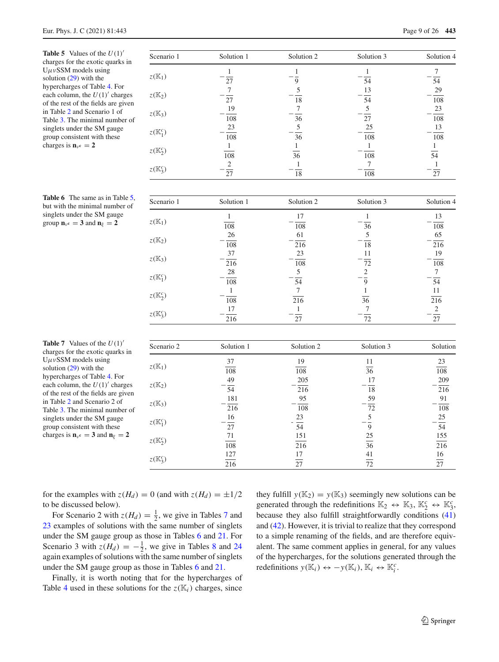<span id="page-8-0"></span>**Table 5** Values of the  $U(1)$ <sup>'</sup> charges for the exotic quarks in  $U \mu v$ SSM models using solution [\(29\)](#page-5-0) with the hypercharges of Table [4.](#page-7-2) For each column, the  $U(1)$ <sup>'</sup> charges of the rest of the fields are given in Table [2](#page-7-0) and Scenario 1 of Table [3.](#page-7-1) The minimal number of singlets under the SM gauge group consistent with these charges is  $n_v = 2$ 

| Scenario 1          | Solution 1       | Solution 2      | Solution 3       | Solution 4      |
|---------------------|------------------|-----------------|------------------|-----------------|
|                     |                  |                 | 1                | 7               |
| $z(\mathbb{K}_1)$   | 27               | 9               | 54               | 54              |
|                     | 7                | 5               | 13               | 29              |
| $z(\mathbb{K}_2)$   | 27               | $\overline{18}$ | $\overline{54}$  | 108             |
|                     | 19               | 7               | 5                | 23              |
| $z(\mathbb{K}_3)$   | 108              | 36              | $27\,$           | 108             |
|                     | 23               | 5               | 25               | 13              |
| $z(\mathbb{K}_1^c)$ | 108              | 36              | 108              | 108             |
|                     |                  |                 | 1                | 1               |
| $z(\mathbb{K}_2^c)$ | $\overline{108}$ | $\overline{36}$ | $\overline{108}$ | $\overline{54}$ |
|                     | $\overline{c}$   |                 | 7                | 1               |
| $z(\mathbb{K}_3^c)$ | 27               | 18              | 108              | 27              |
| Scenario 1          | Solution 1       | Solution 2      | Solution 3       | Solution 4      |
|                     | 1                | 17              | T                | 13              |
| $z(\mathbb{K}_1)$   | 108              | 108             | 36               | 108             |
|                     | 26               | 61              | 5                | 65              |
| $z(\mathbb{K}_2)$   | 108              | 216             | 18               | 216             |
|                     | 37               | 23              | 11               | 19              |
| $z(\mathbb{K}_3)$   | 216              | 108             | 72               | 108             |
|                     |                  |                 |                  |                 |

<span id="page-8-1"></span>**Table 6** The same as in Table [5,](#page-8-0) but with the minimal number of singlets under the SM gauge group  $\mathbf{n}_{\nu}$ **c** = **3** and  $\mathbf{n}_{\xi}$  = **2** 

| $\sim$ ( $\sim$ $\sim$ $\sim$ $\prime$ | 108        | 216        | 18              | 216              |
|----------------------------------------|------------|------------|-----------------|------------------|
|                                        | 37         | 23         | 11              | 19               |
| $z(\mathbb{K}_3)$                      | 216        | 108        | 72              | 108              |
|                                        | 28         | 5          | 2               | 7                |
| $z(\mathbb{K}_1^c)$                    | 108        | 54         | 9               | $\overline{54}$  |
| $z(\mathbb{K}_2^c)$                    |            | 7          |                 | 11               |
|                                        | 108        | 216        | 36              | $\overline{216}$ |
| $z(\mathbb{K}_3^c)$                    | 17         |            | 7               | 2                |
|                                        | 216        | 27         | 72              | $\overline{27}$  |
|                                        |            |            |                 |                  |
| Scenario 2                             | Solution 1 | Solution 2 | Solution 3      | Solution         |
|                                        | 37         | 19         | 11              | 23               |
| $z(\mathbb{K}_1)$                      | 108        | 108        | $\overline{36}$ | 108              |
|                                        | 49         | 205        | 17              | 209              |
| $z(\mathbb{K}_2)$                      | 54         | 216        | 18              | 216              |
|                                        | 181        | 95         | 59              | 91               |
| $z(\mathbb{K}_3)$                      | 216        | 108        | 72              | 108              |

151 216

17  $\overline{27}$ 

 $rac{16}{27}$  -  $rac{23}{54}$ 

<span id="page-8-2"></span>

| <b>Table 7</b> Values of the $U(1)'$                    |
|---------------------------------------------------------|
| charges for the exotic quarks in                        |
| $U\mu\nu$ SSM models using                              |
| solution $(29)$ with the                                |
| hypercharges of Table 4. For                            |
| each column, the $U(1)'$ charges                        |
| of the rest of the fields are given                     |
| in Table 2 and Scenario 2 of                            |
| Table 3. The minimal number of                          |
| singlets under the SM gauge                             |
| group consistent with these                             |
| charges is $n_{\nu}$ <sup>c</sup> = 3 and $n_{\xi}$ = 2 |
|                                                         |

| for the examples with $z(H_d) = 0$ (and with $z(H_d) = \pm 1/2$ ) | they |
|-------------------------------------------------------------------|------|
| to be discussed below).                                           | gene |

 $z(\mathbb{K}_1^c)$ 

*z*(K*<sup>c</sup>* 2)

*z*(K*<sup>c</sup>* 3)

 $\frac{c}{1}$ )  $-\frac{16}{27}$ 

71 108

127 216

For Scenario 2 with  $z(H_d) = \frac{1}{2}$ , we give in Tables [7](#page-8-2) and [23](#page-21-4) examples of solutions with the same number of singlets under the SM gauge group as those in Tables [6](#page-8-1) and [21.](#page-21-2) For Scenario 3 with  $z(H_d) = -\frac{1}{2}$ , we give in Tables [8](#page-9-1) and [24](#page-22-1) again examples of solutions with the same number of singlets under the SM gauge group as those in Tables [6](#page-8-1) and [21.](#page-21-2)

Finally, it is worth noting that for the hypercharges of Table [4](#page-7-2) used in these solutions for the  $z(K_i)$  charges, since

fulfill  $y(K_2) = y(K_3)$  seemingly new solutions can be generated through the redefinitions  $\mathbb{K}_2 \leftrightarrow \mathbb{K}_3$ ,  $\mathbb{K}_2^c \leftrightarrow \mathbb{K}_3^c$ , because they also fulfill straightforwardly conditions [\(41\)](#page-6-7) and [\(42\)](#page-6-5). However, it is trivial to realize that they correspond to a simple renaming of the fields, and are therefore equivalent. The same comment applies in general, for any values of the hypercharges, for the solutions generated through the redefinitions  $y(\mathbb{K}_i) \leftrightarrow -y(\mathbb{K}_i)$ ,  $\mathbb{K}_i \leftrightarrow \mathbb{K}_i^c$ .

25 36

41 72

 $\frac{23}{54}$  -  $\frac{5}{9}$ 

54

155 216

16  $\overline{27}$ 

 $\frac{5}{9}$   $-\frac{25}{54}$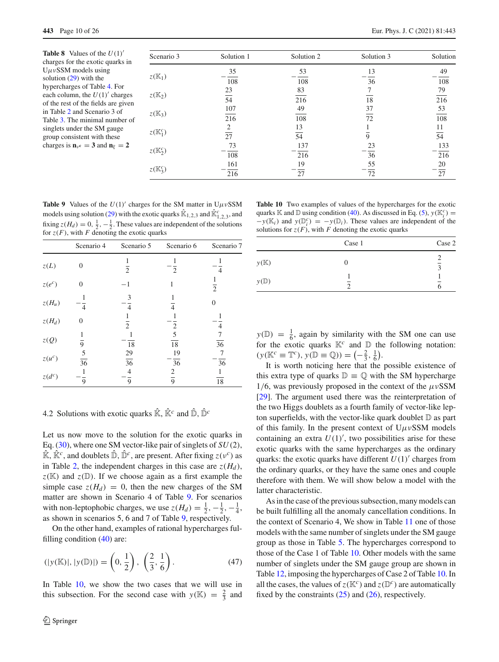<span id="page-9-1"></span>**Table 8** Values of the  $U(1)$ <sup>'</sup> charges for the exotic quarks in UμνSSM models using solution [\(29\)](#page-5-0) with the hypercharges of Table [4.](#page-7-2) For each column, the  $U(1)$ <sup>'</sup> charges of the rest of the fields are given in Table [2](#page-7-0) and Scenario 3 of Table [3.](#page-7-1) The minimal number of singlets under the SM gauge group consistent with these charges is  $\mathbf{n}_{v} = 3$  and  $\mathbf{n}_{\xi} = 2$ 

| Scenario 3          | Solution 1       | Solution 2      | Solution 3 | Solution        |
|---------------------|------------------|-----------------|------------|-----------------|
|                     | 35               | 53              | 13         | 49              |
| $z(\mathbb{K}_1)$   | 108              | 108             | 36         | 108             |
|                     | 23               | 83              |            | 79              |
| $z(\mathbb{K}_2)$   | $\overline{54}$  | 216             | 18         | 216             |
|                     | 107              | 49              | 37         | 53              |
| $z(\mathbb{K}_3)$   | $\overline{216}$ | 108             | 72         | 108             |
|                     | 2                | 13              |            | 11              |
| $z(\mathbb{K}_1^c)$ | 27               | $\overline{54}$ | 9          | $\overline{54}$ |
|                     | 73               | 137             | 23         | 133             |
| $z(\mathbb{K}_2^c)$ | 108              | 216             | 36         | 216             |
|                     | 161              | 19              | 55         | 20              |
| $z(\mathbb{K}_3^c)$ | 216              | 27              | 72         | 27              |

<span id="page-9-2"></span>**Table 9** Values of the  $U(1)$  charges for the SM matter in  $U\mu vSSM$ models using solution [\(29\)](#page-5-0) with the exotic quarks  $\mathbb{R}_{1,2,3}$  and  $\mathbb{R}_{1,2,3}^c$ , and fixing  $z(H_d) = 0, \frac{1}{2}, -\frac{1}{2}$ . These values are independent of the solutions for  $z(F)$ , with *F* denoting the exotic quarks

|          | Scenario 4           | Scenario 5            | Scenario 6          | Scenario 7      |
|----------|----------------------|-----------------------|---------------------|-----------------|
| z(L)     | $\theta$             | $\overline{2}$        | $\overline{c}$      | 4               |
| $z(e^c)$ | $\Omega$             | $^{-1}$               | 1                   | $\overline{2}$  |
| $z(H_u)$ | 4                    | 3                     | $\overline{4}$      | 0               |
| $z(H_d)$ | $\theta$             | $\overline{2}$        | 2                   | 4               |
| $z(Q)$   | 9                    | 18                    | 5<br>18             | $\overline{36}$ |
| $z(u^c)$ | 5<br>$\overline{36}$ | 29<br>$\overline{36}$ | 19<br>36            | 36              |
| $z(d^c)$ | 9                    | 4<br>9                | 2<br>$\overline{9}$ | 18              |

## <span id="page-9-0"></span>4.2 Solutions with exotic quarks  $\hat{\mathbb{K}}$ ,  $\hat{\mathbb{K}}^c$  and  $\hat{\mathbb{D}}$ ,  $\hat{\mathbb{D}}^c$

Let us now move to the solution for the exotic quarks in Eq. [\(30\)](#page-5-1), where one SM vector-like pair of singlets of *SU*(2),  $\hat{\mathbb{K}}$ ,  $\hat{\mathbb{K}}^c$ , and doublets  $\hat{\mathbb{D}}$ ,  $\hat{\mathbb{D}}^c$ , are present. After fixing  $z(v^c)$  as in Table [2,](#page-7-0) the independent charges in this case are  $z(H_d)$ ,  $z(\mathbb{K})$  and  $z(\mathbb{D})$ . If we choose again as a first example the simple case  $z(H_d) = 0$ , then the new charges of the SM matter are shown in Scenario 4 of Table [9.](#page-9-2) For scenarios with non-leptophobic charges, we use  $z(H_d) = \frac{1}{2}, -\frac{1}{2}, -\frac{1}{4}$ , as shown in scenarios 5, 6 and 7 of Table [9,](#page-9-2) respectively.

On the other hand, examples of rational hypercharges fulfilling condition [\(40\)](#page-6-4) are:

$$
(|y(\mathbb{K})|, |y(\mathbb{D})|) = \left(0, \frac{1}{2}\right), \left(\frac{2}{3}, \frac{1}{6}\right). \tag{47}
$$

In Table [10,](#page-9-3) we show the two cases that we will use in this subsection. For the second case with  $y(K) = \frac{2}{3}$  and

quarks K and D using condition [\(40\)](#page-6-4). As discussed in Eq. [\(5\)](#page-3-3),  $y(K_i^c)$  =  $-y(K_i)$  and  $y(\mathbb{D}_i^c) = -y(\mathbb{D}_i)$ . These values are independent of the solutions for  $z(F)$ , with *F* denoting the exotic quarks Case 1 Case 2

<span id="page-9-3"></span>**Table 10** Two examples of values of the hypercharges for the exotic

|                 | Case 1                        | Case 2                                   |
|-----------------|-------------------------------|------------------------------------------|
| $y(\mathbb{K})$ |                               | $\overline{\mathbf{a}}$                  |
| $y(\mathbb{D})$ | $\overline{\phantom{a}}$<br>っ | $\overline{\phantom{a}}$<br><sub>(</sub> |
|                 |                               |                                          |

 $y(\mathbb{D}) = \frac{1}{6}$ , again by similarity with the SM one can use for the exotic quarks  $K^c$  and  $D$  the following notation:  $(y(K^c \equiv T^c), y(\mathbb{D} \equiv \mathbb{Q})) = \left(-\frac{2}{3}, \frac{1}{6}\right).$ 

It is worth noticing here that the possible existence of this extra type of quarks  $\mathbb{D} \equiv \mathbb{Q}$  with the SM hypercharge 1/6, was previously proposed in the context of the  $\mu$ vSSM [\[29](#page-24-3)]. The argument used there was the reinterpretation of the two Higgs doublets as a fourth family of vector-like lepton superfields, with the vector-like quark doublet  $D$  as part of this family. In the present context of  $U \mu v$ SSM models containing an extra  $U(1)'$ , two possibilities arise for these exotic quarks with the same hypercharges as the ordinary quarks: the exotic quarks have different  $U(1)$ <sup>'</sup> charges from the ordinary quarks, or they have the same ones and couple therefore with them. We will show below a model with the latter characteristic.

As in the case of the previous subsection, many models can be built fulfilling all the anomaly cancellation conditions. In the context of Scenario 4, We show in Table [11](#page-10-1) one of those models with the same number of singlets under the SM gauge group as those in Table [5.](#page-8-0) The hypercharges correspond to those of the Case 1 of Table [10.](#page-9-3) Other models with the same number of singlets under the SM gauge group are shown in Table [12,](#page-10-2) imposing the hypercharges of Case 2 of Table [10.](#page-9-3) In all the cases, the values of  $z(K^c)$  and  $z(D^c)$  are automatically fixed by the constraints  $(25)$  and  $(26)$ , respectively.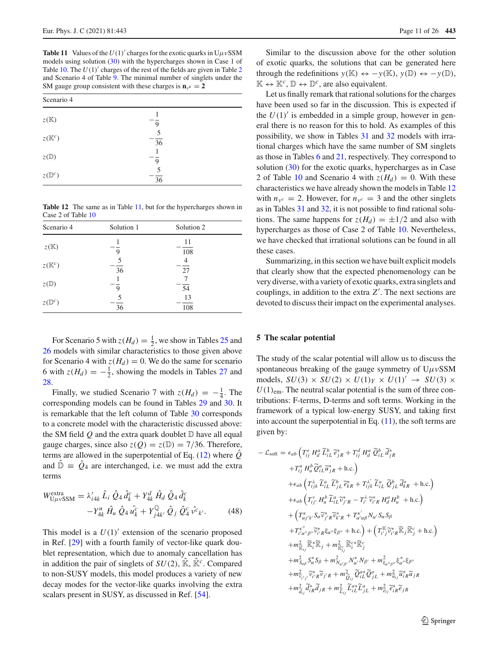<span id="page-10-1"></span>**Table 11** Values of the  $U(1)$  charges for the exotic quarks in  $U\mu\nu$ SSM models using solution [\(30\)](#page-5-1) with the hypercharges shown in Case 1 of Table  $10$ . The  $U(1)$ <sup>'</sup> charges of the rest of the fields are given in Table [2](#page-7-0) and Scenario 4 of Table [9.](#page-9-2) The minimal number of singlets under the SM gauge group consistent with these charges is  $\mathbf{n}_{v} = 2$ 

| Scenario 4        |                      |  |
|-------------------|----------------------|--|
| $z(\mathbb{K})$   | 9                    |  |
| $z(\mathbb{K}^c)$ | 5<br>$\overline{36}$ |  |
| $z(\mathbb{D})$   | 9                    |  |
| $z(\mathbb{D}^c)$ | 5<br>$\overline{36}$ |  |

<span id="page-10-2"></span>**Table 12** The same as in Table [11,](#page-10-1) but for the hypercharges shown in Case 2 of Table [10](#page-9-3)

| Scenario 4        | Solution 1 | Solution 2 |  |
|-------------------|------------|------------|--|
| $z(\mathbb{K})$   | 9          | 11<br>108  |  |
| $z(\mathbb{K}^c)$ | 5<br>36    | 4<br>27    |  |
| $z(\mathbb{D})$   | 9          | 54         |  |
| $z(\mathbb{D}^c)$ | 5<br>36    | 13<br>108  |  |

For Scenario 5 with  $z(H_d) = \frac{1}{2}$ , we show in Tables [25](#page-22-2) and [26](#page-22-3) models with similar characteristics to those given above for Scenario 4 with  $z(H_d) = 0$ . We do the same for scenario 6 with  $z(H_d) = -\frac{1}{2}$ , showing the models in Tables [27](#page-22-4) and [28.](#page-22-5)

Finally, we studied Scenario 7 with  $z(H_d) = -\frac{1}{4}$ . The corresponding models can be found in Tables [29](#page-22-6) and [30.](#page-22-7) It is remarkable that the left column of Table [30](#page-22-7) corresponds to a concrete model with the characteristic discussed above: the SM field  $Q$  and the extra quark doublet  $D$  have all equal gauge charges, since also  $z(Q) = z(\mathbb{D}) = 7/36$ . Therefore, terms are allowed in the superpotential of Eq.  $(12)$  where  $\ddot{Q}$ and  $\hat{\mathbb{D}} = \hat{Q}_4$  are interchanged, i.e. we must add the extra terms

$$
W_{U\mu\nu\text{SSM}}^{\text{extra}} = \lambda'_{i4k} \hat{L}_i \hat{Q}_4 \hat{d}_k^c + Y_{4k}^d \hat{H}_d \hat{Q}_4 \hat{d}_k^c
$$
  
-Y\_{4k}^u \hat{H}\_u \hat{Q}\_4 \hat{u}\_k^c + Y\_{j4k'}^{\mathbb{Q}} \hat{Q}\_j \hat{Q}\_4^c \hat{v}^c\_{k'}. (48)

This model is a  $U(1)'$  extension of the scenario proposed in Ref. [\[29](#page-24-3)] with a fourth family of vector-like quark doublet representation, which due to anomaly cancellation has in addition the pair of singlets of  $SU(2)$ ,  $\hat{\mathbb{K}}$ ,  $\hat{\mathbb{K}}^c$ . Compared to non-SUSY models, this model produces a variety of new decay modes for the vector-like quarks involving the extra scalars present in SUSY, as discussed in Ref. [\[54\]](#page-24-21).

Similar to the discussion above for the other solution of exotic quarks, the solutions that can be generated here through the redefinitions  $y(\mathbb{K}) \leftrightarrow -y(\mathbb{K}), y(\mathbb{D}) \leftrightarrow -y(\mathbb{D}),$  $\mathbb{K} \leftrightarrow \mathbb{K}^c$ ,  $\mathbb{D} \leftrightarrow \mathbb{D}^c$ , are also equivalent.

Let us finally remark that rational solutions for the charges have been used so far in the discussion. This is expected if the  $U(1)'$  is embedded in a simple group, however in general there is no reason for this to hold. As examples of this possibility, we show in Tables [31](#page-23-21) and [32](#page-23-22) models with irrational charges which have the same number of SM singlets as those in Tables [6](#page-8-1) and [21,](#page-21-2) respectively. They correspond to solution [\(30\)](#page-5-1) for the exotic quarks, hypercharges as in Case 2 of Table [10](#page-9-3) and Scenario 4 with  $z(H_d) = 0$ . With these characteristics we have already shown the models in Table [12](#page-10-2) with  $n_{\nu^c} = 2$ . However, for  $n_{\nu^c} = 3$  and the other singlets as in Tables [31](#page-23-21) and [32,](#page-23-22) it is not possible to find rational solutions. The same happens for  $z(H_d) = \pm 1/2$  and also with hypercharges as those of Case 2 of Table [10.](#page-9-3) Nevertheless, we have checked that irrational solutions can be found in all these cases.

Summarizing, in this section we have built explicit models that clearly show that the expected phenomenology can be very diverse, with a variety of exotic quarks, extra singlets and couplings, in addition to the extra  $Z'$ . The next sections are devoted to discuss their impact on the experimental analyses.

## <span id="page-10-0"></span>**5 The scalar potential**

The study of the scalar potential will allow us to discuss the spontaneous breaking of the gauge symmetry of  $U \mu v$ SSM models,  $SU(3) \times SU(2) \times U(1)_Y \times U(1)' \rightarrow SU(3) \times$  $U(1)_{\text{em}}$ . The neutral scalar potential is the sum of three contributions: F-terms, D-terms and soft terms. Working in the framework of a typical low-energy SUSY, and taking first into account the superpotential in Eq.  $(11)$ , the soft terms are given by:

<span id="page-10-3"></span>
$$
- \mathcal{L}_{soft} = \epsilon_{ab} \left( T_{ij}^e H_d^a \tilde{L}_{iL}^b \tilde{\epsilon}_{jR}^* + T_{ij}^d H_d^a \tilde{Q}_{iL}^b \tilde{d}_{jR}^* \right. \left. + T_{ij}^u H_u^b \tilde{Q}_{iL}^a \tilde{u}_{jR}^* + \text{h.c.} \right) \left. + \epsilon_{ab} \left( T_{ijk}^{\lambda} \tilde{L}_{iL}^a \tilde{L}_{jL}^b \tilde{\epsilon}_{kR}^* + T_{ijk}^{\lambda'} \tilde{L}_{iL}^a \tilde{Q}_{jL}^b \tilde{d}_{kR}^* + \text{h.c.} \right) \right. \left. + \epsilon_{ab} \left( T_{ij}^{\lambda'} H_u^b \tilde{L}_{iL}^a \tilde{D}_{jL}^* \tilde{\epsilon}_{kR}^* + T_{ijk}^{\lambda'} \tilde{L}_{iL}^a \tilde{Q}_{jL}^b \tilde{d}_{kR}^* + \text{h.c.} \right) \right. \left. + \left( T_{ij'}^{\kappa} H_u^b \tilde{L}_{iL}^a \tilde{\nu}_{j'R}^* - T_{i'}^{\lambda} \tilde{\nu}_{i'R}^* H_d^d H_u^b + \text{h.c.} \right) \right. \left. + \left( T_{aj'k'}^{\kappa} S_a \tilde{\nu}_{j'R}^* \tilde{\kappa}_{k'R} + T_{a'a\beta}^{\kappa'} N_{a'} S_a S_\beta \right. \left. + T_{i'a''\beta''}^{\kappa} \tilde{\nu}_{i'R}^* \tilde{\kappa}_{j''} + \text{h.c.} \right) + \left( T_{i'j}^{\kappa} \tilde{\nu}_{i'R}^* \tilde{\kappa}_{j} \tilde{\kappa}_{j'}^c + \text{h.c.} \right) \right. \left. + m_{\tilde{\kappa}_{ij}}^2 \tilde{\kappa}_{i}^* \tilde{\kappa}_{j} + m_{\tilde{\kappa}_{ij}}^2 \tilde{\kappa}_{i'}^* \tilde{\kappa}_{j'}^c \right. \left. + m_{S_{a\beta}}^2 S_a^* S_\beta + m_{N_{a'\beta'}}^2 \tilde{Q}_{iL}^a \tilde{Q}_{jL}
$$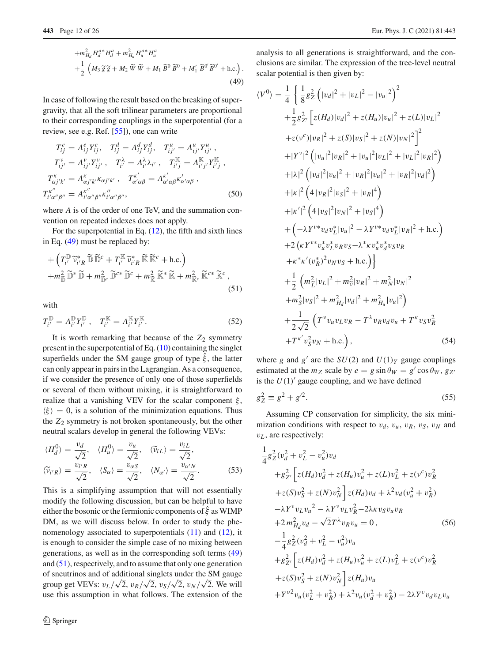$$
+m_{H_d}^2 H_d^{a*} H_d^{a} + m_{H_u}^2 H_u^{a*} H_u^{a*} + \frac{1}{2} \left( M_3 \tilde{g} \tilde{g} + M_2 \tilde{W} \tilde{W} + M_1 \tilde{B}^0 \tilde{B}^0 + M'_1 \tilde{B}^{0'} \tilde{B}^{0'} + \text{h.c.} \right).
$$
\n(49)

In case of following the result based on the breaking of supergravity, that all the soft trilinear parameters are proportional to their corresponding couplings in the superpotential (for a review, see e.g. Ref. [\[55\]](#page-24-22)), one can write

<span id="page-11-1"></span>
$$
T_{ij}^{e} = A_{ij}^{e} Y_{ij}^{e}, \quad T_{ij}^{d} = A_{ij}^{d} Y_{ij}^{d}, \quad T_{ij'}^{u} = A_{ij'}^{u} Y_{ij'}^{u},
$$

$$
T_{ij'}^{v} = A_{ij'}^{v} Y_{ij'}^{v}, \quad T_{i'}^{\lambda} = A_{i'}^{\lambda} \lambda_{i'}, \quad T_{i'j}^{\mathbb{K}} = A_{i'j'}^{\mathbb{K}} Y_{ij}^{\mathbb{K}},
$$

$$
T_{\alpha j'k'}^{k'} = A_{\alpha j'k'}^{k'} \kappa_{\alpha j'k'}, \quad T_{\alpha'\alpha\beta}^{k'} = A_{\alpha'\alpha\beta}^{k'} \kappa_{\alpha'\alpha\beta}^{k'},
$$

$$
T_{i'\alpha''\beta''}^{k''} = A_{i'\alpha''\beta''}^{k''} \kappa_{i'\alpha''\beta''}^{k''}, \tag{50}
$$

where *A* is of the order of one TeV, and the summation convention on repeated indexes does not apply.

For the superpotential in Eq.  $(12)$ , the fifth and sixth lines in Eq. [\(49\)](#page-10-3) must be replaced by:

<span id="page-11-0"></span>
$$
+\left(T_i^{\mathbb{D}}\widetilde{\nu}_{i'R}^*\widetilde{\mathbb{D}}\widetilde{\mathbb{D}}^c + T_{i'}^{\mathbb{K}}\widetilde{\nu}_{i'R}^*\widetilde{\mathbb{K}}\widetilde{\mathbb{K}}^c + \text{h.c.}\right) + m_{\widetilde{\mathbb{D}}}\widetilde{\mathbb{D}}^*\widetilde{\mathbb{D}} + m_{\widetilde{\mathbb{D}}^c}^2\widetilde{\mathbb{D}}^{c*}\widetilde{\mathbb{D}}^c + m_{\widetilde{\mathbb{K}}}^2\widetilde{\mathbb{K}}^*\widetilde{\mathbb{K}} + m_{\widetilde{\mathbb{K}}^c}^2\widetilde{\mathbb{K}}^{c*}\widetilde{\mathbb{K}}^c ,
$$
\n(51)

with

$$
T_{i'}^{\mathbb{D}} = A_{i'}^{\mathbb{D}} Y_{i'}^{\mathbb{D}}, \quad T_{i'}^{\mathbb{K}} = A_{i'}^{\mathbb{K}} Y_{i'}^{\mathbb{K}}.
$$
 (52)

It is worth remarking that because of the  $Z_2$  symmetry present in the superpotential of Eq.  $(10)$  containing the singlet superfields under the SM gauge group of type  $\xi$ , the latter can only appear in pairs in the Lagrangian. As a consequence, if we consider the presence of only one of those superfields or several of them without mixing, it is straightforward to realize that a vanishing VEV for the scalar component  $\xi$ ,  $\langle \xi \rangle = 0$ , is a solution of the minimization equations. Thus the *Z*<sup>2</sup> symmetry is not broken spontaneously, but the other neutral scalars develop in general the following VEVs:

<span id="page-11-2"></span>
$$
\langle H_d^0 \rangle = \frac{v_d}{\sqrt{2}}, \quad \langle H_u^0 \rangle = \frac{v_u}{\sqrt{2}}, \quad \langle \widetilde{v}_{iL} \rangle = \frac{v_{iL}}{\sqrt{2}},
$$
  

$$
\langle \widetilde{v}_{i'R} \rangle = \frac{v_{i'R}}{\sqrt{2}}, \quad \langle S_\alpha \rangle = \frac{v_{\alpha S}}{\sqrt{2}}, \quad \langle N_{\alpha'} \rangle = \frac{v_{\alpha'} N}{\sqrt{2}}.
$$
 (53)

This is a simplifying assumption that will not essentially modify the following discussion, but can be helpful to have either the bosonic or the fermionic components of  $\hat{\xi}$  as WIMP DM, as we will discuss below. In order to study the phenomenology associated to superpotentials  $(11)$  and  $(12)$ , it is enough to consider the simple case of no mixing between generations, as well as in the corresponding soft terms [\(49\)](#page-10-3) and [\(51\)](#page-11-0), respectively, and to assume that only one generation of sneutrinos and of additional singlets under the SM gauge group get VEVs:  $v_L/\sqrt{2}$ ,  $v_R/\sqrt{2}$ ,  $v_S/\sqrt{2}$ ,  $v_N/\sqrt{2}$ . We will use this assumption in what follows. The extension of the

analysis to all generations is straightforward, and the conclusions are similar. The expression of the tree-level neutral scalar potential is then given by:

$$
\langle V^{0} \rangle = \frac{1}{4} \left\{ \frac{1}{8} g_{Z}^{2} \left( |v_{d}|^{2} + |v_{L}|^{2} - |v_{u}|^{2} \right)^{2} \right.\quad + \frac{1}{2} g_{Z'}^{2} \left[ z(H_{d}) |v_{d}|^{2} + z(H_{u}) |v_{u}|^{2} + z(L) |v_{L}|^{2} \right.\quad + z(v^{c}) |v_{R}|^{2} + z(S) |v_{S}|^{2} + z(N) |v_{N}|^{2} \right]^{2}\quad + |Y^{v}|^{2} \left( |v_{u}|^{2} |v_{R}|^{2} + |v_{u}|^{2} |v_{L}|^{2} + |v_{L}|^{2} |v_{R}|^{2} \right)\quad + |\lambda|^{2} \left( |v_{d}|^{2} |v_{u}|^{2} + |v_{R}|^{2} |v_{u}|^{2} + |v_{R}|^{2} |v_{d}|^{2} \right)\quad + |\kappa|^{2} \left( 4 |v_{R}|^{2} |v_{S}|^{2} + |v_{R}|^{4} \right)\quad + |\kappa'|^{2} \left( 4 |v_{S}|^{2} |v_{N}|^{2} + |v_{S}|^{4} \right)\quad + (-\lambda Y^{v*} v_{d} v_{L}^{*} |v_{u}|^{2} - \lambda Y^{v*} v_{d} v_{L}^{*} |v_{R}|^{2} + \text{h.c.} \right)\quad + 2 \left( \kappa Y^{v*} v_{u}^{*} v_{L}^{*} v_{R} v_{S} - \lambda^{*} \kappa v_{u}^{*} v_{d}^{*} v_{S} v_{R} \right.\quad + \kappa^{*} \kappa' (v_{R}^{*})^{2} v_{N} v_{S} + \text{h.c.} \right)\quad + \frac{1}{2} \left( m_{L}^{2} |v_{L}|^{2} + m_{\nu}^{2} |v_{R}|^{2} + m_{\lambda}^{2} |v_{N}|^{2} \right)\quad + m_{S}^{2} |v_{S}|^{2} + m_{H_{d}}^{2} |v_{d}|^{2} + m_{H_{u}}^{2} |v_{u}|^{2} \right)\quad + \frac{1}{2 \sqrt{2}} \left( T^{v} v_{u} v_{L} v_{R} - T^{\lambda} v_{R} v_{
$$

where *g* and *g*<sup> $\prime$ </sup> are the *SU*(2) and *U*(1)*<sub>Y</sub>* gauge couplings estimated at the  $m_Z$  scale by  $e = g \sin \theta_W = g' \cos \theta_W$ ,  $g_Z$ is the  $U(1)$ <sup>'</sup> gauge coupling, and we have defined

$$
g_Z^2 \equiv g^2 + g'^2. \tag{55}
$$

Assuming CP conservation for simplicity, the six minimization conditions with respect to  $v_d$ ,  $v_u$ ,  $v_R$ ,  $v_S$ ,  $v_N$  and  $v_L$ , are respectively:

<span id="page-11-3"></span>
$$
\frac{1}{4}g_{Z}^{2}(v_{d}^{2}+v_{L}^{2}-v_{u}^{2})v_{d}
$$
\n
$$
+g_{Z'}^{2}\left[z(H_{d})v_{d}^{2}+z(H_{u})v_{u}^{2}+z(L)v_{L}^{2}+z(v^{c})v_{R}^{2}\right]
$$
\n
$$
+z(S)v_{S}^{2}+z(N)v_{N}^{2}\left]z(H_{d})v_{d}+\lambda^{2}v_{d}(v_{u}^{2}+v_{R}^{2})
$$
\n
$$
-\lambda Y^{v}v_{L}v_{u}^{2}-\lambda Y^{v}v_{L}v_{R}^{2}-2\lambda \kappa v_{S}v_{u}v_{R}
$$
\n
$$
+2m_{H_{d}}^{2}v_{d}-\sqrt{2}T^{\lambda}v_{R}v_{u}=0,
$$
\n(56)\n
$$
-\frac{1}{4}g_{Z}^{2}(v_{d}^{2}+v_{L}^{2}-v_{u}^{2})v_{u}
$$
\n
$$
+g_{Z'}^{2}\left[z(H_{d})v_{d}^{2}+z(H_{u})v_{u}^{2}+z(L)v_{L}^{2}+z(v^{c})v_{R}^{2}\right]
$$
\n
$$
+z(S)v_{S}^{2}+z(N)v_{N}^{2}\right]z(H_{u})v_{u}
$$
\n
$$
+Y^{v2}v_{u}(v_{L}^{2}+v_{R}^{2})+\lambda^{2}v_{u}(v_{d}^{2}+v_{R}^{2})-2\lambda Y^{v}v_{d}v_{L}v_{u}
$$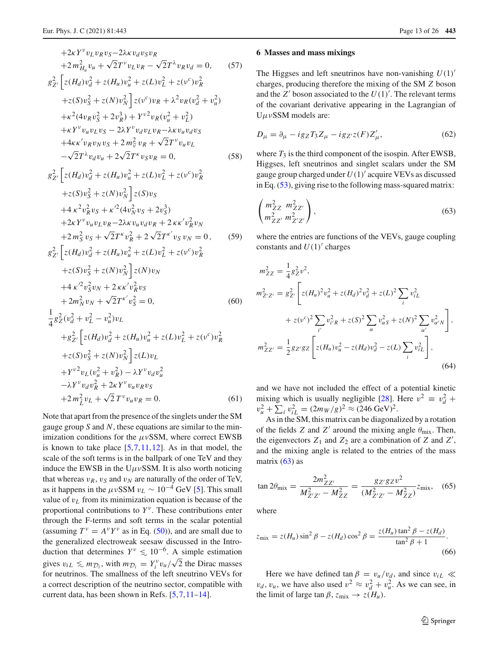<span id="page-12-3"></span>+2
$$
KY^{\nu}v_{L}v_{R}v_{S}-2\lambda\kappa v_{d}v_{S}v_{R}
$$
  
\n+2 $m_{H_{u}}^{2}v_{u} + \sqrt{2}T^{\nu}v_{L}v_{R} - \sqrt{2}T^{\lambda}v_{R}v_{d} = 0,$  (57)  
\n $g_{Z'}^{2} [z(H_{d})v_{d}^{2} + z(H_{u})v_{u}^{2} + z(L)v_{L}^{2} + z(v^{c})v_{R}^{2}$   
\n+ $z(S)v_{S}^{2} + z(N)v_{N}^{2}] z(v^{c})v_{R} + \lambda^{2}v_{R}(v_{d}^{2} + v_{u}^{2})$   
\n+ $\kappa^{2}(4v_{R}v_{S}^{2} + 2v_{R}^{3}) + Y^{\nu^{2}}v_{R}(v_{u}^{2} + v_{L}^{2})$   
\n+ $\kappa^{Y}v_{u}v_{L}v_{S} - 2\lambda Y^{\nu}v_{d}v_{L}v_{R} - \lambda\kappa v_{u}v_{d}v_{S}$   
\n+ $4\kappa\kappa'v_{R}v_{N}v_{S} + 2m_{\tilde{v}}^{2}v_{R} + \sqrt{2}T^{\nu}v_{u}v_{L}$   
\n $-\sqrt{2}T^{\lambda}v_{d}v_{u} + 2\sqrt{2}T^{\kappa}v_{S}v_{R} = 0,$  (58)  
\n $g_{Z'}^{2} [z(H_{d})v_{d}^{2} + z(H_{u})v_{u}^{2} + z(L)v_{L}^{2} + z(v^{c})v_{R}^{2}$   
\n+ $z(S)v_{S}^{2} + z(N)v_{N}^{2}] z(S)v_{S}$   
\n+ $4\kappa^{2}v_{R}^{2}v_{S} + \kappa^{2}(4v_{N}^{2}v_{S} + 2v_{S}^{3})$   
\n+ $2m_{S}^{2}v_{S} + \sqrt{2}T^{\kappa}v_{R}^{2} + 2\sqrt{2}T^{\kappa'}v_{S}v_{N} = 0,$  (59)  
\n $g_{Z'}^{2} [z(H_{d})v_{d}^{2} + z(H_{u})v_{u}^{2} + z(L)v_{L}^{2} + z$ 

Note that apart from the presence of the singlets under the SM gauge group *S* and *N*, these equations are similar to the minimization conditions for the  $\mu \nu$ SSM, where correct EWSB is known to take place  $[5,7,11,12]$  $[5,7,11,12]$  $[5,7,11,12]$  $[5,7,11,12]$  $[5,7,11,12]$ . As in that model, the scale of the soft terms is in the ballpark of one TeV and they induce the EWSB in the  $U\mu vSSM$ . It is also worth noticing that whereas  $v_R$ ,  $v_S$  and  $v_N$  are naturally of the order of TeV, as it happens in the  $\mu \nu$ SSM  $v_L \sim 10^{-4}$  GeV [\[5](#page-23-4)]. This small value of v*L* from its minimization equation is because of the proportional contributions to  $Y^{\nu}$ . These contributions enter through the F-terms and soft terms in the scalar potential (assuming  $T^{\nu} = A^{\nu}Y^{\nu}$  as in Eq. [\(50\)](#page-11-1)), and are small due to the generalized electroweak seesaw discussed in the Introduction that determines  $Y^{\nu} \leq 10^{-6}$ . A simple estimation gives  $v_{iL} \leq m_{\mathcal{D}_i}$ , with  $m_{\mathcal{D}_i} = Y_i^{\nu} v_u / \sqrt{2}$  the Dirac masses for neutrinos. The smallness of the left sneutrino VEVs for a correct description of the neutrino sector, compatible with current data, has been shown in Refs. [\[5](#page-23-4),[7,](#page-23-6)[11](#page-23-10)[–14\]](#page-23-23).

#### <span id="page-12-0"></span>**6 Masses and mass mixings**

The Higgses and left sneutrinos have non-vanishing  $U(1)$ <sup>-</sup> charges, producing therefore the mixing of the SM *Z* boson and the  $Z'$  boson associated to the  $U(1)'$ . The relevant terms of the covariant derivative appearing in the Lagrangian of  $U \mu v$ SSM models are:

$$
D_{\mu} = \partial_{\mu} - ig_Z T_3 Z_{\mu} - ig_{Z'} z(F) Z'_{\mu},\tag{62}
$$

where  $T_3$  is the third component of the isospin. After EWSB, Higgses, left sneutrinos and singlet scalars under the SM gauge group charged under  $U(1)$ <sup>'</sup> acquire VEVs as discussed in Eq. [\(53\)](#page-11-2), giving rise to the following mass-squared matrix:

<span id="page-12-1"></span>
$$
\begin{pmatrix} m_{ZZ}^2 & m_{ZZ'}^2 \\ m_{ZZ'}^2 & m_{Z'Z'}^2 \end{pmatrix},
$$
\n(63)

where the entries are functions of the VEVs, gauge coupling constants and  $U(1)$ <sup>'</sup> charges

<span id="page-12-2"></span>
$$
m_{ZZ}^2 = \frac{1}{4}g_Z^2 v^2,
$$
  
\n
$$
m_{Z'Z'}^2 = g_{Z'}^2 \left[ z(H_u)^2 v_u^2 + z(H_d)^2 v_d^2 + z(L)^2 \sum_i v_{iL}^2 + z(v^c)^2 \sum_{i'} v_{i'K}^2 + z(S)^2 \sum_{\alpha'} v_{\alpha S}^2 + z(N)^2 \sum_{\alpha'} v_{\alpha'N}^2 \right],
$$
  
\n
$$
m_{ZZ'}^2 = \frac{1}{2} g_{Z'} g_Z \left[ z(H_u) v_u^2 - z(H_d) v_d^2 - z(L) \sum_i v_{iL}^2 \right],
$$
  
\n(64)

and we have not included the effect of a potential kinetic mixing which is usually negligible [\[28\]](#page-24-2). Here  $v^2 \equiv v_d^2 + v_u^2 + \sum_i v_{iL}^2 = (2m_W/g)^2 \approx (246 \text{ GeV})^2$ .

As in the SM, this matrix can be diagonalized by a rotation of the fields *Z* and *Z'* around the mixing angle  $\theta_{\text{mix}}$ . Then, the eigenvectors  $Z_1$  and  $Z_2$  are a combination of  $Z$  and  $Z'$ , and the mixing angle is related to the entries of the mass matrix  $(63)$  as

$$
\tan 2\theta_{\text{mix}} = \frac{2m_{ZZ'}^2}{M_{Z'Z'}^2 - M_{ZZ}^2} = \frac{g_{Z'}g_{Z}v^2}{(M_{Z'Z'}^2 - M_{ZZ}^2)} z_{\text{mix}},\tag{65}
$$

where

<span id="page-12-4"></span>
$$
z_{\text{mix}} = z(H_u) \sin^2 \beta - z(H_d) \cos^2 \beta = \frac{z(H_u) \tan^2 \beta - z(H_d)}{\tan^2 \beta + 1}.
$$
\n(66)

Here we have defined tan  $\beta = v_u/v_d$ , and since  $v_{iL} \ll$  $v_d$ ,  $v_u$ , we have also used  $v^2 \approx v_d^2 + v_u^2$ . As we can see, in the limit of large tan  $\beta$ ,  $z_{\text{mix}} \rightarrow z(H_u)$ .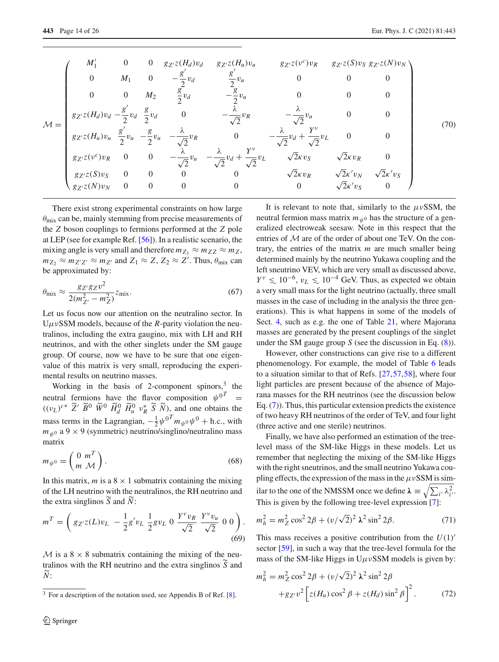|                 | $M'_1$                                                                          | $\overline{0}$ |                          |                                  | 0 $g_{Z'}z(H_d)v_d$ $g_{Z'}z(H_u)v_u$            | $g_{Z'}z(\nu^c)v_R$                              |                          | $g_{Z'}z(S)v_S\ g_{Z'}z(N)v_N$ |      |
|-----------------|---------------------------------------------------------------------------------|----------------|--------------------------|----------------------------------|--------------------------------------------------|--------------------------------------------------|--------------------------|--------------------------------|------|
|                 | $\theta$                                                                        | $M_1$          | $\overline{0}$           | $-\frac{g}{2}v_d$                | $rac{g}{2}v_u$                                   |                                                  |                          | $\theta$                       |      |
|                 | $\Omega$                                                                        | $\overline{0}$ | $M_2$                    | $\frac{g}{2}v_d$                 | $-\frac{g}{2}v_u$                                |                                                  |                          |                                |      |
| $\mathcal{M} =$ | $g_{Z'}z(H_d)v_d - \frac{g'}{2}v_d \frac{g}{2}v_d$                              |                |                          |                                  | $-\frac{1}{\sqrt{2}}v_R$                         |                                                  |                          |                                | (70) |
|                 | $g_{Z'}z(H_u)v_u \frac{g}{2}v_u - \frac{g}{2}v_u - \frac{\lambda}{\sqrt{2}}v_R$ |                |                          |                                  | $\overline{0}$                                   | $-\frac{1}{\sqrt{2}}v_d + \frac{1}{\sqrt{2}}v_L$ |                          |                                |      |
|                 | $g_{Z'}z(v^c)v_R=0$                                                             |                | $\overline{0}$           | $-\frac{\lambda}{\sqrt{2}}v_u$ - | $-\frac{1}{\sqrt{2}}v_d + \frac{1}{\sqrt{2}}v_L$ | $\sqrt{2\kappa}v_S$                              | $\sqrt{2\kappa}v_R$      |                                |      |
|                 | $g_{Z'}z(S)v_S$                                                                 | $\overline{0}$ | $\overline{\phantom{0}}$ | $\theta$                         | $\Omega$                                         | $\sqrt{2\kappa}v_R$                              | $\sqrt{2}\kappa' v_N$    | $\sqrt{2}\kappa' v_S$          |      |
|                 | $g_{Z'}z(N)v_N$                                                                 | $\overline{0}$ | $\Omega$                 | $\Omega$                         |                                                  | $\overline{0}$                                   | $\sqrt{2\kappa}$ ' $v_S$ | $\Omega$                       |      |

There exist strong experimental constraints on how large  $\theta_{\text{mix}}$  can be, mainly stemming from precise measurements of the *Z* boson couplings to fermions performed at the *Z* pole at LEP (see for example Ref. [\[56\]](#page-24-23)). In a realistic scenario, the mixing angle is very small and therefore  $m_{Z_1} \approx m_{Z} \approx m_Z$ ,  $m_{Z_2} \approx m_{Z'Z'} \approx m_{Z'}$  and  $Z_1 \approx Z$ ,  $Z_2 \approx Z'$ . Thus,  $\theta_{\text{mix}}$  can be approximated by:

<span id="page-13-2"></span>
$$
\theta_{\text{mix}} \approx \frac{g_{Z'} g_{Z} v^2}{2(m_{Z'}^2 - m_Z^2)} z_{\text{mix}}.
$$
\n(67)

Let us focus now our attention on the neutralino sector. In  $U\mu\nu$ SSM models, because of the *R*-parity violation the neutralinos, including the extra gaugino, mix with LH and RH neutrinos, and with the other singlets under the SM gauge group. Of course, now we have to be sure that one eigenvalue of this matrix is very small, reproducing the experimental results on neutrino masses.

Working in the basis of 2-component spinors, $3$  the neutral fermions have the flavor composition  $\psi^{0^T}$  =  $((v_L)^{c*} \tilde{Z}^{\prime} \tilde{B}^0 \tilde{W}^0 \tilde{H}_d^0 \tilde{H}_u^0 v_R^* \tilde{S} \tilde{N})$ , and one obtains the mass terms in the Lagrangian,  $-\frac{1}{2}\psi^{0T}m_{\psi^{0}}\psi^{0} + \text{h.c., with}$  $m_{\psi}$  a 9 × 9 (symmetric) neutrino/singlino/neutralino mass matrix

<span id="page-13-1"></span>
$$
m_{\psi^0} = \begin{pmatrix} 0 & m^T \\ m & \mathcal{M} \end{pmatrix}.
$$
 (68)

In this matrix, *m* is a  $8 \times 1$  submatrix containing the mixing of the LH neutrino with the neutralinos, the RH neutrino and the extra singlinos  $\overline{S}$  and  $\overline{N}$ :

$$
m^{T} = \left(g_{Z'Z}(L)v_{L} - \frac{1}{2}g'v_{L}\frac{1}{2}gv_{L} 0 \frac{Y^{v}v_{R}}{\sqrt{2}} \frac{Y^{v}v_{u}}{\sqrt{2}} 0 0\right).
$$
\n(69)

*M* is a  $8 \times 8$  submatrix containing the mixing of the neutralinos with the RH neutrino and the extra singlinos *<sup>S</sup>* and *N* :

It is relevant to note that, similarly to the  $\mu \nu$ SSM, the neutral fermion mass matrix  $m_{\psi}$ <sup>0</sup> has the structure of a generalized electroweak seesaw. Note in this respect that the entries of *M* are of the order of about one TeV. On the contrary, the entries of the matrix *m* are much smaller being determined mainly by the neutrino Yukawa coupling and the left sneutrino VEV, which are very small as discussed above,  $Y^{\nu} \leq 10^{-6}$ ,  $v_L \leq 10^{-4}$  GeV. Thus, as expected we obtain a very small mass for the light neutrino (actually, three small masses in the case of including in the analysis the three generations). This is what happens in some of the models of Sect. [4,](#page-6-0) such as e.g. the one of Table [21,](#page-21-2) where Majorana masses are generated by the present couplings of the singlet under the SM gauge group *S* (see the discussion in Eq. [\(8\)](#page-3-5)).

However, other constructions can give rise to a different phenomenology. For example, the model of Table [6](#page-8-1) leads to a situation similar to that of Refs. [\[27](#page-24-1)[,57](#page-24-24)[,58](#page-24-25)], where four light particles are present because of the absence of Majorana masses for the RH neutrinos (see the discussion below Eq. [\(7\)](#page-3-2)). Thus, this particular extension predicts the existence of two heavy RH neutrinos of the order of TeV, and four light (three active and one sterile) neutrinos.

Finally, we have also performed an estimation of the treelevel mass of the SM-like Higgs in these models. Let us remember that neglecting the mixing of the SM-like Higgs with the right sneutrinos, and the small neutrino Yukawa coupling effects, the expression of the mass in the  $\mu v$ SSM is similar to the one of the NMSSM once we define  $\lambda = \sqrt{\sum_{i'} \lambda_{i'}^2}$ . This is given by the following tree-level expression [\[7\]](#page-23-6):

$$
m_h^2 = m_Z^2 \cos^2 2\beta + (v/\sqrt{2})^2 \lambda^2 \sin^2 2\beta.
$$
 (71)

This mass receives a positive contribution from the  $U(1)$ <sup>-</sup> sector [\[59\]](#page-24-26), in such a way that the tree-level formula for the mass of the SM-like Higgs in  $U\mu v$ SSM models is given by:

$$
m_h^2 = m_Z^2 \cos^2 2\beta + (v/\sqrt{2})^2 \lambda^2 \sin^2 2\beta
$$
  
+ $g_Z v^2 \left[ z(H_u) \cos^2 \beta + z(H_d) \sin^2 \beta \right]^2$ . (72)

<span id="page-13-0"></span> $3$  For a description of the notation used, see Appendix B of Ref. [\[8\]](#page-23-7).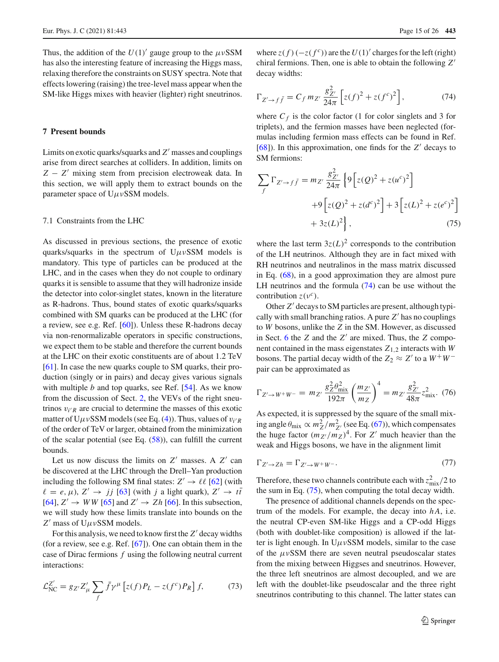Thus, the addition of the  $U(1)'$  gauge group to the  $\mu \nu$ SSM has also the interesting feature of increasing the Higgs mass, relaxing therefore the constraints on SUSY spectra. Note that effects lowering (raising) the tree-level mass appear when the SM-like Higgs mixes with heavier (lighter) right sneutrinos.

## <span id="page-14-0"></span>**7 Present bounds**

Limits on exotic quarks/squarks and Z' masses and couplings arise from direct searches at colliders. In addition, limits on *Z* − *Z*- mixing stem from precision electroweak data. In this section, we will apply them to extract bounds on the parameter space of  $U \mu v$ SSM models.

## <span id="page-14-1"></span>7.1 Constraints from the LHC

As discussed in previous sections, the presence of exotic quarks/squarks in the spectrum of  $U \mu v$ SSM models is mandatory. This type of particles can be produced at the LHC, and in the cases when they do not couple to ordinary quarks it is sensible to assume that they will hadronize inside the detector into color-singlet states, known in the literature as R-hadrons. Thus, bound states of exotic quarks/squarks combined with SM quarks can be produced at the LHC (for a review, see e.g. Ref. [\[60\]](#page-24-27)). Unless these R-hadrons decay via non-renormalizable operators in specific constructions, we expect them to be stable and therefore the current bounds at the LHC on their exotic constituents are of about 1.2 TeV [\[61](#page-24-28)]. In case the new quarks couple to SM quarks, their production (singly or in pairs) and decay gives various signals with multiple *b* and top quarks, see Ref. [\[54\]](#page-24-21). As we know from the discussion of Sect. [2,](#page-3-0) the VEVs of the right sneutrinos  $v_{i'R}$  are crucial to determine the masses of this exotic matter of  $U\mu \nu$ SSM models (see Eq. [\(4\)](#page-3-4)). Thus, values of  $v_{i'R}$ of the order of TeV or larger, obtained from the minimization of the scalar potential (see Eq. [\(58\)](#page-11-3)), can fulfill the current bounds.

Let us now discuss the limits on  $Z'$  masses. A  $Z'$  can be discovered at the LHC through the Drell–Yan production including the following SM final states:  $Z' \rightarrow \ell \ell$  [\[62](#page-25-0)] (with  $\ell = e, \mu$ ),  $Z' \rightarrow jj$  [\[63](#page-25-1)] (with *j* a light quark),  $Z' \rightarrow t\bar{t}$  $[64]$  $[64]$ ,  $Z' \rightarrow WW$   $[65]$  and  $Z' \rightarrow Zh$   $[66]$ . In this subsection, we will study how these limits translate into bounds on the *Z*- mass of UμνSSM models.

For this analysis, we need to know first the Z' decay widths (for a review, see e.g. Ref. [\[67](#page-25-5)]). One can obtain them in the case of Dirac fermions *f* using the following neutral current interactions:

$$
\mathcal{L}_{\text{NC}}^{Z'} = g_{Z'} Z'_{\mu} \sum_{f} \bar{f} \gamma^{\mu} \left[ z(f) P_{L} - z(f^{c}) P_{R} \right] f, \tag{73}
$$

where  $z(f)$  ( $-z(f<sup>c</sup>)$ ) are the *U*(1)<sup> $\prime$ </sup> charges for the left (right) chiral fermions. Then, one is able to obtain the following *Z* decay widths:

<span id="page-14-2"></span>
$$
\Gamma_{Z' \to f\bar{f}} = C_f m_{Z'} \frac{g_{Z'}^2}{24\pi} \left[ z(f)^2 + z(f^c)^2 \right],\tag{74}
$$

where  $C_f$  is the color factor (1 for color singlets and 3 for triplets), and the fermion masses have been neglected (formulas including fermion mass effects can be found in Ref.  $[68]$  $[68]$ ). In this approximation, one finds for the  $Z'$  decays to SM fermions:

<span id="page-14-3"></span>
$$
\sum_{f} \Gamma_{Z' \to f\bar{f}} = m_{Z'} \frac{g_{Z'}^2}{24\pi} \left\{ 9 \left[ z(Q)^2 + z(u^c)^2 \right] + 9 \left[ z(Q)^2 + z(d^c)^2 \right] + 3 \left[ z(L)^2 + z(e^c)^2 \right] + 3z(L)^2 \right\}, \tag{75}
$$

where the last term  $3z(L)^2$  corresponds to the contribution of the LH neutrinos. Although they are in fact mixed with RH neutrinos and neutralinos in the mass matrix discussed in Eq. [\(68\)](#page-13-1), in a good approximation they are almost pure LH neutrinos and the formula [\(74\)](#page-14-2) can be use without the contribution  $z(v^c)$ .

Other *Z'* decays to SM particles are present, although typically with small branching ratios. A pure  $Z'$  has no couplings to *W* bosons, unlike the *Z* in the SM. However, as discussed in Sect. [6](#page-12-0) the  $Z$  and the  $Z'$  are mixed. Thus, the  $Z$  component contained in the mass eigenstates  $Z_{1,2}$  interacts with *W* bosons. The partial decay width of the  $Z_2 \approx Z'$  to a  $W^+W^$ pair can be approximated as

<span id="page-14-4"></span>
$$
\Gamma_{Z' \to W^+W^-} = m_{Z'} \frac{g_Z^2 \theta_{\text{mix}}^2}{192\pi} \left(\frac{m_{Z'}}{m_Z}\right)^4 = m_{Z'} \frac{g_{Z'}^2}{48\pi} z_{\text{mix}}^2. (76)
$$

As expected, it is suppressed by the square of the small mixing angle  $\theta_{\text{mix}} \propto m_Z^2/m_{Z'}^2$  (see Eq. [\(67\)](#page-13-2)), which compensates the huge factor  $(m_{Z'}/m_Z)^4$ . For *Z'* much heavier than the weak and Higgs bosons, we have in the alignment limit

$$
\Gamma_{Z' \to Zh} = \Gamma_{Z' \to W^+ W^-}.\tag{77}
$$

Therefore, these two channels contribute each with  $z_{\text{mix}}^2/2$  to the sum in Eq. [\(75\)](#page-14-3), when computing the total decay width.

The presence of additional channels depends on the spectrum of the models. For example, the decay into *h A*, i.e. the neutral CP-even SM-like Higgs and a CP-odd Higgs (both with doublet-like composition) is allowed if the latter is light enough. In  $U\mu\nu$ SSM models, similar to the case of the  $\mu \nu$ SSM there are seven neutral pseudoscalar states from the mixing between Higgses and sneutrinos. However, the three left sneutrinos are almost decoupled, and we are left with the doublet-like pseudoscalar and the three right sneutrinos contributing to this channel. The latter states can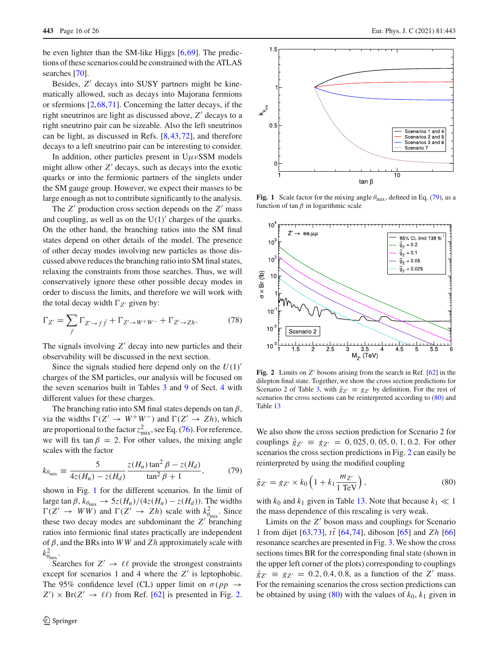be even lighter than the SM-like Higgs [\[6](#page-23-5),[69\]](#page-25-7). The predictions of these scenarios could be constrained with the ATLAS searches [\[70\]](#page-25-8).

Besides, Z' decays into SUSY partners might be kinematically allowed, such as decays into Majorana fermions or sfermions [\[2,](#page-23-24)[68](#page-25-6)[,71](#page-25-9)]. Concerning the latter decays, if the right sneutrinos are light as discussed above, *Z*- decays to a right sneutrino pair can be sizeable. Also the left sneutrinos can be light, as discussed in Refs. [\[8](#page-23-7),[43](#page-24-29),[72\]](#page-25-10), and therefore decays to a left sneutrino pair can be interesting to consider.

In addition, other particles present in  $U\mu\nu$ SSM models might allow other  $Z'$  decays, such as decays into the exotic quarks or into the fermionic partners of the singlets under the SM gauge group. However, we expect their masses to be large enough as not to contribute significantly to the analysis.

The *Z*<sup>'</sup> production cross section depends on the *Z*<sup>'</sup> mass and coupling, as well as on the  $U(1)'$  charges of the quarks. On the other hand, the branching ratios into the SM final states depend on other details of the model. The presence of other decay modes involving new particles as those discussed above reduces the branching ratio into SM final states, relaxing the constraints from those searches. Thus, we will conservatively ignore these other possible decay modes in order to discuss the limits, and therefore we will work with the total decay width  $\Gamma_{Z'}$  given by:

$$
\Gamma_{Z'} = \sum_{f} \Gamma_{Z' \to f\bar{f}} + \Gamma_{Z' \to W^+W^-} + \Gamma_{Z' \to Zh}.
$$
 (78)

The signals involving Z' decay into new particles and their observability will be discussed in the next section.

Since the signals studied here depend only on the  $U(1)$ <sup>'</sup> charges of the SM particles, our analysis will be focused on the seven scenarios built in Tables [3](#page-7-1) and [9](#page-9-2) of Sect. [4](#page-6-0) with different values for these charges.

The branching ratio into SM final states depends on tan  $\beta$ , via the widths  $\Gamma(Z' \to W^+W^-)$  and  $\Gamma(Z' \to Zh)$ , which are proportional to the factor  $z_{\text{mix}}^2$ , see Eq. [\(76\)](#page-14-4). For reference, we will fix tan  $\beta = 2$ . For other values, the mixing angle scales with the factor

<span id="page-15-2"></span>
$$
k_{\theta_{\text{mix}}} \equiv \frac{5}{4z(H_u) - z(H_d)} \frac{z(H_u) \tan^2 \beta - z(H_d)}{\tan^2 \beta + 1},
$$
(79)

shown in Fig. [1](#page-15-0) for the different scenarios. In the limit of large tan  $\beta$ ,  $k_{\theta_{\text{mix}}} \rightarrow 5z(H_u)/(4z(H_u) - z(H_d))$ . The widths  $\Gamma(Z' \to WW)$  and  $\Gamma(Z' \to Zh)$  scale with  $k_{\theta_{\text{mix}}}^2$ . Since these two decay modes are subdominant the Z' branching ratios into fermionic final states practically are independent of β, and the BRs into *W W* and *Z h* approximately scale with  $k_{\theta_{\text{mix}}}^2$ .

Searches for  $Z' \to \ell \ell$  provide the strongest constraints except for scenarios 1 and 4 where the  $Z'$  is leptophobic. The 95% confidence level (CL) upper limit on  $\sigma(pp \to$  $Z'$   $\times$  Br( $Z'$   $\rightarrow$   $\ell\ell$ ) from Ref. [\[62](#page-25-0)] is presented in Fig. [2.](#page-15-1)



<span id="page-15-0"></span>**Fig. 1** Scale factor for the mixing angle  $\theta_{\text{mix}}$ , defined in Eq. [\(79\)](#page-15-2), as a function of tan  $\beta$  in logarithmic scale



<span id="page-15-1"></span>**Fig. 2** Limits on Z' bosons arising from the search in Ref. [\[62](#page-25-0)] in the dilepton final state. Together, we show the cross section predictions for Scenario 2 of Table [3,](#page-7-1) with  $\bar{g}_{Z'} \equiv g_{Z'}$  by definition. For the rest of scenarios the cross sections can be reinterpreted according to [\(80\)](#page-15-3) and Table [13](#page-16-0)

We also show the cross section prediction for Scenario 2 for couplings  $\bar{g}_{Z'} \equiv g_{Z'} = 0, 025, 0, 05, 0, 1, 0.2$ . For other scenarios the cross section predictions in Fig. [2](#page-15-1) can easily be reinterpreted by using the modified coupling

<span id="page-15-3"></span>
$$
\bar{g}_{Z'} = g_{Z'} \times k_0 \left( 1 + k_1 \frac{m_{Z'}}{1 \text{ TeV}} \right),\tag{80}
$$

with  $k_0$  and  $k_1$  given in Table [13.](#page-16-0) Note that because  $k_1 \ll 1$ the mass dependence of this rescaling is very weak.

Limits on the Z' boson mass and couplings for Scenario 1 from dijet [\[63](#page-25-1)[,73](#page-25-11)],  $t\bar{t}$  [\[64](#page-25-2)[,74](#page-25-12)], diboson [\[65](#page-25-3)] and *Zh* [\[66\]](#page-25-4) resonance searches are presented in Fig. [3.](#page-17-1) We show the cross sections times BR for the corresponding final state (shown in the upper left corner of the plots) corresponding to couplings  $\bar{g}_{Z'} = g_{Z'} = 0.2, 0.4, 0.8,$  as a function of the *Z*<sup> $\prime$ </sup> mass. For the remaining scenarios the cross section predictions can be obtained by using  $(80)$  with the values of  $k_0$ ,  $k_1$  given in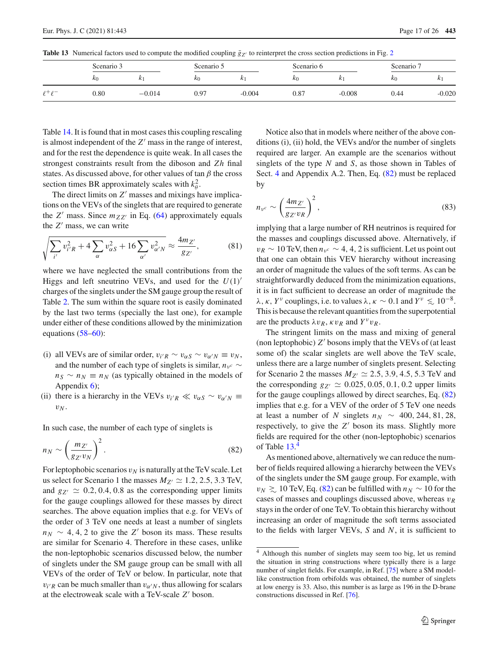|                      | Scenario 3 |          | Scenario 5 |          | Scenario 6 |          | Scenario   |          |
|----------------------|------------|----------|------------|----------|------------|----------|------------|----------|
|                      | $k_0$      | n.       | $\kappa_0$ |          | $\kappa_0$ | N        | $\kappa_0$ | n        |
| $\rho + \rho -$<br>€ | 0.80       | $-0.014$ | 0.97       | $-0.004$ | 0.87       | $-0.008$ | 0.44       | $-0.020$ |

<span id="page-16-0"></span>**Table 13** Numerical factors used to compute the modified coupling  $\bar{g}_{Z'}$  to reinterpret the cross section predictions in Fig. [2](#page-15-1)

Table [14.](#page-17-2) It is found that in most cases this coupling rescaling is almost independent of the  $Z'$  mass in the range of interest, and for the rest the dependence is quite weak. In all cases the strongest constraints result from the diboson and *Zh* final states. As discussed above, for other values of tan  $\beta$  the cross section times BR approximately scales with  $k_{\theta}^2$ .

The direct limits on Z' masses and mixings have implications on the VEVs of the singlets that are required to generate the  $Z'$  mass. Since  $m_{ZZ'}$  in Eq. [\(64\)](#page-12-2) approximately equals the *Z'* mass, we can write

$$
\sqrt{\sum_{i'} v_{i'R}^2 + 4 \sum_{\alpha} v_{\alpha S}^2 + 16 \sum_{\alpha'} v_{\alpha' N}^2} \approx \frac{4m_{Z'}}{g_{Z'}},
$$
 (81)

where we have neglected the small contributions from the Higgs and left sneutrino VEVs, and used for the  $U(1)$ <sup>'</sup> charges of the singlets under the SM gauge group the result of Table [2.](#page-7-0) The sum within the square root is easily dominated by the last two terms (specially the last one), for example under either of these conditions allowed by the minimization equations [\(58–](#page-11-3)[60\)](#page-12-3):

- (i) all VEVs are of similar order,  $v_{i'R} \sim v_{\alpha S} \sim v_{\alpha' N} \equiv v_N$ , and the number of each type of singlets is similar,  $n<sub>v</sub>$ <sup>*c*</sup> ∼  $n_S \sim n_N \equiv n_N$  (as typically obtained in the models of Appendix [6\)](#page-20-1);
- (ii) there is a hierarchy in the VEVs  $v_{i'R} \ll v_{\alpha S} \sim v_{\alpha' N} \equiv$  $v_N$ .

In such case, the number of each type of singlets is

<span id="page-16-1"></span>
$$
n_N \sim \left(\frac{m_{Z'}}{g_{Z'}v_N}\right)^2.
$$
 (82)

For leptophobic scenarios  $v_N$  is naturally at the TeV scale. Let us select for Scenario 1 the masses  $M_{Z'} \simeq 1.2, 2.5, 3.3$  TeV, and  $g_{Z'} \simeq 0.2, 0.4, 0.8$  as the corresponding upper limits for the gauge couplings allowed for these masses by direct searches. The above equation implies that e.g. for VEVs of the order of 3 TeV one needs at least a number of singlets  $n_N \sim 4, 4, 2$  to give the *Z*' boson its mass. These results are similar for Scenario 4. Therefore in these cases, unlike the non-leptophobic scenarios discussed below, the number of singlets under the SM gauge group can be small with all VEVs of the order of TeV or below. In particular, note that  $v_{i'R}$  can be much smaller than  $v_{\alpha' N}$ , thus allowing for scalars at the electroweak scale with a TeV-scale Z' boson.

Notice also that in models where neither of the above conditions (i), (ii) hold, the VEVs and/or the number of singlets required are larger. An example are the scenarios without singlets of the type *N* and *S*, as those shown in Tables of Sect. [4](#page-6-0) and Appendix A.2. Then, Eq. [\(82\)](#page-16-1) must be replaced by

$$
n_{\nu^c} \sim \left(\frac{4m_{Z'}}{g_{Z'}v_R}\right)^2,\tag{83}
$$

implying that a large number of RH neutrinos is required for the masses and couplings discussed above. Alternatively, if  $v_R \sim 10$  TeV, then  $n_{\nu^c} \sim 4$ , 4, 2 is sufficient. Let us point out that one can obtain this VEV hierarchy without increasing an order of magnitude the values of the soft terms. As can be straightforwardly deduced from the minimization equations, it is in fact sufficient to decrease an order of magnitude the  $λ, κ, Y<sup>ν</sup>$  couplings, i.e. to values  $λ, κ \sim 0.1$  and  $Y<sup>ν</sup> ≤ 10<sup>-8</sup>$ . This is because the relevant quantities from the superpotential are the products  $\lambda v_R$ ,  $\kappa v_R$  and  $Y^v v_R$ .

The stringent limits on the mass and mixing of general (non leptophobic)  $Z'$  bosons imply that the VEVs of (at least some of) the scalar singlets are well above the TeV scale, unless there are a large number of singlets present. Selecting for Scenario 2 the masses  $M_{Z'} \simeq 2.5, 3.9, 4.5, 5.3$  TeV and the corresponding  $g_{Z'} \simeq 0.025, 0.05, 0.1, 0.2$  upper limits for the gauge couplings allowed by direct searches, Eq. [\(82\)](#page-16-1) implies that e.g. for a VEV of the order of 5 TeV one needs at least a number of *N* singlets  $n_N \sim 400, 244, 81, 28$ , respectively, to give the  $Z'$  boson its mass. Slightly more fields are required for the other (non-leptophobic) scenarios of Table [13.](#page-16-0) [4](#page-16-2)

As mentioned above, alternatively we can reduce the number of fields required allowing a hierarchy between the VEVs of the singlets under the SM gauge group. For example, with *v<sub>N</sub>*  $\geq 10$  TeV, Eq. [\(82\)](#page-16-1) can be fulfilled with *n<sub>N</sub>* ∼ 10 for the cases of masses and couplings discussed above, whereas v*R* stays in the order of one TeV. To obtain this hierarchy without increasing an order of magnitude the soft terms associated to the fields with larger VEVs, *S* and *N*, it is sufficient to

<span id="page-16-2"></span><sup>4</sup> Although this number of singlets may seem too big, let us remind the situation in string constructions where typically there is a large number of singlet fields. For example, in Ref. [\[75\]](#page-25-13) where a SM modellike construction from orbifolds was obtained, the number of singlets at low energy is 33. Also, this number is as large as 196 in the D-brane constructions discussed in Ref. [\[76](#page-25-14)].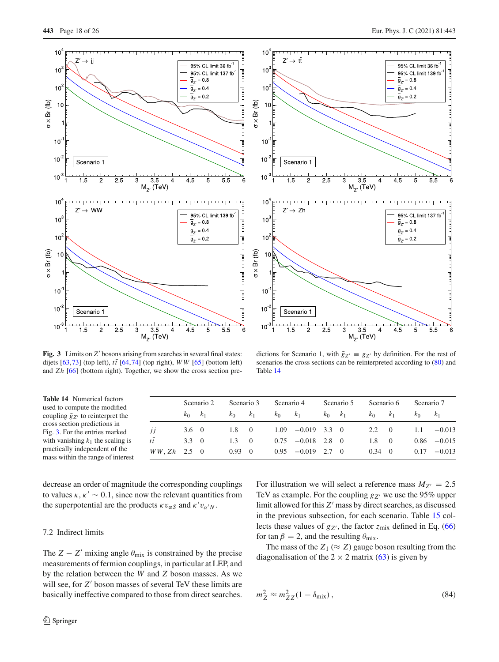



<span id="page-17-1"></span>**Fig. 3** Limits on Z' bosons arising from searches in several final states: dijets  $[63,73]$  $[63,73]$  $[63,73]$  (top left),  $t\bar{t}$   $[64,74]$  $[64,74]$  $[64,74]$  (top right), *WW*  $[65]$  (bottom left) and *Zh* [\[66\]](#page-25-4) (bottom right). Together, we show the cross section pre-

dictions for Scenario 1, with  $\bar{g}_{Z'} \equiv g_{Z'}$  by definition. For the rest of scenarios the cross sections can be reinterpreted according to [\(80\)](#page-15-3) and Table [14](#page-17-2)

<span id="page-17-2"></span>

| <b>Table 14</b> Numerical factors<br>used to compute the modified   |            |               | Scenario 2       | Scenario 3 |                | Scenario 4 |                |               | Scenario 5     | Scenario 6 |                  | Scenario 7 |                |
|---------------------------------------------------------------------|------------|---------------|------------------|------------|----------------|------------|----------------|---------------|----------------|------------|------------------|------------|----------------|
| coupling $\bar{g}_{Z'}$ to reinterpret the                          |            | $k_0$         | k <sub>1</sub>   | $k_0$      | k <sub>1</sub> | $k_0$      | K <sub>1</sub> | K۵            | k <sub>1</sub> | $k_{0}$    | K <sub>1</sub>   | K۵         | k <sub>1</sub> |
| cross section predictions in<br>Fig. 3. For the entries marked      | IJ         | $3.6 \quad 0$ |                  | 1.8        |                | 1.09       | $-0.019$       | $3.3 \quad 0$ |                | 2.2        |                  | 1.1        | $-0.013$       |
| with vanishing $k_1$ the scaling is                                 | $t\bar{t}$ | 3.3           | $\theta$         | 1.3        | $\Omega$       | 0.75       | $-0.018$       | 2.8           | $\theta$       | 1.8        |                  | 0.86       | $-0.015$       |
| practically independent of the<br>mass within the range of interest | WW, Zh     | 2.5           | $\left( \right)$ | 0.93       | - ()           | 0.95       | $-0.019$       | 2.7           |                | 0.34       | $\left( \right)$ | 0.17       | $-0.013$       |

decrease an order of magnitude the corresponding couplings to values  $\kappa$ ,  $\kappa' \sim 0.1$ , since now the relevant quantities from the superpotential are the products  $\kappa v_{\alpha S}$  and  $\kappa' v_{\alpha' N}$ .

#### <span id="page-17-0"></span>7.2 Indirect limits

The *Z* − *Z*<sup> $\prime$ </sup> mixing angle  $\theta_{\text{mix}}$  is constrained by the precise measurements of fermion couplings, in particular at LEP, and by the relation between the *W* and *Z* boson masses. As we will see, for *Z*<sup>*'*</sup> boson masses of several TeV these limits are basically ineffective compared to those from direct searches.

For illustration we will select a reference mass  $M_{Z'} = 2.5$ TeV as example. For the coupling  $g_{Z'}$  we use the 95% upper limit allowed for this  $Z'$  mass by direct searches, as discussed in the previous subsection, for each scenario. Table [15](#page-18-1) collects these values of  $g_{Z'}$ , the factor  $z_{mix}$  defined in Eq. [\(66\)](#page-12-4) for tan  $\beta = 2$ , and the resulting  $\theta_{\text{mix}}$ .

The mass of the  $Z_1 \approx Z_2$  gauge boson resulting from the diagonalisation of the  $2 \times 2$  matrix [\(63\)](#page-12-1) is given by

<span id="page-17-3"></span>
$$
m_Z^2 \approx m_{ZZ}^2 (1 - \delta_{\text{mix}}),\tag{84}
$$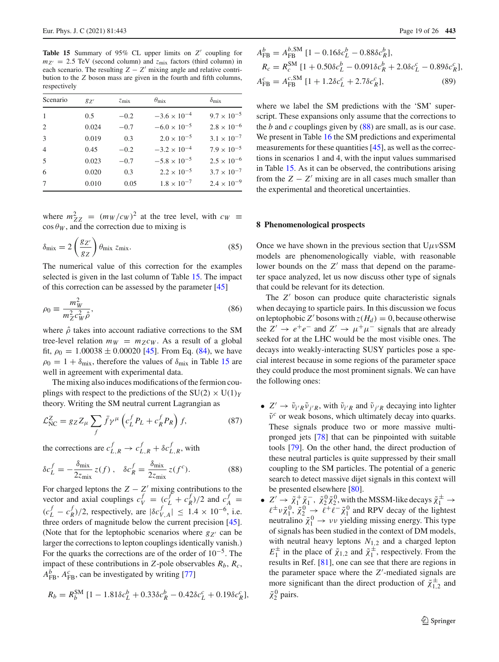<span id="page-18-1"></span>**Table 15** Summary of 95% CL upper limits on *Z*<sup> $\prime$ </sup> coupling for  $m_{Z'} = 2.5$  TeV (second column) and  $z_{mix}$  factors (third column) in each scenario. The resulting  $Z - Z'$  mixing angle and relative contribution to the *Z* boson mass are given in the fourth and fifth columns, respectively

| Scenario                    | $g_{Z'}$ | $z_{\rm mix}$ | $\theta_{\rm mix}$    | $\delta_{\rm mix}$   |
|-----------------------------|----------|---------------|-----------------------|----------------------|
| $\overline{1}$              | 0.5      | $-0.2$        | $-3.6 \times 10^{-4}$ | $9.7 \times 10^{-5}$ |
| $\mathcal{D}_{\mathcal{L}}$ | 0.024    | $-0.7$        | $-6.0 \times 10^{-5}$ | $2.8 \times 10^{-6}$ |
| 3                           | 0.019    | 0.3           | $2.0 \times 10^{-5}$  | $3.1 \times 10^{-7}$ |
| $\overline{4}$              | 0.45     | $-0.2$        | $-3.2 \times 10^{-4}$ | $7.9 \times 10^{-5}$ |
| .5                          | 0.023    | $-0.7$        | $-5.8 \times 10^{-5}$ | $2.5 \times 10^{-6}$ |
| 6                           | 0.020    | 0.3           | $2.2 \times 10^{-5}$  | $3.7 \times 10^{-7}$ |
| 7                           | 0.010    | 0.05          | $1.8 \times 10^{-7}$  | $2.4 \times 10^{-9}$ |
|                             |          |               |                       |                      |

where  $m_{ZZ}^2 = (m_W/c_W)^2$  at the tree level, with  $c_W \equiv$  $\cos \theta_W$ , and the correction due to mixing is

$$
\delta_{\text{mix}} = 2 \left( \frac{g_{Z'}}{g_Z} \right) \theta_{\text{mix}} z_{\text{mix}}.
$$
\n(85)

The numerical value of this correction for the examples selected is given in the last column of Table [15.](#page-18-1) The impact of this correction can be assessed by the parameter [\[45\]](#page-24-14)

$$
\rho_0 \equiv \frac{m_W^2}{m_Z^2 c_W^2 \hat{\rho}},\tag{86}
$$

where  $\hat{\rho}$  takes into account radiative corrections to the SM tree-level relation  $m_W = m_Z c_W$ . As a result of a global fit,  $\rho_0 = 1.00038 \pm 0.00020$  [\[45](#page-24-14)]. From Eq. [\(84\)](#page-17-3), we have  $\rho_0 = 1 + \delta_{\text{mix}}$ , therefore the values of  $\delta_{\text{mix}}$  in Table [15](#page-18-1) are well in agreement with experimental data.

The mixing also induces modifications of the fermion couplings with respect to the predictions of the  $SU(2) \times U(1)_Y$ theory. Writing the SM neutral current Lagrangian as

$$
\mathcal{L}_{\text{NC}}^Z = g_Z Z_\mu \sum_f \bar{f} \gamma^\mu \left( c_L^f P_L + c_R^f P_R \right) f,\tag{87}
$$

the corrections are  $c_{L,R}^f \rightarrow c_{L,R}^f + \delta c_{L,R}^f$ , with

<span id="page-18-2"></span>
$$
\delta c_L^f = -\frac{\delta_{\text{mix}}}{2z_{\text{mix}}} z(f) , \quad \delta c_R^f = \frac{\delta_{\text{mix}}}{2z_{\text{mix}}} z(f^c). \tag{88}
$$

For charged leptons the  $Z - Z'$  mixing contributions to the vector and axial couplings  $c_V^f = (c_L^f + c_R^f)/2$  and  $c_A^f =$  $(c_L^f - c_R^f)/2$ , respectively, are  $|\delta c_{V,A}^f| \le 1.4 \times 10^{-6}$ , i.e. three orders of magnitude below the current precision [\[45](#page-24-14)]. (Note that for the leptophobic scenarios where  $g_{Z'}$  can be larger the corrections to lepton couplings identically vanish.) For the quarks the corrections are of the order of  $10^{-5}$ . The impact of these contributions in *Z*-pole observables  $R_b$ ,  $R_c$ ,  $A_{\text{FB}}^b$ ,  $A_{\text{FB}}^c$ , can be investigated by writing [\[77](#page-25-15)]

$$
R_b = R_b^{\rm SM} \left[ 1 - 1.81 \delta c_L^b + 0.33 \delta c_R^b - 0.42 \delta c_L^c + 0.19 \delta c_R^c \right],
$$

$$
A_{\text{FB}}^b = A_{\text{FB}}^{b,\text{SM}} [1 - 0.16\delta c_L^b - 0.88\delta c_R^b],
$$
  
\n
$$
R_c = R_c^{\text{SM}} [1 + 0.50\delta c_L^b - 0.091\delta c_R^b + 2.0\delta c_L^c - 0.89\delta c_R^c],
$$
  
\n
$$
A_{\text{FB}}^c = A_{\text{FB}}^{c,\text{SM}} [1 + 1.2\delta c_L^c + 2.7\delta c_R^c],
$$
\n(89)

where we label the SM predictions with the 'SM' superscript. These expansions only assume that the corrections to the *b* and *c* couplings given by [\(88\)](#page-18-2) are small, as is our case. We present in Table [16](#page-19-1) the SM predictions and experimental measurements for these quantities [\[45\]](#page-24-14), as well as the corrections in scenarios 1 and 4, with the input values summarised in Table [15.](#page-18-1) As it can be observed, the contributions arising from the  $Z - Z'$  mixing are in all cases much smaller than the experimental and theoretical uncertainties.

## <span id="page-18-0"></span>**8 Phenomenological prospects**

Once we have shown in the previous section that  $U \mu vSSM$ models are phenomenologically viable, with reasonable lower bounds on the Z' mass that depend on the parameter space analyzed, let us now discuss other type of signals that could be relevant for its detection.

The *Z'* boson can produce quite characteristic signals when decaying to sparticle pairs. In this discussion we focus on leptophobic *Z'* bosons with  $z(H_d) = 0$ , because otherwise the  $Z' \rightarrow e^+e^-$  and  $Z' \rightarrow \mu^+\mu^-$  signals that are already seeked for at the LHC would be the most visible ones. The decays into weakly-interacting SUSY particles pose a special interest because in some regions of the parameter space they could produce the most prominent signals. We can have the following ones:

- $Z' \rightarrow \tilde{\nu}_{i'R} \tilde{\nu}_{j'R}$ , with  $\tilde{\nu}_{i'R}$  and  $\tilde{\nu}_{j'R}$  decaying into lighter  $\tilde{v}^c$  or weak bosons, which ultimately decay into quarks. These signals produce two or more massive multipronged jets [\[78\]](#page-25-16) that can be pinpointed with suitable tools [\[79](#page-25-17)]. On the other hand, the direct production of these neutral particles is quite suppressed by their small coupling to the SM particles. The potential of a generic search to detect massive dijet signals in this context will be presented elsewhere [\[80](#page-25-18)].
- $Z' \rightarrow \tilde{\chi}_1^+ \tilde{\chi}_1^-$ ,  $\tilde{\chi}_2^0 \tilde{\chi}_2^0$ , with the MSSM-like decays  $\tilde{\chi}_1^{\pm} \rightarrow$ <br>  $\ell^{\pm} \nu \tilde{\chi}_1^0$ ,  $\tilde{\chi}_2^0 \rightarrow \ell^+ \ell^- \tilde{\chi}_1^0$  and RPV decay of the lightest neutralino  $\tilde{\chi}_1^0 \rightarrow \nu \nu$  yielding missing energy. This type of signals has been studied in the context of DM models, with neutral heavy leptons  $N_{1,2}$  and a charged lepton  $E_1^{\pm}$  in the place of  $\tilde{\chi}_{1,2}$  and  $\tilde{\chi}_1^{\pm}$ , respectively. From the results in Ref. [\[81\]](#page-25-19), one can see that there are regions in the parameter space where the  $Z'$ -mediated signals are more significant than the direct production of  $\tilde{\chi}_{1,2}^{\pm}$  and  $\tilde{\chi}_2^0$  pairs.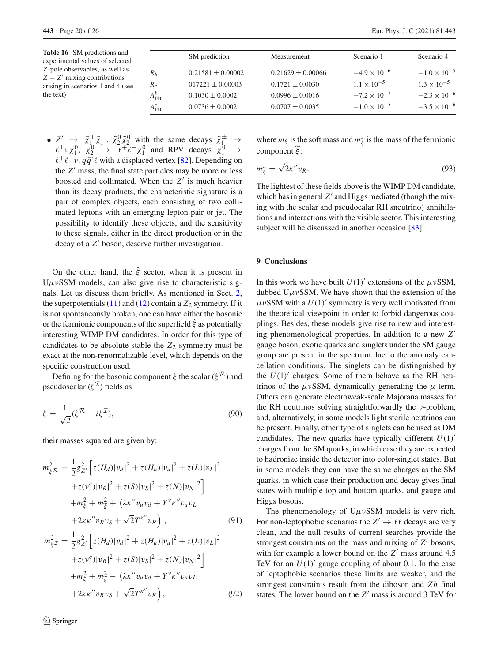<span id="page-19-1"></span>**Table 16** SM predictions and experimental values of selected *Z*-pole observables, as well as *Z* − *Z*- mixing contributions arising in scenarios 1 and 4 (see the text)

|                   | SM prediction         | Measurement           | Scenario 1            | Scenario 4            |
|-------------------|-----------------------|-----------------------|-----------------------|-----------------------|
| $R_b$             | $0.21581 \pm 0.00002$ | $0.21629 \pm 0.00066$ | $-4.9 \times 10^{-6}$ | $-1.0 \times 10^{-5}$ |
| $R_c$             | $017221 \pm 0.00003$  | $0.1721 \pm 0.0030$   | $1.1 \times 10^{-5}$  | $1.3 \times 10^{-5}$  |
| $A_{FB}^b$        | $0.1030 \pm 0.0002$   | $0.0996 \pm 0.0016$   | $-7.2 \times 10^{-7}$ | $-2.3 \times 10^{-6}$ |
| $A_{\text{FB}}^c$ | $0.0736 \pm 0.0002$   | $0.0707 \pm 0.0035$   | $-1.0 \times 10^{-5}$ | $-3.5 \times 10^{-6}$ |

•  $Z' \rightarrow \tilde{\chi}_1^+ \tilde{\chi}_1^-$ ,  $\tilde{\chi}_2^0 \tilde{\chi}_2^0$  with the same decays  $\tilde{\chi}_1^{\pm} \rightarrow$ <br> $\ell^{\pm} \nu \tilde{\chi}_1^0$ ,  $\tilde{\chi}_2^0 \rightarrow \ell^{\pm} \ell^- \tilde{\chi}_1^0$  and RPV decays  $\tilde{\chi}_1^0 \rightarrow$  $\ell^+ \ell^- \nu$ ,  $q\bar{q}'\ell$  with a displaced vertex [\[82](#page-25-20)]. Depending on the *Z*- mass, the final state particles may be more or less boosted and collimated. When the  $Z'$  is much heavier than its decay products, the characteristic signature is a pair of complex objects, each consisting of two collimated leptons with an emerging lepton pair or jet. The possibility to identify these objects, and the sensitivity to these signals, either in the direct production or in the decay of a Z' boson, deserve further investigation.

On the other hand, the  $\hat{\xi}$  sector, when it is present in  $U\mu\nu$ SSM models, can also give rise to characteristic signals. Let us discuss them briefly. As mentioned in Sect. [2,](#page-3-0) the superpotentials  $(11)$  and  $(12)$  contain a  $Z_2$  symmetry. If it is not spontaneously broken, one can have either the bosonic or the fermionic components of the superfield  $\hat{\xi}$  as potentially interesting WIMP DM candidates. In order for this type of candidates to be absolute stable the  $Z_2$  symmetry must be exact at the non-renormalizable level, which depends on the specific construction used.

Defining for the bosonic component  $\xi$  the scalar ( $\xi^{\mathcal{R}}$ ) and pseudoscalar  $(\xi^{\mathcal{I}})$  fields as

$$
\xi = \frac{1}{\sqrt{2}} (\xi^{\mathcal{R}} + i\xi^{\mathcal{I}}),\tag{90}
$$

their masses squared are given by:

$$
m_{\xi\mathcal{R}}^2 = \frac{1}{2}g_{Z'}^2 \Big[ z(H_d)|v_d|^2 + z(H_u)|v_u|^2 + z(L)|v_L|^2
$$
  
+
$$
+z(v^c)|v_R|^2 + z(S)|v_S|^2 + z(N)|v_N|^2 \Big]
$$
  
+
$$
m_{\xi}^2 + m_{\xi}^2 + (\lambda\kappa''v_u v_d + Y^{\nu}\kappa''v_u v_L
$$
  
+
$$
2\kappa\kappa''v_Rv_S + \sqrt{2}T^{\kappa''}v_R \Big), \qquad (91)
$$

$$
m_{\xi}^{2} = \frac{1}{2}g_{Z'}^{2} \left[ z(H_{d})|v_{d}|^{2} + z(H_{u})|v_{u}|^{2} + z(L)|v_{L}|^{2} + z(V)|v_{R}|^{2} + z(S)|v_{S}|^{2} + z(N)|v_{N}|^{2} \right] + m_{\xi}^{2} + m_{\xi}^{2} - \left( \lambda \kappa'' v_{u} v_{d} + Y^{v} \kappa'' v_{u} v_{L} + 2\kappa \kappa'' v_{R} v_{S} + \sqrt{2} T^{\kappa''} v_{R} \right), \qquad (92)
$$

where  $m_{\xi}$  is the soft mass and  $m_{\xi}$  is the mass of the fermionic component  $\widetilde{\xi}$ :

$$
m_{\widetilde{\xi}} = \sqrt{2\kappa} v_R. \tag{93}
$$

The lightest of these fields above is the WIMP DM candidate, which has in general  $Z'$  and Higgs mediated (though the mixing with the scalar and pseudocalar RH sneutrino) annihilations and interactions with the visible sector. This interesting subject will be discussed in another occasion [\[83\]](#page-25-21).

## <span id="page-19-0"></span>**9 Conclusions**

In this work we have built  $U(1)$ <sup>'</sup> extensions of the  $\mu \nu$ SSM, dubbed  $U\mu\nu$ SSM. We have shown that the extension of the  $\mu \nu$ SSM with a  $U(1)'$  symmetry is very well motivated from the theoretical viewpoint in order to forbid dangerous couplings. Besides, these models give rise to new and interesting phenomenological properties. In addition to a new *Z* gauge boson, exotic quarks and singlets under the SM gauge group are present in the spectrum due to the anomaly cancellation conditions. The singlets can be distinguished by the  $U(1)'$  charges. Some of them behave as the RH neutrinos of the  $\mu \nu$ SSM, dynamically generating the  $\mu$ -term. Others can generate electroweak-scale Majorana masses for the RH neutrinos solving straightforwardly the ν-problem, and, alternatively, in some models light sterile neutrinos can be present. Finally, other type of singlets can be used as DM candidates. The new quarks have typically different  $U(1)$ <sup>-</sup> charges from the SM quarks, in which case they are expected to hadronize inside the detector into color-singlet states. But in some models they can have the same charges as the SM quarks, in which case their production and decay gives final states with multiple top and bottom quarks, and gauge and Higgs bosons.

The phenomenology of  $U \mu \nu$ SSM models is very rich. For non-leptophobic scenarios the  $Z' \to \ell \ell$  decays are very clean, and the null results of current searches provide the strongest constraints on the mass and mixing of  $Z'$  bosons, with for example a lower bound on the  $Z'$  mass around 4.5 TeV for an  $U(1)$ <sup>'</sup> gauge coupling of about 0.1. In the case of leptophobic scenarios these limits are weaker, and the strongest constraints result from the diboson and *Zh* final states. The lower bound on the  $Z'$  mass is around 3 TeV for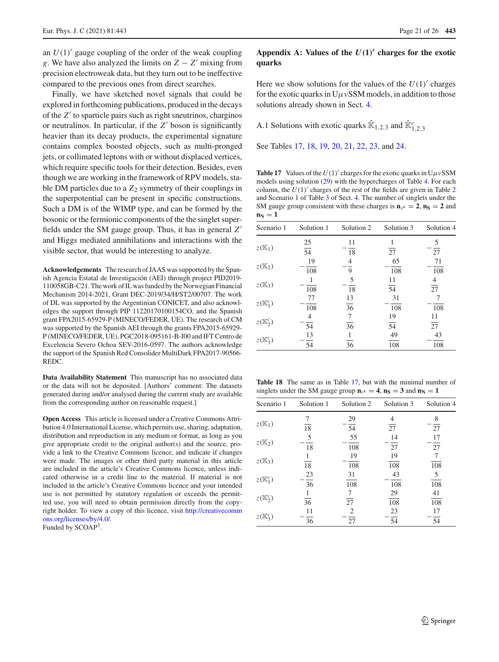an  $U(1)'$  gauge coupling of the order of the weak coupling *g*. We have also analyzed the limits on *Z* − *Z*- mixing from precision electroweak data, but they turn out to be ineffective compared to the previous ones from direct searches.

Finally, we have sketched novel signals that could be explored in forthcoming publications, produced in the decays of the *Z*- to sparticle pairs such as right sneutrinos, charginos or neutralinos. In particular, if the *Z'* boson is significantly heavier than its decay products, the experimental signature contains complex boosted objects, such as multi-pronged jets, or collimated leptons with or without displaced vertices, which require specific tools for their detection. Besides, even though we are working in the framework of RPV models, stable DM particles due to a  $Z_2$  symmetry of their couplings in the superpotential can be present in specific constructions. Such a DM is of the WIMP type, and can be formed by the bosonic or the fermionic components of the the singlet superfields under the SM gauge group. Thus, it has in general *Z* and Higgs mediated annihilations and interactions with the visible sector, that would be interesting to analyze.

**Acknowledgements** The research of JAAS was supported by the Spanish Agencia Estatal de Investigación (AEI) through project PID2019- 110058GB-C21. The work of IL was funded by the Norwegian Financial Mechanism 2014-2021, Grant DEC-2019/34/H/ST2/00707. The work of DL was supported by the Argentinian CONICET, and also acknowledges the support through PIP 11220170100154CO, and the Spanish grant FPA2015-65929-P (MINECO/FEDER, UE). The research of CM was supported by the Spanish AEI through the grants FPA2015-65929- P (MINECO/FEDER, UE), PGC2018-095161-B-I00 and IFT Centro de Excelencia Severo Ochoa SEV-2016-0597. The authors acknowledge the support of the Spanish Red Consolider MultiDark FPA2017-90566- REDC.

**Data Availability Statement** This manuscript has no associated data or the data will not be deposited. [Authors' comment: The datasets generated during and/or analysed during the current study are available from the corresponding author on reasonable request.]

**Open Access** This article is licensed under a Creative Commons Attribution 4.0 International License, which permits use, sharing, adaptation, distribution and reproduction in any medium or format, as long as you give appropriate credit to the original author(s) and the source, provide a link to the Creative Commons licence, and indicate if changes were made. The images or other third party material in this article are included in the article's Creative Commons licence, unless indicated otherwise in a credit line to the material. If material is not included in the article's Creative Commons licence and your intended use is not permitted by statutory regulation or exceeds the permitted use, you will need to obtain permission directly from the copyright holder. To view a copy of this licence, visit [http://creativecomm](http://creativecommons.org/licenses/by/4.0/) [ons.org/licenses/by/4.0/.](http://creativecommons.org/licenses/by/4.0/) Funded by SCOAP<sup>3</sup>.

## <span id="page-20-0"></span>Appendix A: Values of the  $U(1)$ <sup> $\prime$ </sup> charges for the exotic **quarks**

Here we show solutions for the values of the  $U(1)$ <sup>'</sup> charges for the exotic quarks in  $U\mu vSSM$  models, in addition to those solutions already shown in Sect. [4.](#page-6-0)

<span id="page-20-1"></span>A.1 Solutions with exotic quarks  $\hat{\mathbb{K}}_{1,2,3}$  and  $\hat{\mathbb{K}}_{1,2,3}^c$ 

See Tables [17,](#page-20-2) [18,](#page-20-3) [19,](#page-21-0) [20,](#page-21-1) [21,](#page-21-2) [22,](#page-21-3) [23,](#page-21-4) and [24.](#page-22-1)

<span id="page-20-2"></span>**Table 17** Values of the  $U(1)$  charges for the exotic quarks in  $U\mu vSSM$ models using solution [\(29\)](#page-5-0) with the hypercharges of Table [4.](#page-7-2) For each column, the  $U(1)$ <sup>'</sup> charges of the rest of the fields are given in Table [2](#page-7-0) and Scenario 1 of Table [3](#page-7-1) of Sect. [4.](#page-6-0) The number of singlets under the SM gauge group consistent with these charges is  $\mathbf{n}_{v} = 2$ ,  $\mathbf{n}_{S} = 2$  and  $n_N = 1$ 

| Scenario 1          | Solution 1 | Solution 2 | Solution 3 | Solution 4 |
|---------------------|------------|------------|------------|------------|
|                     | 25         | 11         |            | 5          |
| $z(\mathbb{K}_1)$   | 54         | 18         | 27         | 27         |
|                     | 19         | 4          | 65         | 71         |
| $z(K_2)$            | 108        | 9          | 108        | 108        |
|                     |            | 5          | 11         |            |
| $z(\mathbb{K}_3)$   | 108        | 18         | 54         | 27         |
|                     | 77         | 13         | 31         |            |
| $z(\mathbb{K}_1^c)$ | 108        | 36         | 108        | 108        |
|                     | 4          | 7          | 19         | 11         |
| $z(\mathbb{K}_2^c)$ | 54         | 36         | 54         | 27         |
|                     | 13         |            | 49         | 43         |
| $z(\mathbb{K}_3^c)$ | 54         | 36         | 108        | 108        |

<span id="page-20-3"></span>**Table 18** The same as in Table [17,](#page-20-2) but with the minimal number of singlets under the SM gauge group  $\mathbf{n}_{v} = 4$ ,  $\mathbf{n}_{S} = 3$  and  $\mathbf{n}_{N} = 1$ 

| Scenario 1              | Solution 1 | Solution 2 | Solution 3 | Solution 4 |
|-------------------------|------------|------------|------------|------------|
|                         | 7          | 29         |            | 8          |
| $z(\mathbb{K}_1)$       | 18         | 54         | 27         | 27         |
|                         | 5          | 55         | 14         | 17         |
| $z(\mathbb{K}_2)$       | 18         | 108        | 27         | 27         |
| $z(\mathbb{K}_3)$       |            | 19         | 19         |            |
|                         | 18         | 108        | 108        | 108        |
| $z(\mathbb{K}_1^c)$     | 23         | 31         | 43         | 5          |
|                         | 36         | 108        | 108        | 108        |
| $z(\mathbb{K}_2^c)$     |            |            | 29         | 41         |
|                         | 36         | 27         | 108        | 108        |
| $z(\mathbb{K}_{3}^{c})$ | 11         | 2          | 23         | 17         |
|                         | 36         | 27         | 54         | 54         |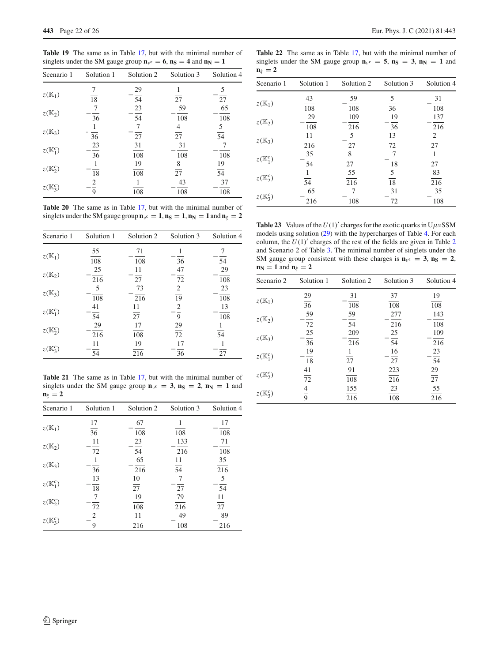<span id="page-21-0"></span>**Table 19** The same as in Table [17,](#page-20-2) but with the minimal number of singlets under the SM gauge group  $\mathbf{n}_{v} = 6$ ,  $\mathbf{n}_{S} = 4$  and  $\mathbf{n}_{N} = 1$ 

| Scenario 1          | Solution 1 | Solution 2 | Solution 3 | Solution 4     |
|---------------------|------------|------------|------------|----------------|
|                     |            | 29         |            | 5              |
| $z(\mathbb{K}_1)$   | 18         | 54         | 27         | 27             |
|                     |            | 23         | 59         | 65             |
| $z(\mathbb{K}_2)$   | 36         | 54         | 108        | 108            |
| $z(K_3)$            |            |            |            | $\frac{5}{54}$ |
|                     | 36         | 27         | 27         |                |
| $z(\mathbb{K}_1^c)$ | 23         | 31         | 31         |                |
|                     | 36         | 108        | 108        | 108            |
| $z(\mathbb{K}_2^c)$ |            | 19         | 8          | 19             |
|                     | 18         | 108        | 27         | 54             |
| $z(\mathbb{K}_3^c)$ | 2          |            | 43         | 37             |
|                     | 9          | 108        | 108        | 108            |

<span id="page-21-1"></span>**Table 20** The same as in Table [17,](#page-20-2) but with the minimal number of singlets under the SM gauge group  $\mathbf{n}_{v} = 1$ ,  $\mathbf{n}_{S} = 1$ ,  $\mathbf{n}_{N} = 1$  and  $\mathbf{n}_{\xi} = 2$ 

| Scenario 1          | Solution 1 | Solution 2 | Solution 3 | Solution 4 |
|---------------------|------------|------------|------------|------------|
|                     | 55         | 71         |            |            |
| $z(\mathbb{K}_1)$   | 108        | 108        | 36         | 54         |
|                     | 25         | 11         | 47         | 29         |
| $z(K_2)$            | 216        | 27         | 72         | 108        |
| $z(K_3)$            | 5          | 73         | 2          | 23         |
|                     | 108        | 216        | 19         | 108        |
| $z(\mathbb{K}_1^c)$ | 41         | 11         | 2          | 13         |
|                     | 54         | 27         | 9          | 108        |
| $z(\mathbb{K}_2^c)$ | 29         | 17         | 29         |            |
|                     | 216        | 108        | 72         | 54         |
| $z(\mathbb{K}_3^c)$ | 11         | 19         | 17         |            |
|                     | 54         | 216        | 36         | 27         |

<span id="page-21-2"></span>**Table 21** The same as in Table [17,](#page-20-2) but with the minimal number of singlets under the SM gauge group  $\mathbf{n}_{\nu}$ **c** = 3,  $\mathbf{n_S}$  = 2,  $\mathbf{n_N}$  = 1 and  $n_{\xi} = 2$ 

| Scenario 1          | Solution 1      | Solution 2 | Solution 3      | Solution 4 |
|---------------------|-----------------|------------|-----------------|------------|
|                     | 17              | 67         |                 | 17         |
| $z(K_1)$            | $\overline{36}$ | 108        | 108             | 108        |
|                     | 11              | 23         | 133             | 71         |
| $z(K_2)$            | 72              | 54         | 216             | 108        |
|                     |                 | 65         | 11              | 35         |
| $z(\mathbb{K}_3)$   | 36              | 216        | $\overline{54}$ | 216        |
|                     | 13              | 10         | 7               | 5          |
| $z(\mathbb{K}_1^c)$ | 18              | 27         | 27              | 54         |
| $z(\mathbb{K}_2^c)$ | 7               | 19         | 79              | 11         |
|                     | 72              | 108        | 216             | 27         |
| $z(\mathbb{K}_3^c)$ | 2               | 11         | 49              | 89         |
|                     | 9               | 216        | 108             | 216        |

Page 22 of 26 Eur. Phys. J. C (2021) 81:443

<span id="page-21-3"></span>**Table 22** The same as in Table [17,](#page-20-2) but with the minimal number of singlets under the SM gauge group  $\mathbf{n}_{v} = 5$ ,  $\mathbf{n}_{S} = 3$ ,  $\mathbf{n}_{N} = 1$  and  $n_{\varepsilon} = 2$ 

| Scenario 1          | Solution 1 | Solution 2 | Solution 3 | Solution 4 |
|---------------------|------------|------------|------------|------------|
|                     | 43         | 59         | 5          | 31         |
| $z(\mathbb{K}_1)$   | 108        | 108        | 36         | 108        |
|                     | 29         | 109        | 19         | 137        |
| $z(\mathbb{K}_2)$   | 108        | 216        | 36         | 216        |
|                     | 11         | 5          | 13         | 2          |
| $z(\mathbb{K}_3)$   | 216        | 27         | 72         | 27         |
|                     | 35         | 8          | 7          |            |
| $z(\mathbb{K}_1^c)$ | 54         | 27         | 18         | 27         |
|                     |            | 55         | 5          | 83         |
| $z(\mathbb{K}_2^c)$ | 54         | 216        | 18         | 216        |
|                     | 65         |            | 31         | 35         |
| $z(\mathbb{K}_3^c)$ | 216        | 108        | 72         | 108        |

<span id="page-21-4"></span>**Table 23** Values of the  $U(1)$  charges for the exotic quarks in  $U\mu vSSM$ models using solution [\(29\)](#page-5-0) with the hypercharges of Table [4.](#page-7-2) For each column, the  $U(1)$ <sup>'</sup> charges of the rest of the fields are given in Table [2](#page-7-0) and Scenario 2 of Table [3.](#page-7-1) The minimal number of singlets under the SM gauge group consistent with these charges is  $\mathbf{n}_{\nu} = 3$ ,  $\mathbf{n}_{\mathbf{S}} = 2$ ,  $n_N = 1$  and  $n_{\xi} = 2$ 

| Scenario 2              | Solution 1     | Solution 2 | Solution 3 | Solution 4      |
|-------------------------|----------------|------------|------------|-----------------|
|                         | 29             | 31         | 37         | 19              |
| $z(\mathbb{K}_1)$       | 36             | 108        | 108        | 108             |
|                         | 59             | 59         | 277        | 143             |
| $z(\mathbb{K}_2)$       | 72             | 54         | 216        | 108             |
|                         | 25             | 209        | 25         | 109             |
| $z(\mathbb{K}_3)$       | 36             | 216        | 54         | 216             |
|                         | 19             |            | 16         | 23              |
| $z(\mathbb{K}_1^c)$     | 18             | 27         | 27         | 54              |
|                         | 41             | 91         | 223        | 29              |
| $z(\mathbb{K}_2^c)$     | 72             | 108        | 216        | $\overline{27}$ |
|                         |                | 155        | 23         | 55              |
| $z(\mathbb{K}_{3}^{c})$ | $\overline{9}$ | 216        | 108        | 216             |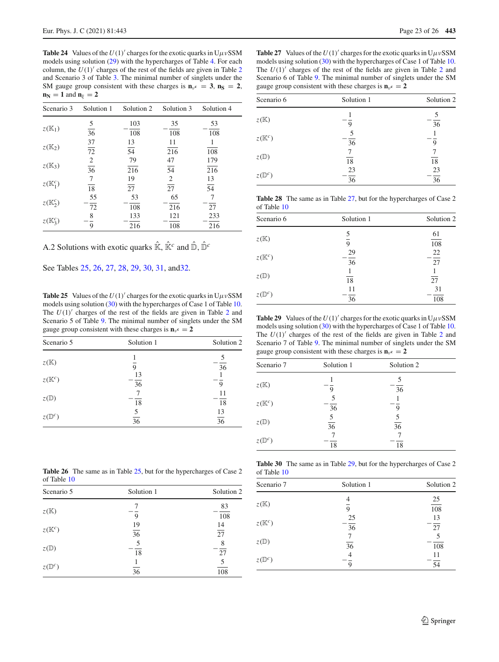<span id="page-22-1"></span>**Table 24** Values of the  $U(1)$  charges for the exotic quarks in  $U\mu vSSM$ models using solution [\(29\)](#page-5-0) with the hypercharges of Table [4.](#page-7-2) For each column, the  $U(1)$ <sup>'</sup> charges of the rest of the fields are given in Table [2](#page-7-0) and Scenario 3 of Table [3.](#page-7-1) The minimal number of singlets under the SM gauge group consistent with these charges is  $\mathbf{n}_{\nu} = 3$ ,  $\mathbf{n}_{\mathbf{S}} = 2$ ,  $n_N = 1$  and  $n_{\xi} = 2$ 

| Scenario 3          | Solution 1      | Solution 2      | Solution 3      | Solution 4      |  |
|---------------------|-----------------|-----------------|-----------------|-----------------|--|
|                     | 5               | 103             | 35              | 53              |  |
| $z(\mathbb{K}_1)$   | $\overline{36}$ | 108             | 108             | 108             |  |
|                     | 37              | 13              | 11              |                 |  |
| $z(K_2)$            | 72              | $\overline{54}$ | 216             | 108             |  |
|                     |                 | 79              | 47              | 179             |  |
| $z(K_3)$            | $\frac{2}{36}$  | 216             | $\overline{54}$ | 216             |  |
|                     | 7               | 19              | $\overline{2}$  | 13              |  |
| $z(\mathbb{K}_1^c)$ | 18              | 27              | $\overline{27}$ | $\overline{54}$ |  |
|                     | 55              | 53              | 65              | 7               |  |
| $z(\mathbb{K}_2^c)$ | 72              | 108             | 216             | 27              |  |
|                     | 8               | 133             | 121             | 233             |  |
| $z(\mathbb{K}_3^c)$ | 9               | 216             | 108             | 216             |  |

<span id="page-22-0"></span>A.2 Solutions with exotic quarks  $\hat{\mathbb{K}}$ ,  $\hat{\mathbb{K}}^c$  and  $\hat{\mathbb{D}}$ ,  $\hat{\mathbb{D}}^c$ 

See Tables [25,](#page-22-2) [26,](#page-22-3) [27,](#page-22-4) [28,](#page-22-5) [29,](#page-22-6) [30,](#page-22-7) [31,](#page-23-21) an[d32.](#page-23-22)

<span id="page-22-2"></span>**Table 25** Values of the  $U(1)$  charges for the exotic quarks in  $U\mu vSSM$ models using solution [\(30\)](#page-5-1) with the hypercharges of Case 1 of Table [10.](#page-9-3) The  $U(1)'$  charges of the rest of the fields are given in Table [2](#page-7-0) and Scenario 5 of Table [9.](#page-9-2) The minimal number of singlets under the SM gauge group consistent with these charges is  $\mathbf{n}_{v} = 2$ 

| Scenario 5        | Solution 1           | Solution 2      |
|-------------------|----------------------|-----------------|
| $z(\mathbb{K})$   | 9                    | 36              |
| $z(\mathbb{K}^c)$ | 13<br>36             | 9               |
| $z(\mathbb{D})$   | 18                   | 11<br>18        |
| $z(\mathbb{D}^c)$ | 5<br>$\overline{36}$ | $\frac{13}{36}$ |

<span id="page-22-4"></span>**Table 27** Values of the  $U(1)$  charges for the exotic quarks in  $U\mu vSSM$ models using solution [\(30\)](#page-5-1) with the hypercharges of Case 1 of Table [10.](#page-9-3) The  $U(1)'$  charges of the rest of the fields are given in Table [2](#page-7-0) and Scenario 6 of Table [9.](#page-9-2) The minimal number of singlets under the SM gauge group consistent with these charges is  $\mathbf{n}_{\nu}$ **c** = 2

| Scenario 6        | Solution 1            | Solution 2            |
|-------------------|-----------------------|-----------------------|
| $z(\mathbb{K})$   | 9                     | 36                    |
| $z(\mathbb{K}^c)$ | 5<br>$\overline{36}$  | 9                     |
| $z(\mathbb{D})$   | 18                    | $\overline{18}$       |
| $z(\mathbb{D}^c)$ | 23<br>$\overline{36}$ | 23<br>$\overline{36}$ |

<span id="page-22-5"></span>**Table 28** The same as in Table [27,](#page-22-4) but for the hypercharges of Case 2 of Table [10](#page-9-3)

| Scenario 6        | Solution 1            | Solution 2             |
|-------------------|-----------------------|------------------------|
| $z(\mathbb{K})$   | 5<br>$\overline{9}$   | 61<br>$\overline{108}$ |
| $z(\mathbb{K}^c)$ | 29<br>$\overline{36}$ | 22<br>27               |
| $z(\mathbb{D})$   | 18                    | 27                     |
| $z(\mathbb{D}^c)$ | 11<br>36              | 31<br>108              |

<span id="page-22-6"></span>**Table 29** Values of the  $U(1)$  charges for the exotic quarks in  $U\mu vSSM$ models using solution [\(30\)](#page-5-1) with the hypercharges of Case 1 of Table [10.](#page-9-3) The  $U(1)'$  charges of the rest of the fields are given in Table [2](#page-7-0) and Scenario 7 of Table [9.](#page-9-2) The minimal number of singlets under the SM gauge group consistent with these charges is  $\mathbf{n}_{\nu}$ **c** = 2

| Scenario 7        | Solution 1           | Solution 2      |  |
|-------------------|----------------------|-----------------|--|
| $z(\mathbb{K})$   | 9                    | 36              |  |
| $z(\mathbb{K}^c)$ | 36                   | 9               |  |
| $z(\mathbb{D})$   | 5<br>$\overline{36}$ | $\overline{36}$ |  |
| $z(\mathbb{D}^c)$ | 18                   | 18              |  |

<span id="page-22-7"></span>**Table 30** The same as in Table [29,](#page-22-6) but for the hypercharges of Case 2 of Table [10](#page-9-3)

| Scenario 7        | Solution 1           | Solution 2             |
|-------------------|----------------------|------------------------|
| $z(\mathbb{K})$   | 9                    | 25<br>$\overline{108}$ |
| $z(\mathbb{K}^c)$ | 25<br>36             | 13<br>27               |
| $z(\mathbb{D})$   | 7<br>$\overline{36}$ | 5<br>108               |
| $z(\mathbb{D}^c)$ | Q                    | 11<br>54               |

<span id="page-22-3"></span>**Table 26** The same as in Table [25,](#page-22-2) but for the hypercharges of Case 2 of Table [10](#page-9-3)

| Scenario 5        | Solution 1            | Solution 2             |
|-------------------|-----------------------|------------------------|
| $z(\mathbb{K})$   | 9                     | 83<br>$\overline{108}$ |
| $z(\mathbb{K}^c)$ | 19<br>$\overline{36}$ | 14<br>$\overline{27}$  |
| $z(\mathbb{D})$   | 5<br>18               | 8<br>27                |
| $z(\mathbb{D}^c)$ | 36                    | 5<br>108               |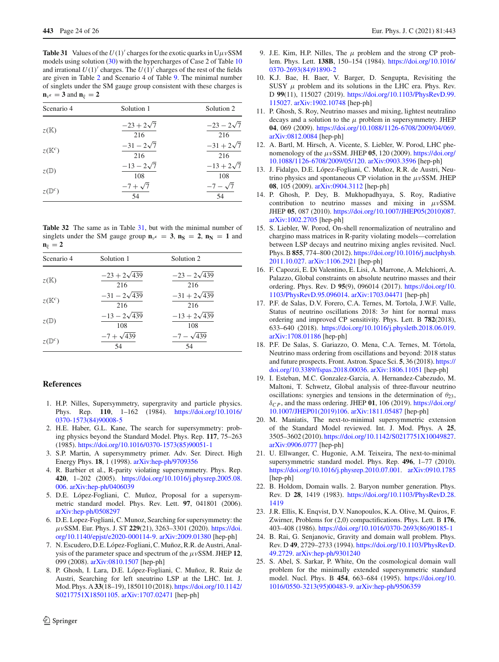<span id="page-23-21"></span>**Table 31** Values of the  $U(1)$  charges for the exotic quarks in  $U\mu vSSM$ models using solution [\(30\)](#page-5-1) with the hypercharges of Case 2 of Table [10](#page-9-3) and irrational  $U(1)$ <sup>'</sup> charges. The  $U(1)$ <sup>'</sup> charges of the rest of the fields are given in Table [2](#page-7-0) and Scenario 4 of Table [9.](#page-9-2) The minimal number of singlets under the SM gauge group consistent with these charges is  $\mathbf{n}_{\nu}$ **c** = **3** and  $\mathbf{n}_{\varepsilon}$  = **2** 

| Scenario 4        | Solution 1               | Solution 2               |
|-------------------|--------------------------|--------------------------|
| $z(\mathbb{K})$   | $-23 + 2\sqrt{7}$<br>216 | $-23 - 2\sqrt{7}$<br>216 |
| $z(\mathbb{K}^c)$ | $-31 - 2\sqrt{7}$<br>216 | $-31 + 2\sqrt{7}$<br>216 |
| $z(\mathbb{D})$   | $-13 - 2\sqrt{7}$<br>108 | $-13 + 2\sqrt{7}$<br>108 |
| $z(\mathbb{D}^c)$ | $-7 + \sqrt{7}$<br>54    | $-7 - \sqrt{7}$<br>54    |

<span id="page-23-22"></span>**Table 32** The same as in Table [31,](#page-23-21) but with the minimal number of singlets under the SM gauge group  $\mathbf{n}_{v} = 3$ ,  $\mathbf{n}_{S} = 2$ ,  $\mathbf{n}_{N} = 1$  and  $n_{\xi} = 2$ 

| Scenario 4        | Solution 1                        | Solution 2                        |  |
|-------------------|-----------------------------------|-----------------------------------|--|
| z(K)              | $-23 + 2\sqrt{439}$               | $-23 - 2\sqrt{439}$               |  |
| $z(\mathbb{K}^c)$ | 216<br>$-31 - 2\sqrt{439}$<br>216 | 216<br>$-31 + 2\sqrt{439}$<br>216 |  |
| $z(\mathbb{D})$   | $-13 - 2\sqrt{439}$<br>108        | $-13 + 2\sqrt{439}$<br>108        |  |
| $z(\mathbb{D}^c)$ | $-7 + \sqrt{439}$<br>54           | $-7 - \sqrt{439}$<br>54           |  |

#### <span id="page-23-0"></span>**References**

- <span id="page-23-1"></span>1. H.P. Nilles, Supersymmetry, supergravity and particle physics. Phys. Rep. **110**, 1–162 (1984). [https://doi.org/10.1016/](https://doi.org/10.1016/0370-1573(84)90008-5) [0370-1573\(84\)90008-5](https://doi.org/10.1016/0370-1573(84)90008-5)
- <span id="page-23-24"></span>2. H.E. Haber, G.L. Kane, The search for supersymmetry: probing physics beyond the Standard Model. Phys. Rep. **117**, 75–263 (1985). [https://doi.org/10.1016/0370-1573\(85\)90051-1](https://doi.org/10.1016/0370-1573(85)90051-1)
- <span id="page-23-2"></span>3. S.P. Martin, A supersymmetry primer. Adv. Ser. Direct. High Energy Phys. **18**, 1 (1998). [arXiv:hep-ph/9709356](http://arxiv.org/abs/hep-ph/9709356)
- <span id="page-23-3"></span>4. R. Barbier et al., R-parity violating supersymmetry. Phys. Rep. **420**, 1–202 (2005). [https://doi.org/10.1016/j.physrep.2005.08.](https://doi.org/10.1016/j.physrep.2005.08.006) [006.](https://doi.org/10.1016/j.physrep.2005.08.006) [arXiv:hep-ph/0406039](http://arxiv.org/abs/hep-ph/0406039)
- <span id="page-23-4"></span>5. D.E. López-Fogliani, C. Muñoz, Proposal for a supersymmetric standard model. Phys. Rev. Lett. **97**, 041801 (2006). [arXiv:hep-ph/0508297](http://arxiv.org/abs/hep-ph/0508297)
- <span id="page-23-5"></span>6. D.E. Lopez-Fogliani, C. Munoz, Searching for supersymmetry: the μνSSM. Eur. Phys. J. ST **229**(21), 3263–3301 (2020). [https://doi.](https://doi.org/10.1140/epjst/e2020-000114-9) [org/10.1140/epjst/e2020-000114-9.](https://doi.org/10.1140/epjst/e2020-000114-9) [arXiv:2009.01380](http://arxiv.org/abs/2009.01380) [hep-ph]
- <span id="page-23-6"></span>7. N. Escudero, D.E. López-Fogliani, C. Muñoz, R.R. de Austri, Analysis of the parameter space and spectrum of the  $\mu \nu$ SSM. JHEP 12, 099 (2008). [arXiv:0810.1507](http://arxiv.org/abs/0810.1507) [hep-ph]
- <span id="page-23-7"></span>8. P. Ghosh, I. Lara, D.E. López-Fogliani, C. Muñoz, R. Ruiz de Austri, Searching for left sneutrino LSP at the LHC. Int. J. Mod. Phys. A **33**(18–19), 1850110 (2018). [https://doi.org/10.1142/](https://doi.org/10.1142/S0217751X18501105) [S0217751X18501105.](https://doi.org/10.1142/S0217751X18501105) [arXiv:1707.02471](http://arxiv.org/abs/1707.02471) [hep-ph]
- <span id="page-23-8"></span>9. J.E. Kim, H.P. Nilles, The  $\mu$  problem and the strong CP problem. Phys. Lett. **138B**, 150–154 (1984). [https://doi.org/10.1016/](https://doi.org/10.1016/0370-2693(84)91890-2) [0370-2693\(84\)91890-2](https://doi.org/10.1016/0370-2693(84)91890-2)
- <span id="page-23-9"></span>10. K.J. Bae, H. Baer, V. Barger, D. Sengupta, Revisiting the SUSY  $\mu$  problem and its solutions in the LHC era. Phys. Rev. D **99**(11), 115027 (2019). [https://doi.org/10.1103/PhysRevD.99.](https://doi.org/10.1103/PhysRevD.99.115027) [115027.](https://doi.org/10.1103/PhysRevD.99.115027) [arXiv:1902.10748](http://arxiv.org/abs/1902.10748) [hep-ph]
- <span id="page-23-10"></span>11. P. Ghosh, S. Roy, Neutrino masses and mixing, lightest neutralino decays and a solution to the  $\mu$  problem in supersymmetry. JHEP **04**, 069 (2009). [https://doi.org/10.1088/1126-6708/2009/04/069.](https://doi.org/10.1088/1126-6708/2009/04/069) [arXiv:0812.0084](http://arxiv.org/abs/0812.0084) [hep-ph]
- <span id="page-23-19"></span>12. A. Bartl, M. Hirsch, A. Vicente, S. Liebler, W. Porod, LHC phenomenology of the  $\mu v$ SSM. JHEP 05, 120 (2009). [https://doi.org/](https://doi.org/10.1088/1126-6708/2009/05/120) [10.1088/1126-6708/2009/05/120.](https://doi.org/10.1088/1126-6708/2009/05/120) [arXiv:0903.3596](http://arxiv.org/abs/0903.3596) [hep-ph]
- <span id="page-23-20"></span>13. J. Fidalgo, D.E. López-Fogliani, C. Muñoz, R.R. de Austri, Neutrino physics and spontaneous CP violation in the  $\mu \nu$ SSM. JHEP **08**, 105 (2009). [arXiv:0904.3112](http://arxiv.org/abs/0904.3112) [hep-ph]
- <span id="page-23-23"></span>14. P. Ghosh, P. Dey, B. Mukhopadhyaya, S. Roy, Radiative contribution to neutrino masses and mixing in  $\mu$ νSSM. JHEP **05**, 087 (2010). [https://doi.org/10.1007/JHEP05\(2010\)087.](https://doi.org/10.1007/JHEP05(2010)087) [arXiv:1002.2705](http://arxiv.org/abs/1002.2705) [hep-ph]
- <span id="page-23-11"></span>15. S. Liebler, W. Porod, On-shell renormalization of neutralino and chargino mass matrices in R-parity violating models—correlation between LSP decays and neutrino mixing angles revisited. Nucl. Phys. B **855**, 774–800 (2012). [https://doi.org/10.1016/j.nuclphysb.](https://doi.org/10.1016/j.nuclphysb.2011.10.027) [2011.10.027.](https://doi.org/10.1016/j.nuclphysb.2011.10.027) [arXiv:1106.2921](http://arxiv.org/abs/1106.2921) [hep-ph]
- <span id="page-23-12"></span>16. F. Capozzi, E. Di Valentino, E. Lisi, A. Marrone, A. Melchiorri, A. Palazzo, Global constraints on absolute neutrino masses and their ordering. Phys. Rev. D **95**(9), 096014 (2017). [https://doi.org/10.](https://doi.org/10.1103/PhysRevD.95.096014) [1103/PhysRevD.95.096014.](https://doi.org/10.1103/PhysRevD.95.096014) [arXiv:1703.04471](http://arxiv.org/abs/1703.04471) [hep-ph]
- 17. P.F. de Salas, D.V. Forero, C.A. Ternes, M. Tortola, J.W.F. Valle, Status of neutrino oscillations 2018:  $3\sigma$  hint for normal mass ordering and improved CP sensitivity. Phys. Lett. B **782**(2018), 633–640 (2018). [https://doi.org/10.1016/j.physletb.2018.06.019.](https://doi.org/10.1016/j.physletb.2018.06.019) [arXiv:1708.01186](http://arxiv.org/abs/1708.01186) [hep-ph]
- 18. P.F. De Salas, S. Gariazzo, O. Mena, C.A. Ternes, M. Tórtola, Neutrino mass ordering from oscillations and beyond: 2018 status and future prospects. Front. Astron. Space Sci. **5**, 36 (2018). [https://](https://doi.org/10.3389/fspas.2018.00036) [doi.org/10.3389/fspas.2018.00036.](https://doi.org/10.3389/fspas.2018.00036) [arXiv:1806.11051](http://arxiv.org/abs/1806.11051) [hep-ph]
- <span id="page-23-13"></span>19. I. Esteban, M.C. Gonzalez-Garcia, A. Hernandez-Cabezudo, M. Maltoni, T. Schwetz, Global analysis of three-flavour neutrino oscillations: synergies and tensions in the determination of  $\theta_{23}$ ,  $\delta_{CP}$ , and the mass ordering. JHEP 01, 106 (2019). [https://doi.org/](https://doi.org/10.1007/JHEP01(2019)106) [10.1007/JHEP01\(2019\)106.](https://doi.org/10.1007/JHEP01(2019)106) [arXiv:1811.05487](http://arxiv.org/abs/1811.05487) [hep-ph]
- <span id="page-23-14"></span>20. M. Maniatis, The next-to-minimal supersymmetric extension of the Standard Model reviewed. Int. J. Mod. Phys. A **25**, 3505–3602 (2010). [https://doi.org/10.1142/S0217751X10049827.](https://doi.org/10.1142/S0217751X10049827) [arXiv:0906.0777](http://arxiv.org/abs/0906.0777) [hep-ph]
- <span id="page-23-15"></span>21. U. Ellwanger, C. Hugonie, A.M. Teixeira, The next-to-minimal supersymmetric standard model. Phys. Rep. **496**, 1–77 (2010). [https://doi.org/10.1016/j.physrep.2010.07.001.](https://doi.org/10.1016/j.physrep.2010.07.001) [arXiv:0910.1785](http://arxiv.org/abs/0910.1785) [hep-ph]
- <span id="page-23-16"></span>22. B. Holdom, Domain walls. 2. Baryon number generation. Phys. Rev. D **28**, 1419 (1983). [https://doi.org/10.1103/PhysRevD.28.](https://doi.org/10.1103/PhysRevD.28.1419) [1419](https://doi.org/10.1103/PhysRevD.28.1419)
- 23. J.R. Ellis, K. Enqvist, D.V. Nanopoulos, K.A. Olive, M. Quiros, F. Zwirner, Problems for (2,0) compactifications. Phys. Lett. B **176**, 403–408 (1986). [https://doi.org/10.1016/0370-2693\(86\)90185-1](https://doi.org/10.1016/0370-2693(86)90185-1)
- <span id="page-23-17"></span>24. B. Rai, G. Senjanovic, Gravity and domain wall problem. Phys. Rev. D **49**, 2729–2733 (1994). [https://doi.org/10.1103/PhysRevD.](https://doi.org/10.1103/PhysRevD.49.2729) [49.2729.](https://doi.org/10.1103/PhysRevD.49.2729) [arXiv:hep-ph/9301240](http://arxiv.org/abs/hep-ph/9301240)
- <span id="page-23-18"></span>25. S. Abel, S. Sarkar, P. White, On the cosmological domain wall problem for the minimally extended supersymmetric standard model. Nucl. Phys. B **454**, 663–684 (1995). [https://doi.org/10.](https://doi.org/10.1016/0550-3213(95)00483-9) [1016/0550-3213\(95\)00483-9.](https://doi.org/10.1016/0550-3213(95)00483-9) [arXiv:hep-ph/9506359](http://arxiv.org/abs/hep-ph/9506359)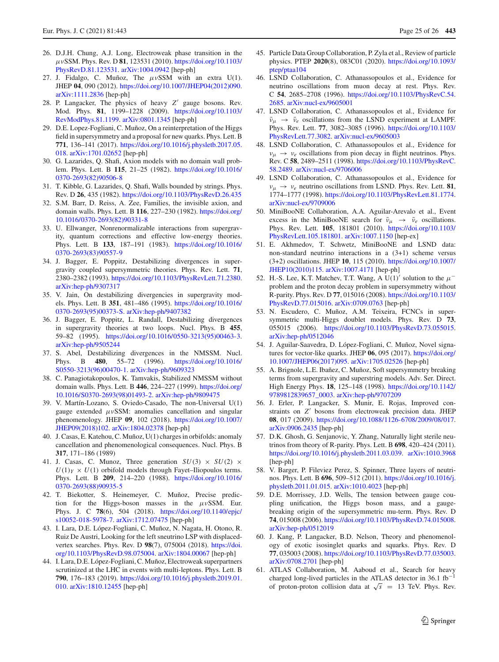- <span id="page-24-0"></span>26. D.J.H. Chung, A.J. Long, Electroweak phase transition in the μνSSM. Phys. Rev. D **81**, 123531 (2010). [https://doi.org/10.1103/](https://doi.org/10.1103/PhysRevD.81.123531) [PhysRevD.81.123531.](https://doi.org/10.1103/PhysRevD.81.123531) [arXiv:1004.0942](http://arxiv.org/abs/1004.0942) [hep-ph]
- <span id="page-24-1"></span>27. J. Fidalgo, C. Muñoz, The  $\mu \nu$ SSM with an extra U(1). JHEP **04**, 090 (2012). [https://doi.org/10.1007/JHEP04\(2012\)090.](https://doi.org/10.1007/JHEP04(2012)090) [arXiv:1111.2836](http://arxiv.org/abs/1111.2836) [hep-ph]
- <span id="page-24-2"></span>28. P. Langacker, The physics of heavy Z' gauge bosons. Rev. Mod. Phys. **81**, 1199–1228 (2009). [https://doi.org/10.1103/](https://doi.org/10.1103/RevModPhys.81.1199) [RevModPhys.81.1199.](https://doi.org/10.1103/RevModPhys.81.1199) [arXiv:0801.1345](http://arxiv.org/abs/0801.1345) [hep-ph]
- <span id="page-24-3"></span>29. D.E. Lopez-Fogliani, C. Muñoz, On a reinterpretation of the Higgs field in supersymmetry and a proposal for new quarks. Phys. Lett. B **771**, 136–141 (2017). [https://doi.org/10.1016/j.physletb.2017.05.](https://doi.org/10.1016/j.physletb.2017.05.018) [018.](https://doi.org/10.1016/j.physletb.2017.05.018) [arXiv:1701.02652](http://arxiv.org/abs/1701.02652) [hep-ph]
- <span id="page-24-4"></span>30. G. Lazarides, Q. Shafi, Axion models with no domain wall problem. Phys. Lett. B **115**, 21–25 (1982). [https://doi.org/10.1016/](https://doi.org/10.1016/0370-2693(82)90506-8) [0370-2693\(82\)90506-8](https://doi.org/10.1016/0370-2693(82)90506-8)
- 31. T. Kibble, G. Lazarides, Q. Shafi, Walls bounded by strings. Phys. Rev. D **26**, 435 (1982). <https://doi.org/10.1103/PhysRevD.26.435>
- <span id="page-24-5"></span>32. S.M. Barr, D. Reiss, A. Zee, Families, the invisible axion, and domain walls. Phys. Lett. B **116**, 227–230 (1982). [https://doi.org/](https://doi.org/10.1016/0370-2693(82)90331-8) [10.1016/0370-2693\(82\)90331-8](https://doi.org/10.1016/0370-2693(82)90331-8)
- <span id="page-24-9"></span>33. U. Ellwanger, Nonrenormalizable interactions from supergravity, quantum corrections and effective low-energy theories. Phys. Lett. B **133**, 187–191 (1983). [https://doi.org/10.1016/](https://doi.org/10.1016/0370-2693(83)90557-9) [0370-2693\(83\)90557-9](https://doi.org/10.1016/0370-2693(83)90557-9)
- 34. J. Bagger, E. Poppitz, Destabilizing divergences in supergravity coupled supersymmetric theories. Phys. Rev. Lett. **71**, 2380–2382 (1993). [https://doi.org/10.1103/PhysRevLett.71.2380.](https://doi.org/10.1103/PhysRevLett.71.2380) [arXiv:hep-ph/9307317](http://arxiv.org/abs/hep-ph/9307317)
- 35. V. Jain, On destabilizing divergencies in supergravity models. Phys. Lett. B **351**, 481–486 (1995). [https://doi.org/10.1016/](https://doi.org/10.1016/0370-2693(95)00373-S) [0370-2693\(95\)00373-S.](https://doi.org/10.1016/0370-2693(95)00373-S) [arXiv:hep-ph/9407382](http://arxiv.org/abs/hep-ph/9407382)
- 36. J. Bagger, E. Poppitz, L. Randall, Destabilizing divergences in supergravity theories at two loops. Nucl. Phys. B **455**, 59–82 (1995). [https://doi.org/10.1016/0550-3213\(95\)00463-3.](https://doi.org/10.1016/0550-3213(95)00463-3) [arXiv:hep-ph/9505244](http://arxiv.org/abs/hep-ph/9505244)
- <span id="page-24-10"></span>37. S. Abel, Destabilizing divergences in the NMSSM. Nucl. Phys. B **480**, 55–72 (1996). [https://doi.org/10.1016/](https://doi.org/10.1016/S0550-3213(96)00470-1) [S0550-3213\(96\)00470-1.](https://doi.org/10.1016/S0550-3213(96)00470-1) [arXiv:hep-ph/9609323](http://arxiv.org/abs/hep-ph/9609323)
- <span id="page-24-11"></span>38. C. Panagiotakopoulos, K. Tamvakis, Stabilized NMSSM without domain walls. Phys. Lett. B **446**, 224–227 (1999). [https://doi.org/](https://doi.org/10.1016/S0370-2693(98)01493-2) [10.1016/S0370-2693\(98\)01493-2.](https://doi.org/10.1016/S0370-2693(98)01493-2) [arXiv:hep-ph/9809475](http://arxiv.org/abs/hep-ph/9809475)
- <span id="page-24-6"></span>39. V. Martín-Lozano, S. Oviedo-Casado, The non-Universal U(1) gauge extended  $\mu \nu$ SSM: anomalies cancellation and singular phenomenology. JHEP **09**, 102 (2018). [https://doi.org/10.1007/](https://doi.org/10.1007/JHEP09(2018)102) [JHEP09\(2018\)102.](https://doi.org/10.1007/JHEP09(2018)102) [arXiv:1804.02378](http://arxiv.org/abs/1804.02378) [hep-ph]
- <span id="page-24-7"></span>40. J. Casas, E. Katehou, C. Muñoz, U(1) charges in orbifolds: anomaly cancellation and phenomenological consequences. Nucl. Phys. B **317**, 171–186 (1989)
- <span id="page-24-8"></span>41. J. Casas, C. Munoz, Three generation  $SU(3) \times SU(2) \times$  $U(1)_Y \times U(1)$  orbifold models through Fayet–Iliopoulos terms. Phys. Lett. B **209**, 214–220 (1988). [https://doi.org/10.1016/](https://doi.org/10.1016/0370-2693(88)90935-5) [0370-2693\(88\)90935-5](https://doi.org/10.1016/0370-2693(88)90935-5)
- <span id="page-24-12"></span>42. T. Biekotter, S. Heinemeyer, C. Muñoz, Precise prediction for the Higgs-boson masses in the  $\mu \nu$ SSM. Eur. Phys. J. C **78**(6), 504 (2018). [https://doi.org/10.1140/epjc/](https://doi.org/10.1140/epjc/s10052-018-5978-7) [s10052-018-5978-7.](https://doi.org/10.1140/epjc/s10052-018-5978-7) [arXiv:1712.07475](http://arxiv.org/abs/1712.07475) [hep-ph]
- <span id="page-24-29"></span>43. I. Lara, D.E. López-Fogliani, C. Muñoz, N. Nagata, H. Otono, R. Ruiz De Austri, Looking for the left sneutrino LSP with displacedvertex searches. Phys. Rev. D **98**(7), 075004 (2018). [https://doi.](https://doi.org/10.1103/PhysRevD.98.075004) [org/10.1103/PhysRevD.98.075004.](https://doi.org/10.1103/PhysRevD.98.075004) [arXiv:1804.00067](http://arxiv.org/abs/1804.00067) [hep-ph]
- <span id="page-24-13"></span>44. I. Lara, D.E. López-Fogliani, C. Muñoz, Electroweak superpartners scrutinized at the LHC in events with multi-leptons. Phys. Lett. B **790**, 176–183 (2019). [https://doi.org/10.1016/j.physletb.2019.01.](https://doi.org/10.1016/j.physletb.2019.01.010) [010.](https://doi.org/10.1016/j.physletb.2019.01.010) [arXiv:1810.12455](http://arxiv.org/abs/1810.12455) [hep-ph]
- <span id="page-24-14"></span>45. Particle Data Group Collaboration, P. Zyla et al., Review of particle physics. PTEP **2020**(8), 083C01 (2020). [https://doi.org/10.1093/](https://doi.org/10.1093/ptep/ptaa104) [ptep/ptaa104](https://doi.org/10.1093/ptep/ptaa104)
- <span id="page-24-15"></span>46. LSND Collaboration, C. Athanassopoulos et al., Evidence for neutrino oscillations from muon decay at rest. Phys. Rev. C **54**, 2685–2708 (1996). [https://doi.org/10.1103/PhysRevC.54.](https://doi.org/10.1103/PhysRevC.54.2685) [2685.](https://doi.org/10.1103/PhysRevC.54.2685) [arXiv:nucl-ex/9605001](http://arxiv.org/abs/nucl-ex/9605001)
- 47. LSND Collaboration, C. Athanassopoulos et al., Evidence for  $\bar{\nu}_{\mu} \rightarrow \bar{\nu}_{e}$  oscillations from the LSND experiment at LAMPF. Phys. Rev. Lett. **77**, 3082–3085 (1996). [https://doi.org/10.1103/](https://doi.org/10.1103/PhysRevLett.77.3082) [PhysRevLett.77.3082.](https://doi.org/10.1103/PhysRevLett.77.3082) [arXiv:nucl-ex/9605003](http://arxiv.org/abs/nucl-ex/9605003)
- 48. LSND Collaboration, C. Athanassopoulos et al., Evidence for  $v_{\mu} \rightarrow v_{e}$  oscillations from pion decay in flight neutrinos. Phys. Rev. C **58**, 2489–2511 (1998). [https://doi.org/10.1103/PhysRevC.](https://doi.org/10.1103/PhysRevC.58.2489) [58.2489.](https://doi.org/10.1103/PhysRevC.58.2489) [arXiv:nucl-ex/9706006](http://arxiv.org/abs/nucl-ex/9706006)
- <span id="page-24-16"></span>49. LSND Collaboration, C. Athanassopoulos et al., Evidence for  $v_{\mu} \rightarrow v_{e}$  neutrino oscillations from LSND. Phys. Rev. Lett. **81**, 1774–1777 (1998). [https://doi.org/10.1103/PhysRevLett.81.1774.](https://doi.org/10.1103/PhysRevLett.81.1774) [arXiv:nucl-ex/9709006](http://arxiv.org/abs/nucl-ex/9709006)
- <span id="page-24-17"></span>50. MiniBooNE Collaboration, A.A. Aguilar-Arevalo et al., Event excess in the MiniBooNE search for  $\bar{v}_{\mu} \rightarrow \bar{v}_{e}$  oscillations. Phys. Rev. Lett. **105**, 181801 (2010). [https://doi.org/10.1103/](https://doi.org/10.1103/PhysRevLett.105.181801) [PhysRevLett.105.181801.](https://doi.org/10.1103/PhysRevLett.105.181801) [arXiv:1007.1150](http://arxiv.org/abs/1007.1150) [hep-ex]
- <span id="page-24-18"></span>51. E. Akhmedov, T. Schwetz, MiniBooNE and LSND data: non-standard neutrino interactions in a (3+1) scheme versus (3+2) oscillations. JHEP **10**, 115 (2010). [https://doi.org/10.1007/](https://doi.org/10.1007/JHEP10(2010)115) [JHEP10\(2010\)115.](https://doi.org/10.1007/JHEP10(2010)115) [arXiv:1007.4171](http://arxiv.org/abs/1007.4171) [hep-ph]
- <span id="page-24-19"></span>52. H.-S. Lee, K.T. Matchev, T.T. Wang, A U(1)' solution to the  $\mu^$ problem and the proton decay problem in supersymmetry without R-parity. Phys. Rev. D **77**, 015016 (2008). [https://doi.org/10.1103/](https://doi.org/10.1103/PhysRevD.77.015016) [PhysRevD.77.015016.](https://doi.org/10.1103/PhysRevD.77.015016) [arXiv:0709.0763](http://arxiv.org/abs/0709.0763) [hep-ph]
- <span id="page-24-20"></span>53. N. Escudero, C. Muñoz, A.M. Teixeira, FCNCs in supersymmetric multi-Higgs doublet models. Phys. Rev. D **73**, 055015 (2006). [https://doi.org/10.1103/PhysRevD.73.055015.](https://doi.org/10.1103/PhysRevD.73.055015) [arXiv:hep-ph/0512046](http://arxiv.org/abs/hep-ph/0512046)
- <span id="page-24-21"></span>54. J. Aguilar-Saavedra, D. López-Fogliani, C. Muñoz, Novel signatures for vector-like quarks. JHEP **06**, 095 (2017). [https://doi.org/](https://doi.org/10.1007/JHEP06(2017)095) [10.1007/JHEP06\(2017\)095.](https://doi.org/10.1007/JHEP06(2017)095) [arXiv:1705.02526](http://arxiv.org/abs/1705.02526) [hep-ph]
- <span id="page-24-22"></span>55. A. Brignole, L.E. Ibañez, C. Muñoz, Soft supersymmetry breaking terms from supergravity and superstring models. Adv. Ser. Direct. High Energy Phys. **18**, 125–148 (1998). [https://doi.org/10.1142/](https://doi.org/10.1142/9789812839657_0003) [9789812839657\\_0003.](https://doi.org/10.1142/9789812839657_0003) [arXiv:hep-ph/9707209](http://arxiv.org/abs/hep-ph/9707209)
- <span id="page-24-23"></span>56. J. Erler, P. Langacker, S. Munir, E. Rojas, Improved constraints on Z' bosons from electroweak precision data. JHEP **08**, 017 (2009). [https://doi.org/10.1088/1126-6708/2009/08/017.](https://doi.org/10.1088/1126-6708/2009/08/017) [arXiv:0906.2435](http://arxiv.org/abs/0906.2435) [hep-ph]
- <span id="page-24-24"></span>57. D.K. Ghosh, G. Senjanovic, Y. Zhang, Naturally light sterile neutrinos from theory of R-parity. Phys. Lett. B **698**, 420–424 (2011). [https://doi.org/10.1016/j.physletb.2011.03.039.](https://doi.org/10.1016/j.physletb.2011.03.039) [arXiv:1010.3968](http://arxiv.org/abs/1010.3968) [hep-ph]
- <span id="page-24-25"></span>58. V. Barger, P. Fileviez Perez, S. Spinner, Three layers of neutrinos. Phys. Lett. B **696**, 509–512 (2011). [https://doi.org/10.1016/j.](https://doi.org/10.1016/j.physletb.2011.01.015) [physletb.2011.01.015.](https://doi.org/10.1016/j.physletb.2011.01.015) [arXiv:1010.4023](http://arxiv.org/abs/1010.4023) [hep-ph]
- <span id="page-24-26"></span>59. D.E. Morrissey, J.D. Wells, The tension between gauge coupling unification, the Higgs boson mass, and a gaugebreaking origin of the supersymmetric mu-term. Phys. Rev. D **74**, 015008 (2006). [https://doi.org/10.1103/PhysRevD.74.015008.](https://doi.org/10.1103/PhysRevD.74.015008) [arXiv:hep-ph/0512019](http://arxiv.org/abs/hep-ph/0512019)
- <span id="page-24-27"></span>60. J. Kang, P. Langacker, B.D. Nelson, Theory and phenomenology of exotic isosinglet quarks and squarks. Phys. Rev. D **77**, 035003 (2008). [https://doi.org/10.1103/PhysRevD.77.035003.](https://doi.org/10.1103/PhysRevD.77.035003) [arXiv:0708.2701](http://arxiv.org/abs/0708.2701) [hep-ph]
- <span id="page-24-28"></span>61. ATLAS Collaboration, M. Aaboud et al., Search for heavy charged long-lived particles in the ATLAS detector in 36.1 fb<sup>-1</sup> of proton-proton collision data at  $\sqrt{s}$  = 13 TeV. Phys. Rev.